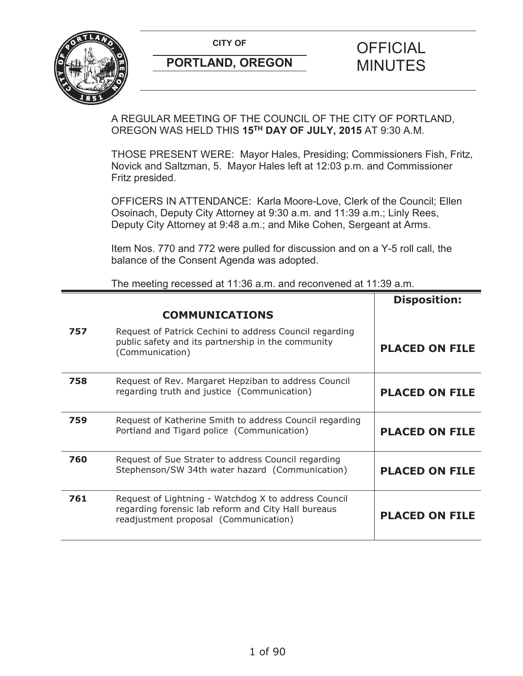

## **PORTLAND, OREGON MINUTES**

# **CITY OF CITY OF STRIPS OF FICIAL**

**Disposition:**

A REGULAR MEETING OF THE COUNCIL OF THE CITY OF PORTLAND, OREGON WAS HELD THIS **15TH DAY OF JULY, 2015** AT 9:30 A.M.

THOSE PRESENT WERE: Mayor Hales, Presiding; Commissioners Fish, Fritz, Novick and Saltzman, 5. Mayor Hales left at 12:03 p.m. and Commissioner Fritz presided.

OFFICERS IN ATTENDANCE: Karla Moore-Love, Clerk of the Council; Ellen Osoinach, Deputy City Attorney at 9:30 a.m. and 11:39 a.m.; Linly Rees, Deputy City Attorney at 9:48 a.m.; and Mike Cohen, Sergeant at Arms.

Item Nos. 770 and 772 were pulled for discussion and on a Y-5 roll call, the balance of the Consent Agenda was adopted.

The meeting recessed at 11:36 a.m. and reconvened at 11:39 a.m.

|     | <b>COMMUNICATIONS</b>                                                                                                                                |                       |
|-----|------------------------------------------------------------------------------------------------------------------------------------------------------|-----------------------|
| 757 | Request of Patrick Cechini to address Council regarding<br>public safety and its partnership in the community<br>(Communication)                     | <b>PLACED ON FILE</b> |
| 758 | Request of Rev. Margaret Hepziban to address Council<br>regarding truth and justice (Communication)                                                  | <b>PLACED ON FILE</b> |
| 759 | Request of Katherine Smith to address Council regarding<br>Portland and Tigard police (Communication)                                                | <b>PLACED ON FILE</b> |
| 760 | Request of Sue Strater to address Council regarding<br>Stephenson/SW 34th water hazard (Communication)                                               | <b>PLACED ON FILE</b> |
| 761 | Request of Lightning - Watchdog X to address Council<br>regarding forensic lab reform and City Hall bureaus<br>readjustment proposal (Communication) | <b>PLACED ON FILE</b> |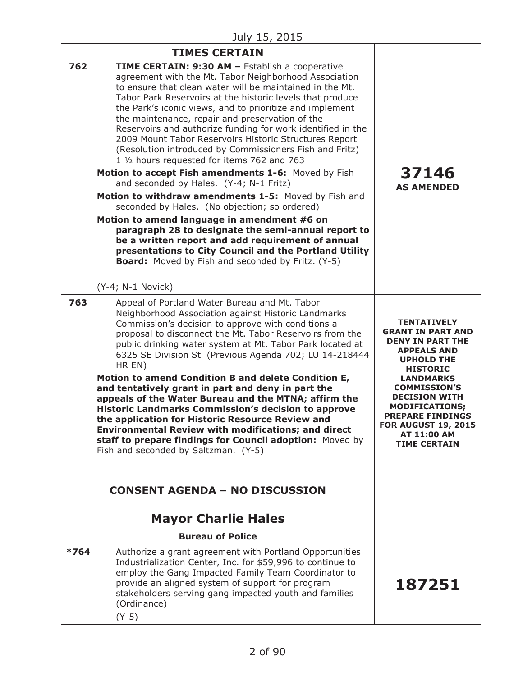|        | <b>TIMES CERTAIN</b>                                                                                                                                                                                                                                                                                                                                                                                                                                                                                                                                                                                                                                                                                                                                                                                                                                                                                                                                                                                                                                                                                   |                                                                                                                                                                                                                                                                                                                                    |
|--------|--------------------------------------------------------------------------------------------------------------------------------------------------------------------------------------------------------------------------------------------------------------------------------------------------------------------------------------------------------------------------------------------------------------------------------------------------------------------------------------------------------------------------------------------------------------------------------------------------------------------------------------------------------------------------------------------------------------------------------------------------------------------------------------------------------------------------------------------------------------------------------------------------------------------------------------------------------------------------------------------------------------------------------------------------------------------------------------------------------|------------------------------------------------------------------------------------------------------------------------------------------------------------------------------------------------------------------------------------------------------------------------------------------------------------------------------------|
| 762    | TIME CERTAIN: 9:30 AM - Establish a cooperative<br>agreement with the Mt. Tabor Neighborhood Association<br>to ensure that clean water will be maintained in the Mt.<br>Tabor Park Reservoirs at the historic levels that produce<br>the Park's iconic views, and to prioritize and implement<br>the maintenance, repair and preservation of the<br>Reservoirs and authorize funding for work identified in the<br>2009 Mount Tabor Reservoirs Historic Structures Report<br>(Resolution introduced by Commissioners Fish and Fritz)<br>1 1/2 hours requested for items 762 and 763<br>Motion to accept Fish amendments 1-6: Moved by Fish<br>and seconded by Hales. (Y-4; N-1 Fritz)<br>Motion to withdraw amendments 1-5: Moved by Fish and<br>seconded by Hales. (No objection; so ordered)<br>Motion to amend language in amendment #6 on<br>paragraph 28 to designate the semi-annual report to<br>be a written report and add requirement of annual<br>presentations to City Council and the Portland Utility<br><b>Board:</b> Moved by Fish and seconded by Fritz. (Y-5)<br>$(Y-4; N-1$ Novick) | 37146<br><b>AS AMENDED</b>                                                                                                                                                                                                                                                                                                         |
| 763    | Appeal of Portland Water Bureau and Mt. Tabor<br>Neighborhood Association against Historic Landmarks<br>Commission's decision to approve with conditions a<br>proposal to disconnect the Mt. Tabor Reservoirs from the<br>public drinking water system at Mt. Tabor Park located at<br>6325 SE Division St (Previous Agenda 702; LU 14-218444<br>HR EN)<br>Motion to amend Condition B and delete Condition E,<br>and tentatively grant in part and deny in part the<br>appeals of the Water Bureau and the MTNA; affirm the<br><b>Historic Landmarks Commission's decision to approve</b><br>the application for Historic Resource Review and<br><b>Environmental Review with modifications; and direct</b><br>staff to prepare findings for Council adoption: Moved by<br>Fish and seconded by Saltzman. (Y-5)                                                                                                                                                                                                                                                                                       | <b>TENTATIVELY</b><br><b>GRANT IN PART AND</b><br><b>DENY IN PART THE</b><br><b>APPEALS AND</b><br><b>UPHOLD THE</b><br><b>HISTORIC</b><br><b>LANDMARKS</b><br><b>COMMISSION'S</b><br><b>DECISION WITH</b><br><b>MODIFICATIONS;</b><br><b>PREPARE FINDINGS</b><br><b>FOR AUGUST 19, 2015</b><br>AT 11:00 AM<br><b>TIME CERTAIN</b> |
|        | <b>CONSENT AGENDA - NO DISCUSSION</b>                                                                                                                                                                                                                                                                                                                                                                                                                                                                                                                                                                                                                                                                                                                                                                                                                                                                                                                                                                                                                                                                  |                                                                                                                                                                                                                                                                                                                                    |
|        | <b>Mayor Charlie Hales</b>                                                                                                                                                                                                                                                                                                                                                                                                                                                                                                                                                                                                                                                                                                                                                                                                                                                                                                                                                                                                                                                                             |                                                                                                                                                                                                                                                                                                                                    |
|        | <b>Bureau of Police</b>                                                                                                                                                                                                                                                                                                                                                                                                                                                                                                                                                                                                                                                                                                                                                                                                                                                                                                                                                                                                                                                                                |                                                                                                                                                                                                                                                                                                                                    |
| $*764$ | Authorize a grant agreement with Portland Opportunities<br>Industrialization Center, Inc. for \$59,996 to continue to<br>employ the Gang Impacted Family Team Coordinator to<br>provide an aligned system of support for program<br>stakeholders serving gang impacted youth and families<br>(Ordinance)<br>$(Y-5)$                                                                                                                                                                                                                                                                                                                                                                                                                                                                                                                                                                                                                                                                                                                                                                                    | 187251                                                                                                                                                                                                                                                                                                                             |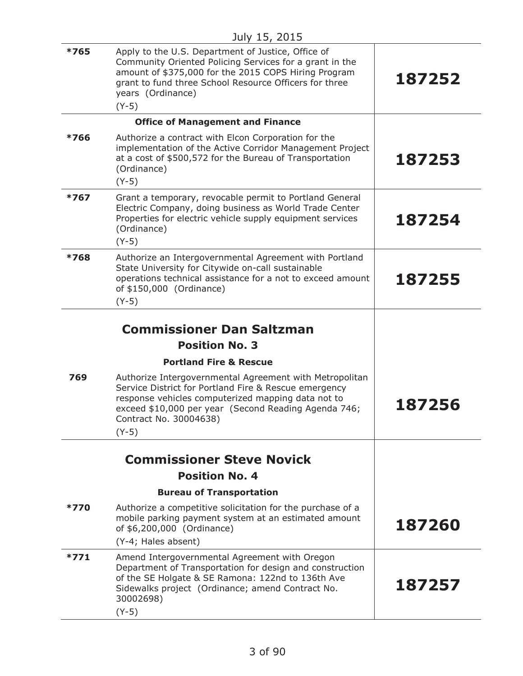| *765   | Apply to the U.S. Department of Justice, Office of<br>Community Oriented Policing Services for a grant in the<br>amount of \$375,000 for the 2015 COPS Hiring Program<br>grant to fund three School Resource Officers for three<br>years (Ordinance)<br>$(Y-5)$     | 187252 |
|--------|---------------------------------------------------------------------------------------------------------------------------------------------------------------------------------------------------------------------------------------------------------------------|--------|
|        | <b>Office of Management and Finance</b>                                                                                                                                                                                                                             |        |
| *766   | Authorize a contract with Elcon Corporation for the<br>implementation of the Active Corridor Management Project<br>at a cost of \$500,572 for the Bureau of Transportation<br>(Ordinance)<br>$(Y-5)$                                                                | 187253 |
| $*767$ | Grant a temporary, revocable permit to Portland General<br>Electric Company, doing business as World Trade Center<br>Properties for electric vehicle supply equipment services<br>(Ordinance)<br>$(Y-5)$                                                            | 187254 |
| *768   | Authorize an Intergovernmental Agreement with Portland<br>State University for Citywide on-call sustainable<br>operations technical assistance for a not to exceed amount<br>of \$150,000 (Ordinance)<br>$(Y-5)$                                                    | 187255 |
|        | <b>Commissioner Dan Saltzman</b>                                                                                                                                                                                                                                    |        |
|        | <b>Position No. 3</b>                                                                                                                                                                                                                                               |        |
|        | <b>Portland Fire &amp; Rescue</b>                                                                                                                                                                                                                                   |        |
| 769    | Authorize Intergovernmental Agreement with Metropolitan<br>Service District for Portland Fire & Rescue emergency<br>response vehicles computerized mapping data not to<br>exceed \$10,000 per year (Second Reading Agenda 746;<br>Contract No. 30004638)<br>$(Y-5)$ | 187256 |
|        | <b>Commissioner Steve Novick</b>                                                                                                                                                                                                                                    |        |
|        | <b>Position No. 4</b>                                                                                                                                                                                                                                               |        |
|        | <b>Bureau of Transportation</b>                                                                                                                                                                                                                                     |        |
| $*770$ | Authorize a competitive solicitation for the purchase of a<br>mobile parking payment system at an estimated amount<br>of \$6,200,000 (Ordinance)<br>(Y-4; Hales absent)                                                                                             | 187260 |
| $*771$ | Amend Intergovernmental Agreement with Oregon<br>Department of Transportation for design and construction<br>of the SE Holgate & SE Ramona: 122nd to 136th Ave<br>Sidewalks project (Ordinance; amend Contract No.<br>30002698)<br>$(Y-5)$                          | 187257 |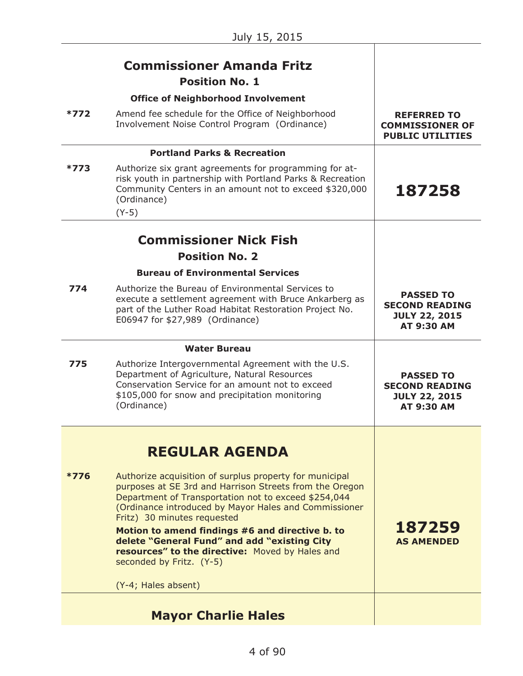|        | <b>Commissioner Amanda Fritz</b><br><b>Position No. 1</b>                                                                                                                                                                                                                                                                                                                                                                                                                                            |                                                                                        |
|--------|------------------------------------------------------------------------------------------------------------------------------------------------------------------------------------------------------------------------------------------------------------------------------------------------------------------------------------------------------------------------------------------------------------------------------------------------------------------------------------------------------|----------------------------------------------------------------------------------------|
| *772   | <b>Office of Neighborhood Involvement</b><br>Amend fee schedule for the Office of Neighborhood<br>Involvement Noise Control Program (Ordinance)                                                                                                                                                                                                                                                                                                                                                      | <b>REFERRED TO</b><br><b>COMMISSIONER OF</b><br><b>PUBLIC UTILITIES</b>                |
|        | <b>Portland Parks &amp; Recreation</b>                                                                                                                                                                                                                                                                                                                                                                                                                                                               |                                                                                        |
| $*773$ | Authorize six grant agreements for programming for at-<br>risk youth in partnership with Portland Parks & Recreation<br>Community Centers in an amount not to exceed \$320,000<br>(Ordinance)<br>$(Y-5)$                                                                                                                                                                                                                                                                                             | 187258                                                                                 |
|        |                                                                                                                                                                                                                                                                                                                                                                                                                                                                                                      |                                                                                        |
|        | <b>Commissioner Nick Fish</b>                                                                                                                                                                                                                                                                                                                                                                                                                                                                        |                                                                                        |
|        | <b>Position No. 2</b>                                                                                                                                                                                                                                                                                                                                                                                                                                                                                |                                                                                        |
|        | <b>Bureau of Environmental Services</b>                                                                                                                                                                                                                                                                                                                                                                                                                                                              |                                                                                        |
| 774    | Authorize the Bureau of Environmental Services to<br>execute a settlement agreement with Bruce Ankarberg as<br>part of the Luther Road Habitat Restoration Project No.<br>E06947 for \$27,989 (Ordinance)                                                                                                                                                                                                                                                                                            | <b>PASSED TO</b><br><b>SECOND READING</b><br><b>JULY 22, 2015</b><br><b>AT 9:30 AM</b> |
|        | <b>Water Bureau</b>                                                                                                                                                                                                                                                                                                                                                                                                                                                                                  |                                                                                        |
| 775    | Authorize Intergovernmental Agreement with the U.S.<br>Department of Agriculture, Natural Resources<br>Conservation Service for an amount not to exceed                                                                                                                                                                                                                                                                                                                                              | <b>PASSED TO</b><br><b>SECOND READING</b>                                              |
|        | \$105,000 for snow and precipitation monitoring<br>(Ordinance)                                                                                                                                                                                                                                                                                                                                                                                                                                       | <b>JULY 22, 2015</b><br><b>AT 9:30 AM</b>                                              |
|        |                                                                                                                                                                                                                                                                                                                                                                                                                                                                                                      |                                                                                        |
| $*776$ | <b>REGULAR AGENDA</b><br>Authorize acquisition of surplus property for municipal<br>purposes at SE 3rd and Harrison Streets from the Oregon<br>Department of Transportation not to exceed \$254,044<br>(Ordinance introduced by Mayor Hales and Commissioner<br>Fritz) 30 minutes requested<br>Motion to amend findings #6 and directive b. to<br>delete "General Fund" and add "existing City<br>resources" to the directive: Moved by Hales and<br>seconded by Fritz. (Y-5)<br>(Y-4; Hales absent) | 187259<br><b>AS AMENDED</b>                                                            |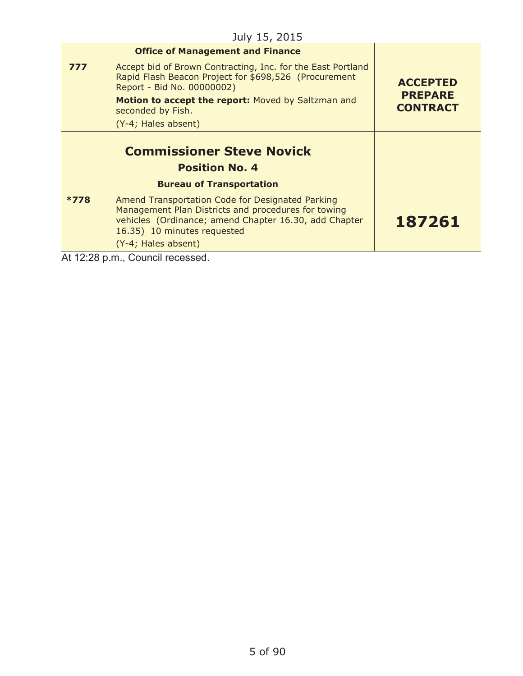|        | <b>Office of Management and Finance</b>                                                                                                                                                                                |                                   |
|--------|------------------------------------------------------------------------------------------------------------------------------------------------------------------------------------------------------------------------|-----------------------------------|
| 777    | Accept bid of Brown Contracting, Inc. for the East Portland<br>Rapid Flash Beacon Project for \$698,526 (Procurement<br>Report - Bid No. 00000002)                                                                     | <b>ACCEPTED</b>                   |
|        | Motion to accept the report: Moved by Saltzman and<br>seconded by Fish.                                                                                                                                                | <b>PREPARE</b><br><b>CONTRACT</b> |
|        | (Y-4; Hales absent)                                                                                                                                                                                                    |                                   |
|        | <b>Commissioner Steve Novick</b><br><b>Position No. 4</b>                                                                                                                                                              |                                   |
|        | <b>Bureau of Transportation</b>                                                                                                                                                                                        |                                   |
| $*778$ | Amend Transportation Code for Designated Parking<br>Management Plan Districts and procedures for towing<br>vehicles (Ordinance; amend Chapter 16.30, add Chapter<br>16.35) 10 minutes requested<br>(Y-4; Hales absent) | 187261                            |
|        | At 12:28 p.m., Council recessed.                                                                                                                                                                                       |                                   |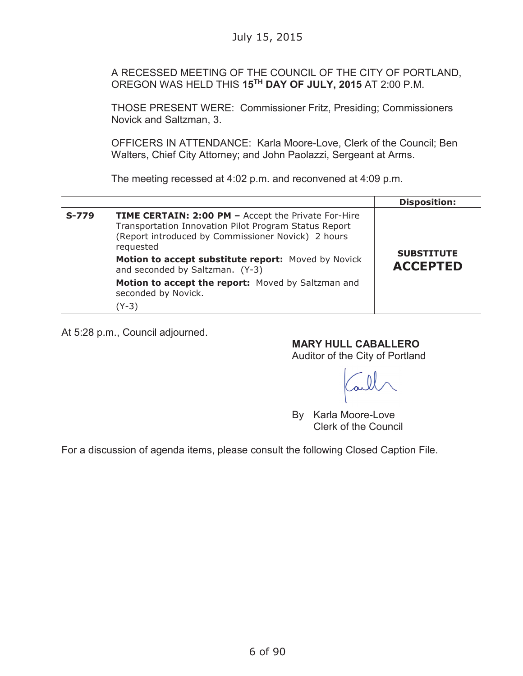A RECESSED MEETING OF THE COUNCIL OF THE CITY OF PORTLAND, OREGON WAS HELD THIS **15TH DAY OF JULY, 2015** AT 2:00 P.M.

THOSE PRESENT WERE: Commissioner Fritz, Presiding; Commissioners Novick and Saltzman, 3.

OFFICERS IN ATTENDANCE: Karla Moore-Love, Clerk of the Council; Ben Walters, Chief City Attorney; and John Paolazzi, Sergeant at Arms.

The meeting recessed at 4:02 p.m. and reconvened at 4:09 p.m.

|         |                                                                                                                                                                                                                                               | <b>Disposition:</b> |
|---------|-----------------------------------------------------------------------------------------------------------------------------------------------------------------------------------------------------------------------------------------------|---------------------|
| $S-779$ | <b>TIME CERTAIN: 2:00 PM - Accept the Private For-Hire</b><br>Transportation Innovation Pilot Program Status Report<br>(Report introduced by Commissioner Novick) 2 hours<br>requested<br>Motion to accept substitute report: Moved by Novick | <b>SUBSTITUTE</b>   |
|         | and seconded by Saltzman. (Y-3)                                                                                                                                                                                                               | <b>ACCEPTED</b>     |
|         | Motion to accept the report: Moved by Saltzman and<br>seconded by Novick.                                                                                                                                                                     |                     |
|         | (Y-3)                                                                                                                                                                                                                                         |                     |

At 5:28 p.m., Council adjourned.

**MARY HULL CABALLERO**

Auditor of the City of Portland

By Karla Moore-Love Clerk of the Council

For a discussion of agenda items, please consult the following Closed Caption File.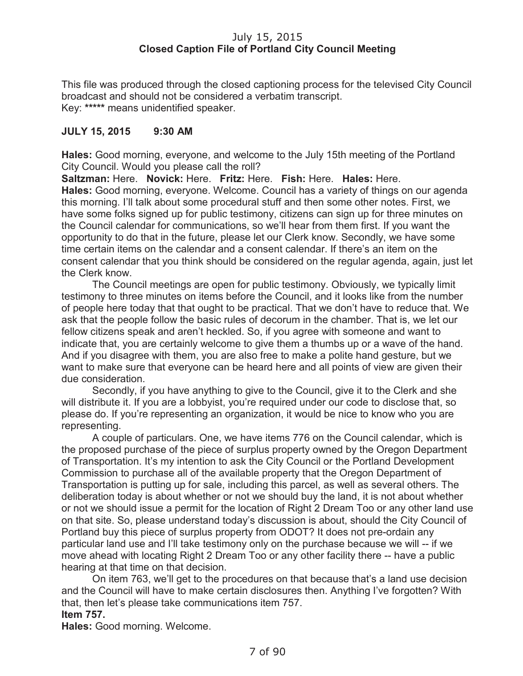## July 15, 2015 **Closed Caption File of Portland City Council Meeting**

This file was produced through the closed captioning process for the televised City Council broadcast and should not be considered a verbatim transcript. Key: **\*\*\*\*\*** means unidentified speaker.

## **JULY 15, 2015 9:30 AM**

**Hales:** Good morning, everyone, and welcome to the July 15th meeting of the Portland City Council. Would you please call the roll?

**Saltzman:** Here. **Novick:** Here. **Fritz:** Here. **Fish:** Here. **Hales:** Here. **Hales:** Good morning, everyone. Welcome. Council has a variety of things on our agenda this morning. I'll talk about some procedural stuff and then some other notes. First, we have some folks signed up for public testimony, citizens can sign up for three minutes on the Council calendar for communications, so we'll hear from them first. If you want the opportunity to do that in the future, please let our Clerk know. Secondly, we have some time certain items on the calendar and a consent calendar. If there's an item on the consent calendar that you think should be considered on the regular agenda, again, just let the Clerk know.

The Council meetings are open for public testimony. Obviously, we typically limit testimony to three minutes on items before the Council, and it looks like from the number of people here today that that ought to be practical. That we don't have to reduce that. We ask that the people follow the basic rules of decorum in the chamber. That is, we let our fellow citizens speak and aren't heckled. So, if you agree with someone and want to indicate that, you are certainly welcome to give them a thumbs up or a wave of the hand. And if you disagree with them, you are also free to make a polite hand gesture, but we want to make sure that everyone can be heard here and all points of view are given their due consideration.

Secondly, if you have anything to give to the Council, give it to the Clerk and she will distribute it. If you are a lobbyist, you're required under our code to disclose that, so please do. If you're representing an organization, it would be nice to know who you are representing.

A couple of particulars. One, we have items 776 on the Council calendar, which is the proposed purchase of the piece of surplus property owned by the Oregon Department of Transportation. It's my intention to ask the City Council or the Portland Development Commission to purchase all of the available property that the Oregon Department of Transportation is putting up for sale, including this parcel, as well as several others. The deliberation today is about whether or not we should buy the land, it is not about whether or not we should issue a permit for the location of Right 2 Dream Too or any other land use on that site. So, please understand today's discussion is about, should the City Council of Portland buy this piece of surplus property from ODOT? It does not pre-ordain any particular land use and I'll take testimony only on the purchase because we will -- if we move ahead with locating Right 2 Dream Too or any other facility there -- have a public hearing at that time on that decision.

On item 763, we'll get to the procedures on that because that's a land use decision and the Council will have to make certain disclosures then. Anything I've forgotten? With that, then let's please take communications item 757. **Item 757.**

**Hales:** Good morning. Welcome.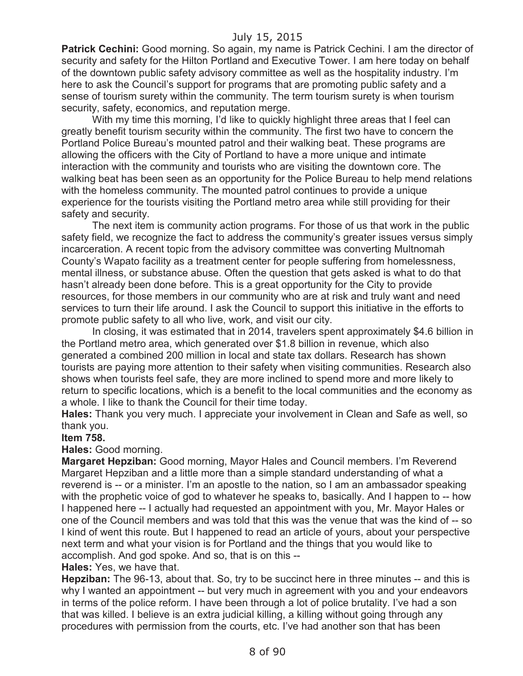**Patrick Cechini:** Good morning. So again, my name is Patrick Cechini. I am the director of security and safety for the Hilton Portland and Executive Tower. I am here today on behalf of the downtown public safety advisory committee as well as the hospitality industry. I'm here to ask the Council's support for programs that are promoting public safety and a sense of tourism surety within the community. The term tourism surety is when tourism security, safety, economics, and reputation merge.

With my time this morning, I'd like to quickly highlight three areas that I feel can greatly benefit tourism security within the community. The first two have to concern the Portland Police Bureau's mounted patrol and their walking beat. These programs are allowing the officers with the City of Portland to have a more unique and intimate interaction with the community and tourists who are visiting the downtown core. The walking beat has been seen as an opportunity for the Police Bureau to help mend relations with the homeless community. The mounted patrol continues to provide a unique experience for the tourists visiting the Portland metro area while still providing for their safety and security.

The next item is community action programs. For those of us that work in the public safety field, we recognize the fact to address the community's greater issues versus simply incarceration. A recent topic from the advisory committee was converting Multnomah County's Wapato facility as a treatment center for people suffering from homelessness, mental illness, or substance abuse. Often the question that gets asked is what to do that hasn't already been done before. This is a great opportunity for the City to provide resources, for those members in our community who are at risk and truly want and need services to turn their life around. I ask the Council to support this initiative in the efforts to promote public safety to all who live, work, and visit our city.

In closing, it was estimated that in 2014, travelers spent approximately \$4.6 billion in the Portland metro area, which generated over \$1.8 billion in revenue, which also generated a combined 200 million in local and state tax dollars. Research has shown tourists are paying more attention to their safety when visiting communities. Research also shows when tourists feel safe, they are more inclined to spend more and more likely to return to specific locations, which is a benefit to the local communities and the economy as a whole. I like to thank the Council for their time today.

**Hales:** Thank you very much. I appreciate your involvement in Clean and Safe as well, so thank you.

#### **Item 758.**

#### **Hales:** Good morning.

**Margaret Hepziban:** Good morning, Mayor Hales and Council members. I'm Reverend Margaret Hepziban and a little more than a simple standard understanding of what a reverend is -- or a minister. I'm an apostle to the nation, so I am an ambassador speaking with the prophetic voice of god to whatever he speaks to, basically. And I happen to -- how I happened here -- I actually had requested an appointment with you, Mr. Mayor Hales or one of the Council members and was told that this was the venue that was the kind of -- so I kind of went this route. But I happened to read an article of yours, about your perspective next term and what your vision is for Portland and the things that you would like to accomplish. And god spoke. And so, that is on this --

#### **Hales:** Yes, we have that.

**Hepziban:** The 96-13, about that. So, try to be succinct here in three minutes -- and this is why I wanted an appointment -- but very much in agreement with you and your endeavors in terms of the police reform. I have been through a lot of police brutality. I've had a son that was killed. I believe is an extra judicial killing, a killing without going through any procedures with permission from the courts, etc. I've had another son that has been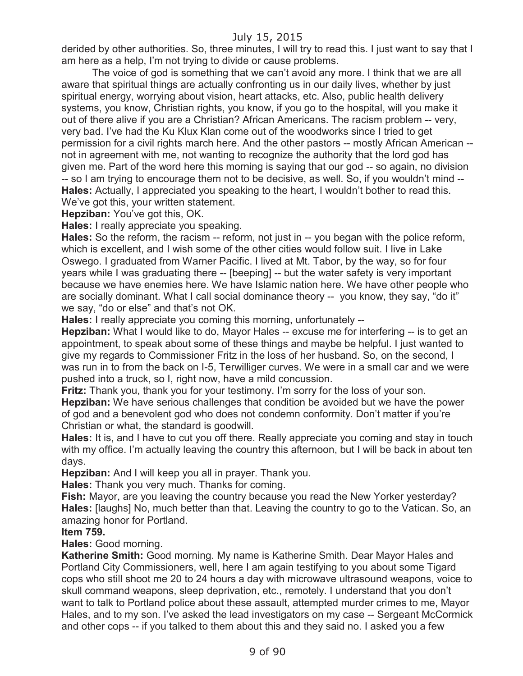derided by other authorities. So, three minutes, I will try to read this. I just want to say that I am here as a help, I'm not trying to divide or cause problems.

The voice of god is something that we can't avoid any more. I think that we are all aware that spiritual things are actually confronting us in our daily lives, whether by just spiritual energy, worrying about vision, heart attacks, etc. Also, public health delivery systems, you know, Christian rights, you know, if you go to the hospital, will you make it out of there alive if you are a Christian? African Americans. The racism problem -- very, very bad. I've had the Ku Klux Klan come out of the woodworks since I tried to get permission for a civil rights march here. And the other pastors -- mostly African American - not in agreement with me, not wanting to recognize the authority that the lord god has given me. Part of the word here this morning is saying that our god -- so again, no division -- so I am trying to encourage them not to be decisive, as well. So, if you wouldn't mind -- **Hales:** Actually, I appreciated you speaking to the heart, I wouldn't bother to read this. We've got this, your written statement.

**Hepziban:** You've got this, OK.

**Hales:** I really appreciate you speaking.

**Hales:** So the reform, the racism -- reform, not just in -- you began with the police reform, which is excellent, and I wish some of the other cities would follow suit. I live in Lake Oswego. I graduated from Warner Pacific. I lived at Mt. Tabor, by the way, so for four years while I was graduating there -- [beeping] -- but the water safety is very important because we have enemies here. We have Islamic nation here. We have other people who are socially dominant. What I call social dominance theory -- you know, they say, "do it" we say, "do or else" and that's not OK.

**Hales:** I really appreciate you coming this morning, unfortunately --

**Hepziban:** What I would like to do, Mayor Hales -- excuse me for interfering -- is to get an appointment, to speak about some of these things and maybe be helpful. I just wanted to give my regards to Commissioner Fritz in the loss of her husband. So, on the second, I was run in to from the back on I-5, Terwilliger curves. We were in a small car and we were pushed into a truck, so I, right now, have a mild concussion.

**Fritz:** Thank you, thank you for your testimony. I'm sorry for the loss of your son. **Hepziban:** We have serious challenges that condition be avoided but we have the power of god and a benevolent god who does not condemn conformity. Don't matter if you're Christian or what, the standard is goodwill.

**Hales:** It is, and I have to cut you off there. Really appreciate you coming and stay in touch with my office. I'm actually leaving the country this afternoon, but I will be back in about ten days.

**Hepziban:** And I will keep you all in prayer. Thank you.

**Hales:** Thank you very much. Thanks for coming.

**Fish:** Mayor, are you leaving the country because you read the New Yorker yesterday? **Hales:** [laughs] No, much better than that. Leaving the country to go to the Vatican. So, an amazing honor for Portland.

#### **Item 759.**

**Hales:** Good morning.

**Katherine Smith:** Good morning. My name is Katherine Smith. Dear Mayor Hales and Portland City Commissioners, well, here I am again testifying to you about some Tigard cops who still shoot me 20 to 24 hours a day with microwave ultrasound weapons, voice to skull command weapons, sleep deprivation, etc., remotely. I understand that you don't want to talk to Portland police about these assault, attempted murder crimes to me, Mayor Hales, and to my son. I've asked the lead investigators on my case -- Sergeant McCormick and other cops -- if you talked to them about this and they said no. I asked you a few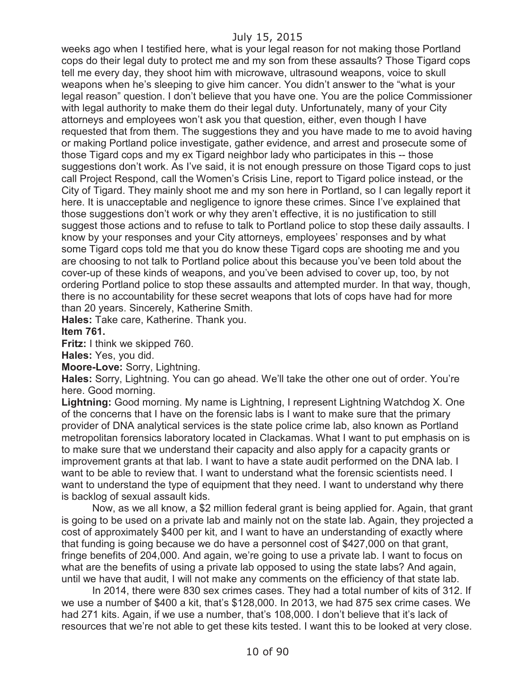weeks ago when I testified here, what is your legal reason for not making those Portland cops do their legal duty to protect me and my son from these assaults? Those Tigard cops tell me every day, they shoot him with microwave, ultrasound weapons, voice to skull weapons when he's sleeping to give him cancer. You didn't answer to the "what is your legal reason" question. I don't believe that you have one. You are the police Commissioner with legal authority to make them do their legal duty. Unfortunately, many of your City attorneys and employees won't ask you that question, either, even though I have requested that from them. The suggestions they and you have made to me to avoid having or making Portland police investigate, gather evidence, and arrest and prosecute some of those Tigard cops and my ex Tigard neighbor lady who participates in this -- those suggestions don't work. As I've said, it is not enough pressure on those Tigard cops to just call Project Respond, call the Women's Crisis Line, report to Tigard police instead, or the City of Tigard. They mainly shoot me and my son here in Portland, so I can legally report it here. It is unacceptable and negligence to ignore these crimes. Since I've explained that those suggestions don't work or why they aren't effective, it is no justification to still suggest those actions and to refuse to talk to Portland police to stop these daily assaults. I know by your responses and your City attorneys, employees' responses and by what some Tigard cops told me that you do know these Tigard cops are shooting me and you are choosing to not talk to Portland police about this because you've been told about the cover-up of these kinds of weapons, and you've been advised to cover up, too, by not ordering Portland police to stop these assaults and attempted murder. In that way, though, there is no accountability for these secret weapons that lots of cops have had for more than 20 years. Sincerely, Katherine Smith.

**Hales:** Take care, Katherine. Thank you.

#### **Item 761.**

**Fritz:** I think we skipped 760.

**Hales:** Yes, you did.

**Moore-Love:** Sorry, Lightning.

**Hales:** Sorry, Lightning. You can go ahead. We'll take the other one out of order. You're here. Good morning.

**Lightning:** Good morning. My name is Lightning, I represent Lightning Watchdog X. One of the concerns that I have on the forensic labs is I want to make sure that the primary provider of DNA analytical services is the state police crime lab, also known as Portland metropolitan forensics laboratory located in Clackamas. What I want to put emphasis on is to make sure that we understand their capacity and also apply for a capacity grants or improvement grants at that lab. I want to have a state audit performed on the DNA lab. I want to be able to review that. I want to understand what the forensic scientists need. I want to understand the type of equipment that they need. I want to understand why there is backlog of sexual assault kids.

Now, as we all know, a \$2 million federal grant is being applied for. Again, that grant is going to be used on a private lab and mainly not on the state lab. Again, they projected a cost of approximately \$400 per kit, and I want to have an understanding of exactly where that funding is going because we do have a personnel cost of \$427,000 on that grant, fringe benefits of 204,000. And again, we're going to use a private lab. I want to focus on what are the benefits of using a private lab opposed to using the state labs? And again, until we have that audit, I will not make any comments on the efficiency of that state lab.

In 2014, there were 830 sex crimes cases. They had a total number of kits of 312. If we use a number of \$400 a kit, that's \$128,000. In 2013, we had 875 sex crime cases. We had 271 kits. Again, if we use a number, that's 108,000. I don't believe that it's lack of resources that we're not able to get these kits tested. I want this to be looked at very close.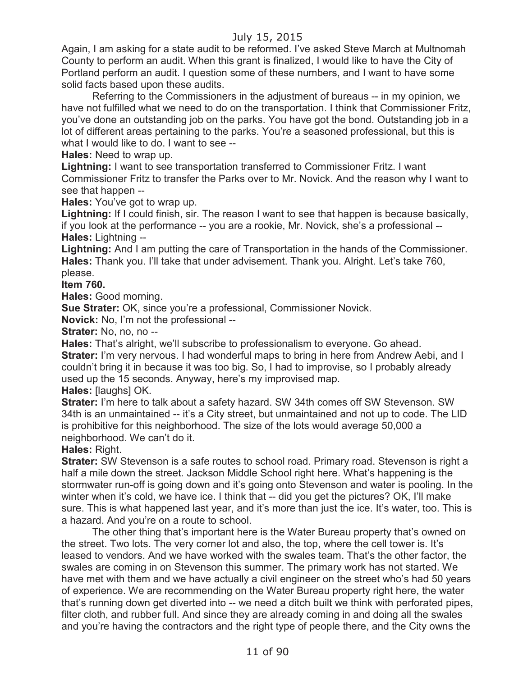Again, I am asking for a state audit to be reformed. I've asked Steve March at Multnomah County to perform an audit. When this grant is finalized, I would like to have the City of Portland perform an audit. I question some of these numbers, and I want to have some solid facts based upon these audits.

Referring to the Commissioners in the adjustment of bureaus -- in my opinion, we have not fulfilled what we need to do on the transportation. I think that Commissioner Fritz, you've done an outstanding job on the parks. You have got the bond. Outstanding job in a lot of different areas pertaining to the parks. You're a seasoned professional, but this is what I would like to do. I want to see --

**Hales:** Need to wrap up.

**Lightning:** I want to see transportation transferred to Commissioner Fritz. I want Commissioner Fritz to transfer the Parks over to Mr. Novick. And the reason why I want to see that happen --

**Hales:** You've got to wrap up.

**Lightning:** If I could finish, sir. The reason I want to see that happen is because basically, if you look at the performance -- you are a rookie, Mr. Novick, she's a professional -- **Hales:** Lightning --

**Lightning:** And I am putting the care of Transportation in the hands of the Commissioner. **Hales:** Thank you. I'll take that under advisement. Thank you. Alright. Let's take 760, please.

**Item 760.**

**Hales:** Good morning.

**Sue Strater:** OK, since you're a professional, Commissioner Novick.

**Novick:** No, I'm not the professional --

**Strater: No, no, no --**

**Hales:** That's alright, we'll subscribe to professionalism to everyone. Go ahead. **Strater:** I'm very nervous. I had wonderful maps to bring in here from Andrew Aebi, and I couldn't bring it in because it was too big. So, I had to improvise, so I probably already used up the 15 seconds. Anyway, here's my improvised map.

**Hales:** [laughs] OK.

**Strater:** I'm here to talk about a safety hazard. SW 34th comes off SW Stevenson. SW 34th is an unmaintained -- it's a City street, but unmaintained and not up to code. The LID is prohibitive for this neighborhood. The size of the lots would average 50,000 a neighborhood. We can't do it.

**Hales:** Right.

**Strater:** SW Stevenson is a safe routes to school road. Primary road. Stevenson is right a half a mile down the street. Jackson Middle School right here. What's happening is the stormwater run-off is going down and it's going onto Stevenson and water is pooling. In the winter when it's cold, we have ice. I think that -- did you get the pictures? OK, I'll make sure. This is what happened last year, and it's more than just the ice. It's water, too. This is a hazard. And you're on a route to school.

The other thing that's important here is the Water Bureau property that's owned on the street. Two lots. The very corner lot and also, the top, where the cell tower is. It's leased to vendors. And we have worked with the swales team. That's the other factor, the swales are coming in on Stevenson this summer. The primary work has not started. We have met with them and we have actually a civil engineer on the street who's had 50 years of experience. We are recommending on the Water Bureau property right here, the water that's running down get diverted into -- we need a ditch built we think with perforated pipes, filter cloth, and rubber full. And since they are already coming in and doing all the swales and you're having the contractors and the right type of people there, and the City owns the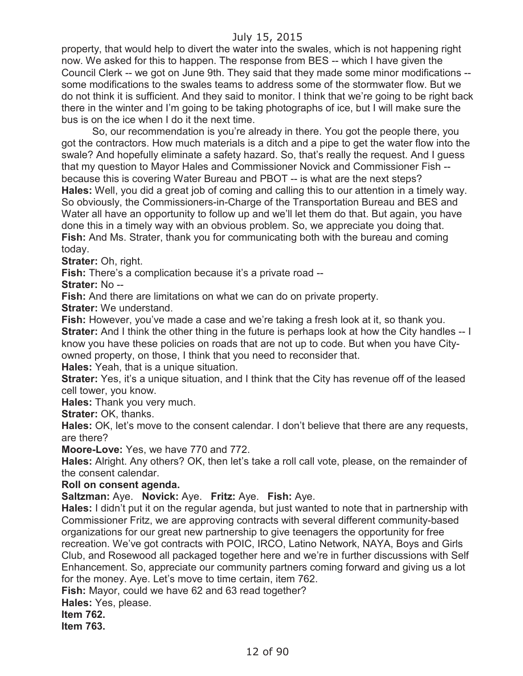property, that would help to divert the water into the swales, which is not happening right now. We asked for this to happen. The response from BES -- which I have given the Council Clerk -- we got on June 9th. They said that they made some minor modifications - some modifications to the swales teams to address some of the stormwater flow. But we do not think it is sufficient. And they said to monitor. I think that we're going to be right back there in the winter and I'm going to be taking photographs of ice, but I will make sure the bus is on the ice when I do it the next time.

So, our recommendation is you're already in there. You got the people there, you got the contractors. How much materials is a ditch and a pipe to get the water flow into the swale? And hopefully eliminate a safety hazard. So, that's really the request. And I guess that my question to Mayor Hales and Commissioner Novick and Commissioner Fish - because this is covering Water Bureau and PBOT -- is what are the next steps? **Hales:** Well, you did a great job of coming and calling this to our attention in a timely way. So obviously, the Commissioners-in-Charge of the Transportation Bureau and BES and Water all have an opportunity to follow up and we'll let them do that. But again, you have done this in a timely way with an obvious problem. So, we appreciate you doing that. **Fish:** And Ms. Strater, thank you for communicating both with the bureau and coming today.

**Strater:** Oh, right.

**Fish:** There's a complication because it's a private road --

**Strater:** No --

**Fish:** And there are limitations on what we can do on private property.

**Strater:** We understand.

**Fish:** However, you've made a case and we're taking a fresh look at it, so thank you. **Strater:** And I think the other thing in the future is perhaps look at how the City handles -- I know you have these policies on roads that are not up to code. But when you have Cityowned property, on those, I think that you need to reconsider that.

**Hales:** Yeah, that is a unique situation.

**Strater:** Yes, it's a unique situation, and I think that the City has revenue off of the leased cell tower, you know.

**Hales:** Thank you very much.

**Strater:** OK, thanks.

**Hales:** OK, let's move to the consent calendar. I don't believe that there are any requests, are there?

**Moore-Love:** Yes, we have 770 and 772.

**Hales:** Alright. Any others? OK, then let's take a roll call vote, please, on the remainder of the consent calendar.

#### **Roll on consent agenda.**

**Saltzman:** Aye. **Novick:** Aye. **Fritz:** Aye. **Fish:** Aye.

**Hales:** I didn't put it on the regular agenda, but just wanted to note that in partnership with Commissioner Fritz, we are approving contracts with several different community-based organizations for our great new partnership to give teenagers the opportunity for free recreation. We've got contracts with POIC, IRCO, Latino Network, NAYA, Boys and Girls Club, and Rosewood all packaged together here and we're in further discussions with Self Enhancement. So, appreciate our community partners coming forward and giving us a lot for the money. Aye. Let's move to time certain, item 762.

**Fish:** Mayor, could we have 62 and 63 read together?

**Hales:** Yes, please.

**Item 762.**

**Item 763.**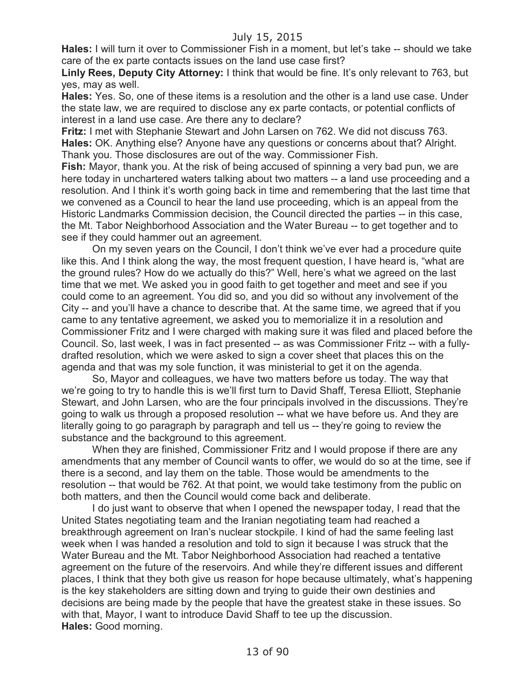**Hales:** I will turn it over to Commissioner Fish in a moment, but let's take -- should we take care of the ex parte contacts issues on the land use case first?

**Linly Rees, Deputy City Attorney:** I think that would be fine. It's only relevant to 763, but yes, may as well.

**Hales:** Yes. So, one of these items is a resolution and the other is a land use case. Under the state law, we are required to disclose any ex parte contacts, or potential conflicts of interest in a land use case. Are there any to declare?

**Fritz:** I met with Stephanie Stewart and John Larsen on 762. We did not discuss 763. **Hales:** OK. Anything else? Anyone have any questions or concerns about that? Alright. Thank you. Those disclosures are out of the way. Commissioner Fish.

**Fish:** Mayor, thank you. At the risk of being accused of spinning a very bad pun, we are here today in unchartered waters talking about two matters -- a land use proceeding and a resolution. And I think it's worth going back in time and remembering that the last time that we convened as a Council to hear the land use proceeding, which is an appeal from the Historic Landmarks Commission decision, the Council directed the parties -- in this case, the Mt. Tabor Neighborhood Association and the Water Bureau -- to get together and to see if they could hammer out an agreement.

On my seven years on the Council, I don't think we've ever had a procedure quite like this. And I think along the way, the most frequent question, I have heard is, "what are the ground rules? How do we actually do this?" Well, here's what we agreed on the last time that we met. We asked you in good faith to get together and meet and see if you could come to an agreement. You did so, and you did so without any involvement of the City -- and you'll have a chance to describe that. At the same time, we agreed that if you came to any tentative agreement, we asked you to memorialize it in a resolution and Commissioner Fritz and I were charged with making sure it was filed and placed before the Council. So, last week, I was in fact presented -- as was Commissioner Fritz -- with a fullydrafted resolution, which we were asked to sign a cover sheet that places this on the agenda and that was my sole function, it was ministerial to get it on the agenda.

So, Mayor and colleagues, we have two matters before us today. The way that we're going to try to handle this is we'll first turn to David Shaff, Teresa Elliott, Stephanie Stewart, and John Larsen, who are the four principals involved in the discussions. They're going to walk us through a proposed resolution -- what we have before us. And they are literally going to go paragraph by paragraph and tell us -- they're going to review the substance and the background to this agreement.

When they are finished, Commissioner Fritz and I would propose if there are any amendments that any member of Council wants to offer, we would do so at the time, see if there is a second, and lay them on the table. Those would be amendments to the resolution -- that would be 762. At that point, we would take testimony from the public on both matters, and then the Council would come back and deliberate.

I do just want to observe that when I opened the newspaper today, I read that the United States negotiating team and the Iranian negotiating team had reached a breakthrough agreement on Iran's nuclear stockpile. I kind of had the same feeling last week when I was handed a resolution and told to sign it because I was struck that the Water Bureau and the Mt. Tabor Neighborhood Association had reached a tentative agreement on the future of the reservoirs. And while they're different issues and different places, I think that they both give us reason for hope because ultimately, what's happening is the key stakeholders are sitting down and trying to guide their own destinies and decisions are being made by the people that have the greatest stake in these issues. So with that, Mayor, I want to introduce David Shaff to tee up the discussion. **Hales:** Good morning.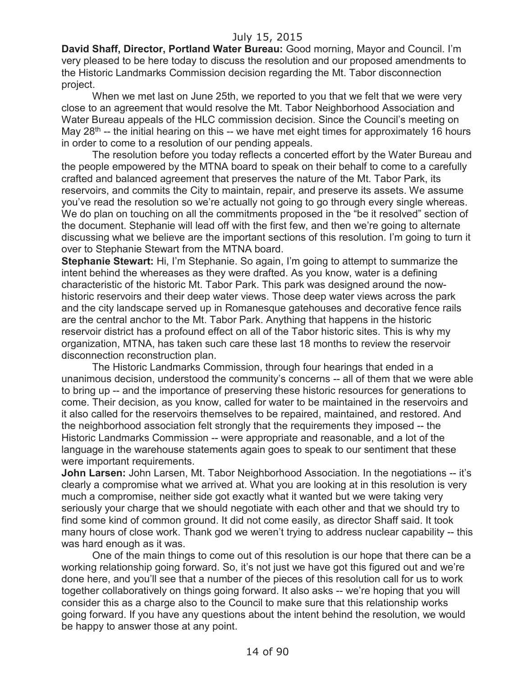**David Shaff, Director, Portland Water Bureau:** Good morning, Mayor and Council. I'm very pleased to be here today to discuss the resolution and our proposed amendments to the Historic Landmarks Commission decision regarding the Mt. Tabor disconnection project.

When we met last on June 25th, we reported to you that we felt that we were very close to an agreement that would resolve the Mt. Tabor Neighborhood Association and Water Bureau appeals of the HLC commission decision. Since the Council's meeting on May 28<sup>th</sup> -- the initial hearing on this -- we have met eight times for approximately 16 hours in order to come to a resolution of our pending appeals.

The resolution before you today reflects a concerted effort by the Water Bureau and the people empowered by the MTNA board to speak on their behalf to come to a carefully crafted and balanced agreement that preserves the nature of the Mt. Tabor Park, its reservoirs, and commits the City to maintain, repair, and preserve its assets. We assume you've read the resolution so we're actually not going to go through every single whereas. We do plan on touching on all the commitments proposed in the "be it resolved" section of the document. Stephanie will lead off with the first few, and then we're going to alternate discussing what we believe are the important sections of this resolution. I'm going to turn it over to Stephanie Stewart from the MTNA board.

**Stephanie Stewart:** Hi, I'm Stephanie. So again, I'm going to attempt to summarize the intent behind the whereases as they were drafted. As you know, water is a defining characteristic of the historic Mt. Tabor Park. This park was designed around the nowhistoric reservoirs and their deep water views. Those deep water views across the park and the city landscape served up in Romanesque gatehouses and decorative fence rails are the central anchor to the Mt. Tabor Park. Anything that happens in the historic reservoir district has a profound effect on all of the Tabor historic sites. This is why my organization, MTNA, has taken such care these last 18 months to review the reservoir disconnection reconstruction plan.

The Historic Landmarks Commission, through four hearings that ended in a unanimous decision, understood the community's concerns -- all of them that we were able to bring up -- and the importance of preserving these historic resources for generations to come. Their decision, as you know, called for water to be maintained in the reservoirs and it also called for the reservoirs themselves to be repaired, maintained, and restored. And the neighborhood association felt strongly that the requirements they imposed -- the Historic Landmarks Commission -- were appropriate and reasonable, and a lot of the language in the warehouse statements again goes to speak to our sentiment that these were important requirements.

**John Larsen:** John Larsen, Mt. Tabor Neighborhood Association. In the negotiations -- it's clearly a compromise what we arrived at. What you are looking at in this resolution is very much a compromise, neither side got exactly what it wanted but we were taking very seriously your charge that we should negotiate with each other and that we should try to find some kind of common ground. It did not come easily, as director Shaff said. It took many hours of close work. Thank god we weren't trying to address nuclear capability -- this was hard enough as it was.

One of the main things to come out of this resolution is our hope that there can be a working relationship going forward. So, it's not just we have got this figured out and we're done here, and you'll see that a number of the pieces of this resolution call for us to work together collaboratively on things going forward. It also asks -- we're hoping that you will consider this as a charge also to the Council to make sure that this relationship works going forward. If you have any questions about the intent behind the resolution, we would be happy to answer those at any point.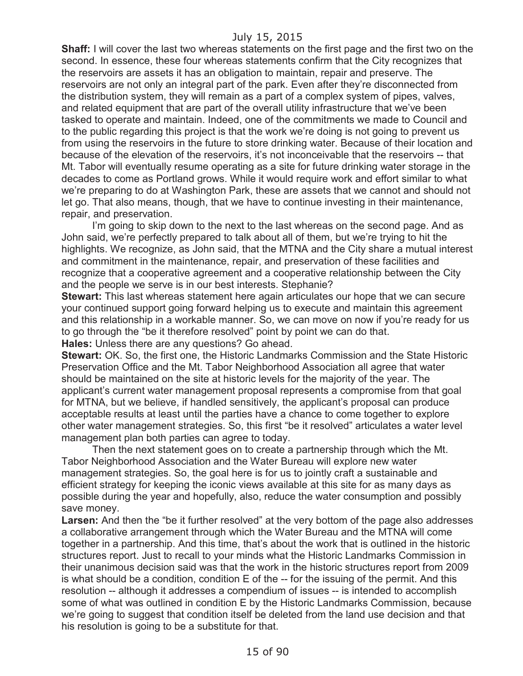**Shaff:** I will cover the last two whereas statements on the first page and the first two on the second. In essence, these four whereas statements confirm that the City recognizes that the reservoirs are assets it has an obligation to maintain, repair and preserve. The reservoirs are not only an integral part of the park. Even after they're disconnected from the distribution system, they will remain as a part of a complex system of pipes, valves, and related equipment that are part of the overall utility infrastructure that we've been tasked to operate and maintain. Indeed, one of the commitments we made to Council and to the public regarding this project is that the work we're doing is not going to prevent us from using the reservoirs in the future to store drinking water. Because of their location and because of the elevation of the reservoirs, it's not inconceivable that the reservoirs -- that Mt. Tabor will eventually resume operating as a site for future drinking water storage in the decades to come as Portland grows. While it would require work and effort similar to what we're preparing to do at Washington Park, these are assets that we cannot and should not let go. That also means, though, that we have to continue investing in their maintenance, repair, and preservation.

I'm going to skip down to the next to the last whereas on the second page. And as John said, we're perfectly prepared to talk about all of them, but we're trying to hit the highlights. We recognize, as John said, that the MTNA and the City share a mutual interest and commitment in the maintenance, repair, and preservation of these facilities and recognize that a cooperative agreement and a cooperative relationship between the City and the people we serve is in our best interests. Stephanie?

**Stewart:** This last whereas statement here again articulates our hope that we can secure your continued support going forward helping us to execute and maintain this agreement and this relationship in a workable manner. So, we can move on now if you're ready for us to go through the "be it therefore resolved" point by point we can do that. **Hales:** Unless there are any questions? Go ahead.

**Stewart:** OK. So, the first one, the Historic Landmarks Commission and the State Historic Preservation Office and the Mt. Tabor Neighborhood Association all agree that water should be maintained on the site at historic levels for the majority of the year. The applicant's current water management proposal represents a compromise from that goal for MTNA, but we believe, if handled sensitively, the applicant's proposal can produce acceptable results at least until the parties have a chance to come together to explore other water management strategies. So, this first "be it resolved" articulates a water level management plan both parties can agree to today.

Then the next statement goes on to create a partnership through which the Mt. Tabor Neighborhood Association and the Water Bureau will explore new water management strategies. So, the goal here is for us to jointly craft a sustainable and efficient strategy for keeping the iconic views available at this site for as many days as possible during the year and hopefully, also, reduce the water consumption and possibly save money.

**Larsen:** And then the "be it further resolved" at the very bottom of the page also addresses a collaborative arrangement through which the Water Bureau and the MTNA will come together in a partnership. And this time, that's about the work that is outlined in the historic structures report. Just to recall to your minds what the Historic Landmarks Commission in their unanimous decision said was that the work in the historic structures report from 2009 is what should be a condition, condition E of the -- for the issuing of the permit. And this resolution -- although it addresses a compendium of issues -- is intended to accomplish some of what was outlined in condition E by the Historic Landmarks Commission, because we're going to suggest that condition itself be deleted from the land use decision and that his resolution is going to be a substitute for that.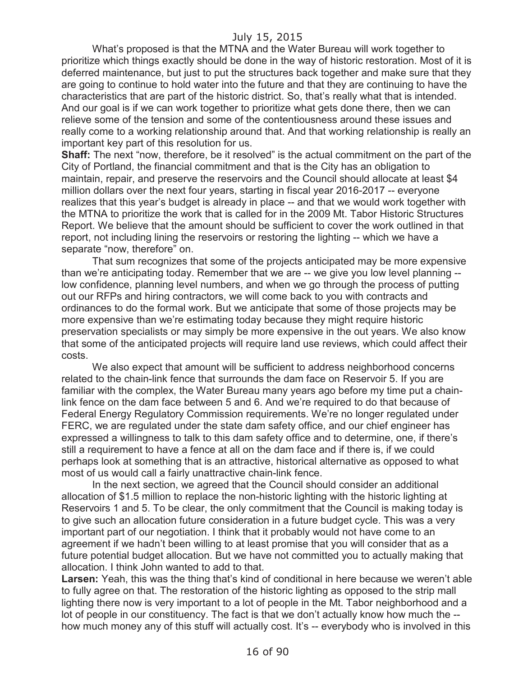What's proposed is that the MTNA and the Water Bureau will work together to prioritize which things exactly should be done in the way of historic restoration. Most of it is deferred maintenance, but just to put the structures back together and make sure that they are going to continue to hold water into the future and that they are continuing to have the characteristics that are part of the historic district. So, that's really what that is intended. And our goal is if we can work together to prioritize what gets done there, then we can relieve some of the tension and some of the contentiousness around these issues and really come to a working relationship around that. And that working relationship is really an important key part of this resolution for us.

**Shaff:** The next "now, therefore, be it resolved" is the actual commitment on the part of the City of Portland, the financial commitment and that is the City has an obligation to maintain, repair, and preserve the reservoirs and the Council should allocate at least \$4 million dollars over the next four years, starting in fiscal year 2016-2017 -- everyone realizes that this year's budget is already in place -- and that we would work together with the MTNA to prioritize the work that is called for in the 2009 Mt. Tabor Historic Structures Report. We believe that the amount should be sufficient to cover the work outlined in that report, not including lining the reservoirs or restoring the lighting -- which we have a separate "now, therefore" on.

That sum recognizes that some of the projects anticipated may be more expensive than we're anticipating today. Remember that we are -- we give you low level planning - low confidence, planning level numbers, and when we go through the process of putting out our RFPs and hiring contractors, we will come back to you with contracts and ordinances to do the formal work. But we anticipate that some of those projects may be more expensive than we're estimating today because they might require historic preservation specialists or may simply be more expensive in the out years. We also know that some of the anticipated projects will require land use reviews, which could affect their costs.

We also expect that amount will be sufficient to address neighborhood concerns related to the chain-link fence that surrounds the dam face on Reservoir 5. If you are familiar with the complex, the Water Bureau many years ago before my time put a chainlink fence on the dam face between 5 and 6. And we're required to do that because of Federal Energy Regulatory Commission requirements. We're no longer regulated under FERC, we are regulated under the state dam safety office, and our chief engineer has expressed a willingness to talk to this dam safety office and to determine, one, if there's still a requirement to have a fence at all on the dam face and if there is, if we could perhaps look at something that is an attractive, historical alternative as opposed to what most of us would call a fairly unattractive chain-link fence.

In the next section, we agreed that the Council should consider an additional allocation of \$1.5 million to replace the non-historic lighting with the historic lighting at Reservoirs 1 and 5. To be clear, the only commitment that the Council is making today is to give such an allocation future consideration in a future budget cycle. This was a very important part of our negotiation. I think that it probably would not have come to an agreement if we hadn't been willing to at least promise that you will consider that as a future potential budget allocation. But we have not committed you to actually making that allocation. I think John wanted to add to that.

Larsen: Yeah, this was the thing that's kind of conditional in here because we weren't able to fully agree on that. The restoration of the historic lighting as opposed to the strip mall lighting there now is very important to a lot of people in the Mt. Tabor neighborhood and a lot of people in our constituency. The fact is that we don't actually know how much the - how much money any of this stuff will actually cost. It's -- everybody who is involved in this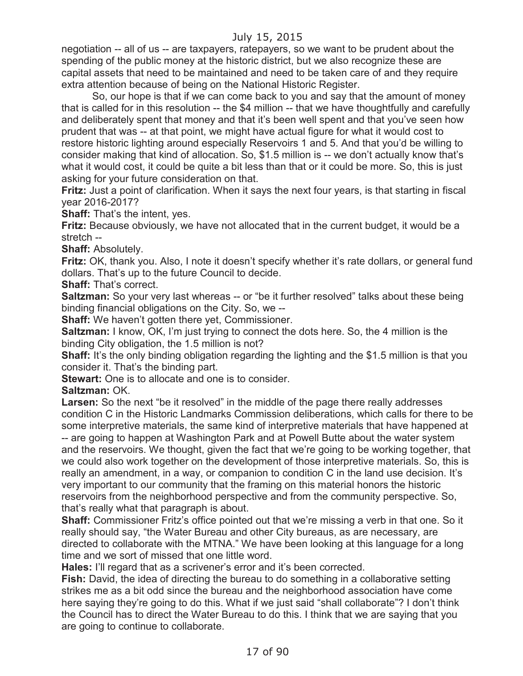negotiation -- all of us -- are taxpayers, ratepayers, so we want to be prudent about the spending of the public money at the historic district, but we also recognize these are capital assets that need to be maintained and need to be taken care of and they require extra attention because of being on the National Historic Register.

So, our hope is that if we can come back to you and say that the amount of money that is called for in this resolution -- the \$4 million -- that we have thoughtfully and carefully and deliberately spent that money and that it's been well spent and that you've seen how prudent that was -- at that point, we might have actual figure for what it would cost to restore historic lighting around especially Reservoirs 1 and 5. And that you'd be willing to consider making that kind of allocation. So, \$1.5 million is -- we don't actually know that's what it would cost, it could be quite a bit less than that or it could be more. So, this is just asking for your future consideration on that.

**Fritz:** Just a point of clarification. When it says the next four years, is that starting in fiscal year 2016-2017?

**Shaff:** That's the intent, yes.

**Fritz:** Because obviously, we have not allocated that in the current budget, it would be a stretch --

**Shaff:** Absolutely.

**Fritz:** OK, thank you. Also, I note it doesn't specify whether it's rate dollars, or general fund dollars. That's up to the future Council to decide.

**Shaff:** That's correct.

**Saltzman:** So your very last whereas -- or "be it further resolved" talks about these being binding financial obligations on the City. So, we --

**Shaff:** We haven't gotten there yet, Commissioner.

**Saltzman:** I know, OK, I'm just trying to connect the dots here. So, the 4 million is the binding City obligation, the 1.5 million is not?

**Shaff:** It's the only binding obligation regarding the lighting and the \$1.5 million is that you consider it. That's the binding part.

**Stewart:** One is to allocate and one is to consider.

**Saltzman:** OK.

Larsen: So the next "be it resolved" in the middle of the page there really addresses condition C in the Historic Landmarks Commission deliberations, which calls for there to be some interpretive materials, the same kind of interpretive materials that have happened at -- are going to happen at Washington Park and at Powell Butte about the water system and the reservoirs. We thought, given the fact that we're going to be working together, that we could also work together on the development of those interpretive materials. So, this is really an amendment, in a way, or companion to condition C in the land use decision. It's very important to our community that the framing on this material honors the historic reservoirs from the neighborhood perspective and from the community perspective. So, that's really what that paragraph is about.

**Shaff:** Commissioner Fritz's office pointed out that we're missing a verb in that one. So it really should say, "the Water Bureau and other City bureaus, as are necessary, are directed to collaborate with the MTNA." We have been looking at this language for a long time and we sort of missed that one little word.

**Hales:** I'll regard that as a scrivener's error and it's been corrected.

**Fish:** David, the idea of directing the bureau to do something in a collaborative setting strikes me as a bit odd since the bureau and the neighborhood association have come here saying they're going to do this. What if we just said "shall collaborate"? I don't think the Council has to direct the Water Bureau to do this. I think that we are saying that you are going to continue to collaborate.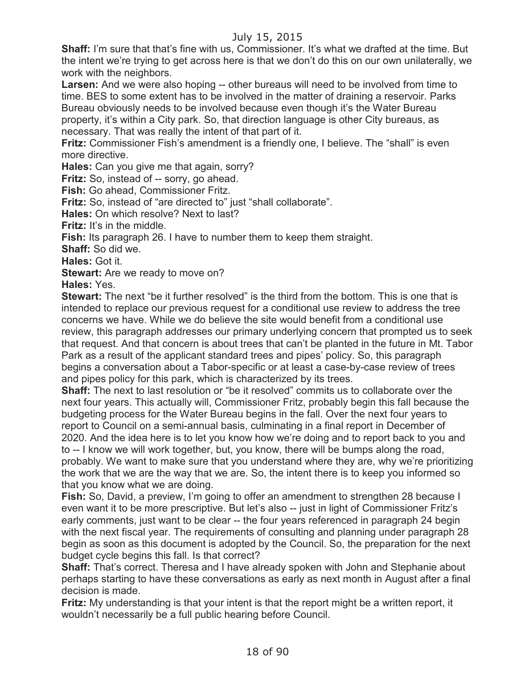**Shaff:** I'm sure that that's fine with us, Commissioner. It's what we drafted at the time. But the intent we're trying to get across here is that we don't do this on our own unilaterally, we work with the neighbors.

**Larsen:** And we were also hoping -- other bureaus will need to be involved from time to time. BES to some extent has to be involved in the matter of draining a reservoir. Parks Bureau obviously needs to be involved because even though it's the Water Bureau property, it's within a City park. So, that direction language is other City bureaus, as necessary. That was really the intent of that part of it.

**Fritz:** Commissioner Fish's amendment is a friendly one, I believe. The "shall" is even more directive.

**Hales:** Can you give me that again, sorry?

**Fritz:** So, instead of -- sorry, go ahead.

**Fish:** Go ahead, Commissioner Fritz.

**Fritz:** So, instead of "are directed to" just "shall collaborate".

**Hales:** On which resolve? Next to last?

**Fritz:** It's in the middle.

**Fish:** Its paragraph 26. I have to number them to keep them straight.

**Shaff:** So did we.

**Hales:** Got it.

**Stewart:** Are we ready to move on?

**Hales:** Yes.

**Stewart:** The next "be it further resolved" is the third from the bottom. This is one that is intended to replace our previous request for a conditional use review to address the tree concerns we have. While we do believe the site would benefit from a conditional use review, this paragraph addresses our primary underlying concern that prompted us to seek that request. And that concern is about trees that can't be planted in the future in Mt. Tabor Park as a result of the applicant standard trees and pipes' policy. So, this paragraph begins a conversation about a Tabor-specific or at least a case-by-case review of trees and pipes policy for this park, which is characterized by its trees.

**Shaff:** The next to last resolution or "be it resolved" commits us to collaborate over the next four years. This actually will, Commissioner Fritz, probably begin this fall because the budgeting process for the Water Bureau begins in the fall. Over the next four years to report to Council on a semi-annual basis, culminating in a final report in December of 2020. And the idea here is to let you know how we're doing and to report back to you and to -- I know we will work together, but, you know, there will be bumps along the road, probably. We want to make sure that you understand where they are, why we're prioritizing the work that we are the way that we are. So, the intent there is to keep you informed so that you know what we are doing.

**Fish:** So, David, a preview, I'm going to offer an amendment to strengthen 28 because I even want it to be more prescriptive. But let's also -- just in light of Commissioner Fritz's early comments, just want to be clear -- the four years referenced in paragraph 24 begin with the next fiscal year. The requirements of consulting and planning under paragraph 28 begin as soon as this document is adopted by the Council. So, the preparation for the next budget cycle begins this fall. Is that correct?

**Shaff:** That's correct. Theresa and I have already spoken with John and Stephanie about perhaps starting to have these conversations as early as next month in August after a final decision is made.

**Fritz:** My understanding is that your intent is that the report might be a written report, it wouldn't necessarily be a full public hearing before Council.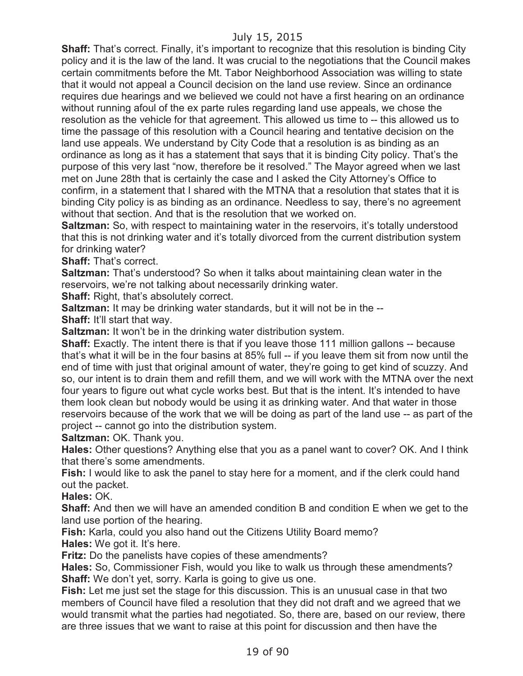**Shaff:** That's correct. Finally, it's important to recognize that this resolution is binding City policy and it is the law of the land. It was crucial to the negotiations that the Council makes certain commitments before the Mt. Tabor Neighborhood Association was willing to state that it would not appeal a Council decision on the land use review. Since an ordinance requires due hearings and we believed we could not have a first hearing on an ordinance without running afoul of the ex parte rules regarding land use appeals, we chose the resolution as the vehicle for that agreement. This allowed us time to -- this allowed us to time the passage of this resolution with a Council hearing and tentative decision on the land use appeals. We understand by City Code that a resolution is as binding as an ordinance as long as it has a statement that says that it is binding City policy. That's the purpose of this very last "now, therefore be it resolved." The Mayor agreed when we last met on June 28th that is certainly the case and I asked the City Attorney's Office to confirm, in a statement that I shared with the MTNA that a resolution that states that it is binding City policy is as binding as an ordinance. Needless to say, there's no agreement without that section. And that is the resolution that we worked on.

**Saltzman:** So, with respect to maintaining water in the reservoirs, it's totally understood that this is not drinking water and it's totally divorced from the current distribution system for drinking water?

**Shaff:** That's correct.

**Saltzman:** That's understood? So when it talks about maintaining clean water in the reservoirs, we're not talking about necessarily drinking water.

**Shaff:** Right, that's absolutely correct.

**Saltzman:** It may be drinking water standards, but it will not be in the --

**Shaff:** It'll start that way.

**Saltzman:** It won't be in the drinking water distribution system.

**Shaff:** Exactly. The intent there is that if you leave those 111 million gallons -- because that's what it will be in the four basins at 85% full -- if you leave them sit from now until the end of time with just that original amount of water, they're going to get kind of scuzzy. And so, our intent is to drain them and refill them, and we will work with the MTNA over the next four years to figure out what cycle works best. But that is the intent. It's intended to have them look clean but nobody would be using it as drinking water. And that water in those reservoirs because of the work that we will be doing as part of the land use -- as part of the project -- cannot go into the distribution system.

**Saltzman:** OK. Thank you.

**Hales:** Other questions? Anything else that you as a panel want to cover? OK. And I think that there's some amendments.

**Fish:** I would like to ask the panel to stay here for a moment, and if the clerk could hand out the packet.

**Hales:** OK.

**Shaff:** And then we will have an amended condition B and condition E when we get to the land use portion of the hearing.

**Fish:** Karla, could you also hand out the Citizens Utility Board memo?

**Hales:** We got it. It's here.

**Fritz:** Do the panelists have copies of these amendments?

**Hales:** So, Commissioner Fish, would you like to walk us through these amendments? **Shaff:** We don't yet, sorry. Karla is going to give us one.

**Fish:** Let me just set the stage for this discussion. This is an unusual case in that two members of Council have filed a resolution that they did not draft and we agreed that we would transmit what the parties had negotiated. So, there are, based on our review, there are three issues that we want to raise at this point for discussion and then have the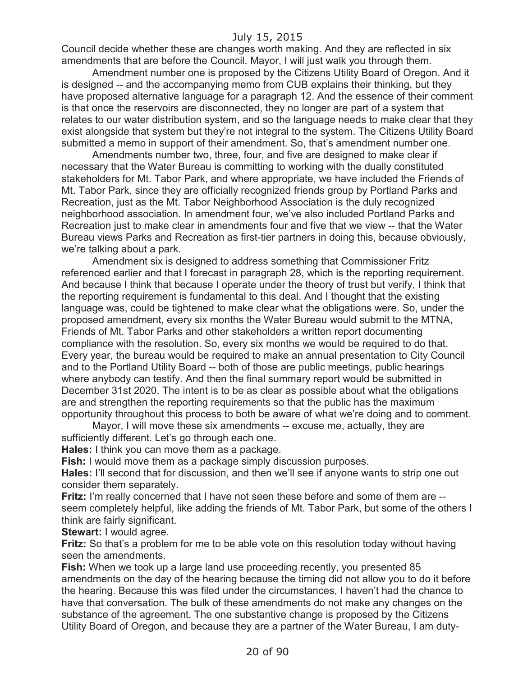Council decide whether these are changes worth making. And they are reflected in six amendments that are before the Council. Mayor, I will just walk you through them.

Amendment number one is proposed by the Citizens Utility Board of Oregon. And it is designed -- and the accompanying memo from CUB explains their thinking, but they have proposed alternative language for a paragraph 12. And the essence of their comment is that once the reservoirs are disconnected, they no longer are part of a system that relates to our water distribution system, and so the language needs to make clear that they exist alongside that system but they're not integral to the system. The Citizens Utility Board submitted a memo in support of their amendment. So, that's amendment number one.

Amendments number two, three, four, and five are designed to make clear if necessary that the Water Bureau is committing to working with the dually constituted stakeholders for Mt. Tabor Park, and where appropriate, we have included the Friends of Mt. Tabor Park, since they are officially recognized friends group by Portland Parks and Recreation, just as the Mt. Tabor Neighborhood Association is the duly recognized neighborhood association. In amendment four, we've also included Portland Parks and Recreation just to make clear in amendments four and five that we view -- that the Water Bureau views Parks and Recreation as first-tier partners in doing this, because obviously, we're talking about a park.

Amendment six is designed to address something that Commissioner Fritz referenced earlier and that I forecast in paragraph 28, which is the reporting requirement. And because I think that because I operate under the theory of trust but verify, I think that the reporting requirement is fundamental to this deal. And I thought that the existing language was, could be tightened to make clear what the obligations were. So, under the proposed amendment, every six months the Water Bureau would submit to the MTNA, Friends of Mt. Tabor Parks and other stakeholders a written report documenting compliance with the resolution. So, every six months we would be required to do that. Every year, the bureau would be required to make an annual presentation to City Council and to the Portland Utility Board -- both of those are public meetings, public hearings where anybody can testify. And then the final summary report would be submitted in December 31st 2020. The intent is to be as clear as possible about what the obligations are and strengthen the reporting requirements so that the public has the maximum opportunity throughout this process to both be aware of what we're doing and to comment.

Mayor, I will move these six amendments -- excuse me, actually, they are sufficiently different. Let's go through each one.

**Hales:** I think you can move them as a package.

**Fish:** I would move them as a package simply discussion purposes.

**Hales:** I'll second that for discussion, and then we'll see if anyone wants to strip one out consider them separately.

**Fritz:** I'm really concerned that I have not seen these before and some of them are - seem completely helpful, like adding the friends of Mt. Tabor Park, but some of the others I think are fairly significant.

**Stewart:** I would agree.

**Fritz:** So that's a problem for me to be able vote on this resolution today without having seen the amendments.

**Fish:** When we took up a large land use proceeding recently, you presented 85 amendments on the day of the hearing because the timing did not allow you to do it before the hearing. Because this was filed under the circumstances, I haven't had the chance to have that conversation. The bulk of these amendments do not make any changes on the substance of the agreement. The one substantive change is proposed by the Citizens Utility Board of Oregon, and because they are a partner of the Water Bureau, I am duty-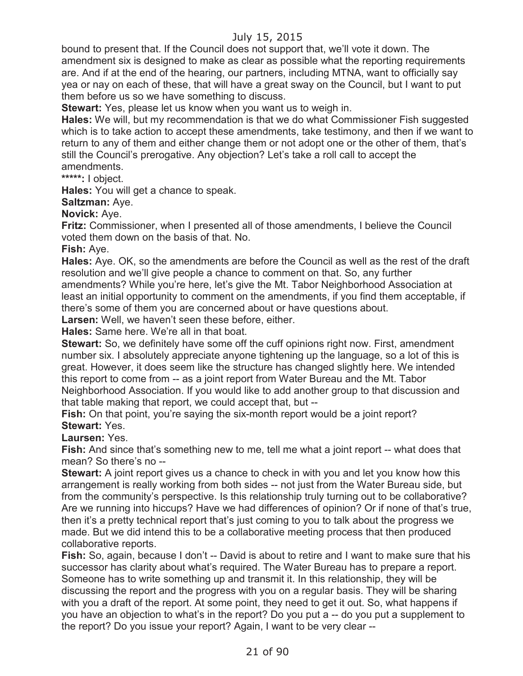bound to present that. If the Council does not support that, we'll vote it down. The amendment six is designed to make as clear as possible what the reporting requirements are. And if at the end of the hearing, our partners, including MTNA, want to officially say yea or nay on each of these, that will have a great sway on the Council, but I want to put them before us so we have something to discuss.

**Stewart:** Yes, please let us know when you want us to weigh in.

**Hales:** We will, but my recommendation is that we do what Commissioner Fish suggested which is to take action to accept these amendments, take testimony, and then if we want to return to any of them and either change them or not adopt one or the other of them, that's still the Council's prerogative. Any objection? Let's take a roll call to accept the amendments.

**\*\*\*\*\*:** I object.

**Hales:** You will get a chance to speak.

**Saltzman:** Aye.

**Novick:** Aye.

**Fritz:** Commissioner, when I presented all of those amendments, I believe the Council voted them down on the basis of that. No.

**Fish:** Aye.

**Hales:** Aye. OK, so the amendments are before the Council as well as the rest of the draft resolution and we'll give people a chance to comment on that. So, any further amendments? While you're here, let's give the Mt. Tabor Neighborhood Association at least an initial opportunity to comment on the amendments, if you find them acceptable, if there's some of them you are concerned about or have questions about.

**Larsen:** Well, we haven't seen these before, either.

**Hales:** Same here. We're all in that boat.

**Stewart:** So, we definitely have some off the cuff opinions right now. First, amendment number six. I absolutely appreciate anyone tightening up the language, so a lot of this is great. However, it does seem like the structure has changed slightly here. We intended this report to come from -- as a joint report from Water Bureau and the Mt. Tabor Neighborhood Association. If you would like to add another group to that discussion and that table making that report, we could accept that, but --

Fish: On that point, you're saying the six-month report would be a joint report? **Stewart:** Yes.

**Laursen:** Yes.

**Fish:** And since that's something new to me, tell me what a joint report -- what does that mean? So there's no --

**Stewart:** A joint report gives us a chance to check in with you and let you know how this arrangement is really working from both sides -- not just from the Water Bureau side, but from the community's perspective. Is this relationship truly turning out to be collaborative? Are we running into hiccups? Have we had differences of opinion? Or if none of that's true, then it's a pretty technical report that's just coming to you to talk about the progress we made. But we did intend this to be a collaborative meeting process that then produced collaborative reports.

**Fish:** So, again, because I don't -- David is about to retire and I want to make sure that his successor has clarity about what's required. The Water Bureau has to prepare a report. Someone has to write something up and transmit it. In this relationship, they will be discussing the report and the progress with you on a regular basis. They will be sharing with you a draft of the report. At some point, they need to get it out. So, what happens if you have an objection to what's in the report? Do you put a -- do you put a supplement to the report? Do you issue your report? Again, I want to be very clear --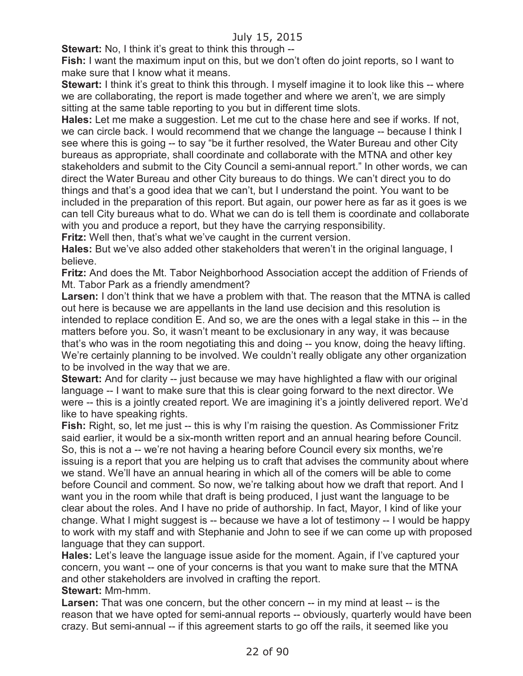**Stewart:** No, I think it's great to think this through --

**Fish:** I want the maximum input on this, but we don't often do joint reports, so I want to make sure that I know what it means.

**Stewart:** I think it's great to think this through. I myself imagine it to look like this -- where we are collaborating, the report is made together and where we aren't, we are simply sitting at the same table reporting to you but in different time slots.

**Hales:** Let me make a suggestion. Let me cut to the chase here and see if works. If not, we can circle back. I would recommend that we change the language -- because I think I see where this is going -- to say "be it further resolved, the Water Bureau and other City bureaus as appropriate, shall coordinate and collaborate with the MTNA and other key stakeholders and submit to the City Council a semi-annual report." In other words, we can direct the Water Bureau and other City bureaus to do things. We can't direct you to do things and that's a good idea that we can't, but I understand the point. You want to be included in the preparation of this report. But again, our power here as far as it goes is we can tell City bureaus what to do. What we can do is tell them is coordinate and collaborate with you and produce a report, but they have the carrying responsibility.

**Fritz:** Well then, that's what we've caught in the current version.

**Hales:** But we've also added other stakeholders that weren't in the original language, I believe.

**Fritz:** And does the Mt. Tabor Neighborhood Association accept the addition of Friends of Mt. Tabor Park as a friendly amendment?

**Larsen:** I don't think that we have a problem with that. The reason that the MTNA is called out here is because we are appellants in the land use decision and this resolution is intended to replace condition E. And so, we are the ones with a legal stake in this -- in the matters before you. So, it wasn't meant to be exclusionary in any way, it was because that's who was in the room negotiating this and doing -- you know, doing the heavy lifting. We're certainly planning to be involved. We couldn't really obligate any other organization to be involved in the way that we are.

**Stewart:** And for clarity -- just because we may have highlighted a flaw with our original language -- I want to make sure that this is clear going forward to the next director. We were -- this is a jointly created report. We are imagining it's a jointly delivered report. We'd like to have speaking rights.

**Fish:** Right, so, let me just -- this is why I'm raising the question. As Commissioner Fritz said earlier, it would be a six-month written report and an annual hearing before Council. So, this is not a -- we're not having a hearing before Council every six months, we're issuing is a report that you are helping us to craft that advises the community about where we stand. We'll have an annual hearing in which all of the comers will be able to come before Council and comment. So now, we're talking about how we draft that report. And I want you in the room while that draft is being produced, I just want the language to be clear about the roles. And I have no pride of authorship. In fact, Mayor, I kind of like your change. What I might suggest is -- because we have a lot of testimony -- I would be happy to work with my staff and with Stephanie and John to see if we can come up with proposed language that they can support.

**Hales:** Let's leave the language issue aside for the moment. Again, if I've captured your concern, you want -- one of your concerns is that you want to make sure that the MTNA and other stakeholders are involved in crafting the report.

**Stewart:** Mm-hmm.

**Larsen:** That was one concern, but the other concern -- in my mind at least -- is the reason that we have opted for semi-annual reports -- obviously, quarterly would have been crazy. But semi-annual -- if this agreement starts to go off the rails, it seemed like you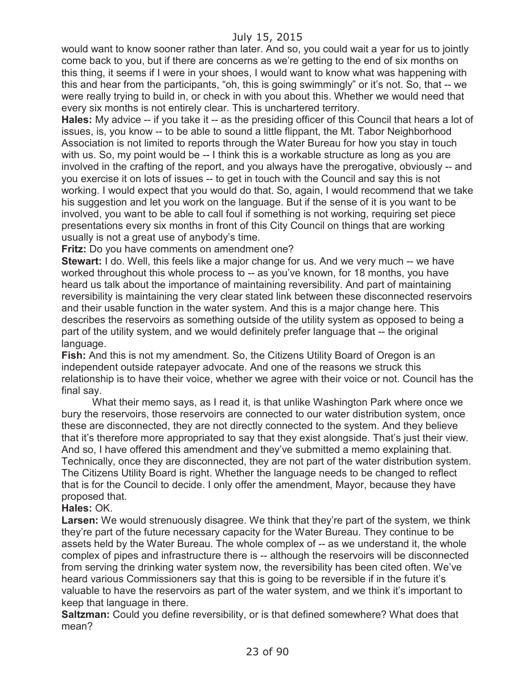would want to know sooner rather than later. And so, you could wait a year for us to jointly come back to you, but if there are concerns as we're getting to the end of six months on this thing, it seems if I were in your shoes, I would want to know what was happening with this and hear from the participants, "oh, this is going swimmingly" or it's not. So, that -- we were really trying to build in, or check in with you about this. Whether we would need that every six months is not entirely clear. This is unchartered territory.

**Hales:** My advice -- if you take it -- as the presiding officer of this Council that hears a lot of issues, is, you know -- to be able to sound a little flippant, the Mt. Tabor Neighborhood Association is not limited to reports through the Water Bureau for how you stay in touch with us. So, my point would be -- I think this is a workable structure as long as you are involved in the crafting of the report, and you always have the prerogative, obviously -- and you exercise it on lots of issues -- to get in touch with the Council and say this is not working. I would expect that you would do that. So, again, I would recommend that we take his suggestion and let you work on the language. But if the sense of it is you want to be involved, you want to be able to call foul if something is not working, requiring set piece presentations every six months in front of this City Council on things that are working usually is not a great use of anybody's time.

**Fritz:** Do you have comments on amendment one?

**Stewart:** I do. Well, this feels like a major change for us. And we very much -- we have worked throughout this whole process to -- as you've known, for 18 months, you have heard us talk about the importance of maintaining reversibility. And part of maintaining reversibility is maintaining the very clear stated link between these disconnected reservoirs and their usable function in the water system. And this is a major change here. This describes the reservoirs as something outside of the utility system as opposed to being a part of the utility system, and we would definitely prefer language that -- the original language.

**Fish:** And this is not my amendment. So, the Citizens Utility Board of Oregon is an independent outside ratepayer advocate. And one of the reasons we struck this relationship is to have their voice, whether we agree with their voice or not. Council has the final say.

What their memo says, as I read it, is that unlike Washington Park where once we bury the reservoirs, those reservoirs are connected to our water distribution system, once these are disconnected, they are not directly connected to the system. And they believe that it's therefore more appropriated to say that they exist alongside. That's just their view. And so, I have offered this amendment and they've submitted a memo explaining that. Technically, once they are disconnected, they are not part of the water distribution system. The Citizens Utility Board is right. Whether the language needs to be changed to reflect that is for the Council to decide. I only offer the amendment, Mayor, because they have proposed that.

#### **Hales:** OK.

**Larsen:** We would strenuously disagree. We think that they're part of the system, we think they're part of the future necessary capacity for the Water Bureau. They continue to be assets held by the Water Bureau. The whole complex of -- as we understand it, the whole complex of pipes and infrastructure there is -- although the reservoirs will be disconnected from serving the drinking water system now, the reversibility has been cited often. We've heard various Commissioners say that this is going to be reversible if in the future it's valuable to have the reservoirs as part of the water system, and we think it's important to keep that language in there.

**Saltzman:** Could you define reversibility, or is that defined somewhere? What does that mean?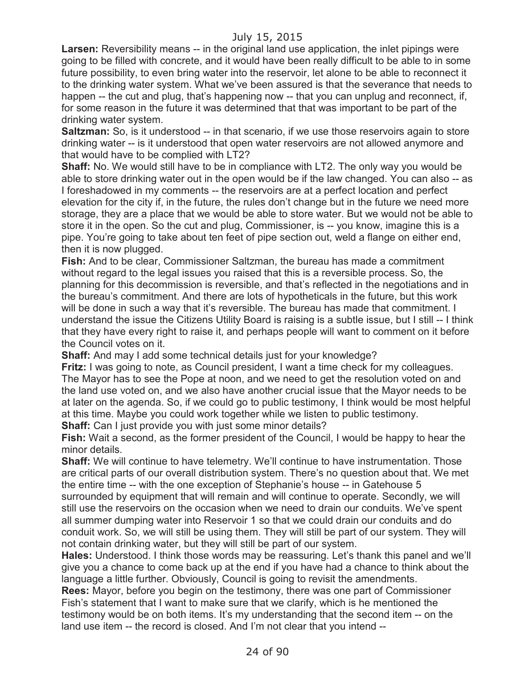**Larsen:** Reversibility means -- in the original land use application, the inlet pipings were going to be filled with concrete, and it would have been really difficult to be able to in some future possibility, to even bring water into the reservoir, let alone to be able to reconnect it to the drinking water system. What we've been assured is that the severance that needs to happen -- the cut and plug, that's happening now -- that you can unplug and reconnect, if, for some reason in the future it was determined that that was important to be part of the drinking water system.

**Saltzman:** So, is it understood -- in that scenario, if we use those reservoirs again to store drinking water -- is it understood that open water reservoirs are not allowed anymore and that would have to be complied with LT2?

**Shaff:** No. We would still have to be in compliance with LT2. The only way you would be able to store drinking water out in the open would be if the law changed. You can also -- as I foreshadowed in my comments -- the reservoirs are at a perfect location and perfect elevation for the city if, in the future, the rules don't change but in the future we need more storage, they are a place that we would be able to store water. But we would not be able to store it in the open. So the cut and plug, Commissioner, is -- you know, imagine this is a pipe. You're going to take about ten feet of pipe section out, weld a flange on either end, then it is now plugged.

**Fish:** And to be clear, Commissioner Saltzman, the bureau has made a commitment without regard to the legal issues you raised that this is a reversible process. So, the planning for this decommission is reversible, and that's reflected in the negotiations and in the bureau's commitment. And there are lots of hypotheticals in the future, but this work will be done in such a way that it's reversible. The bureau has made that commitment. I understand the issue the Citizens Utility Board is raising is a subtle issue, but I still -- I think that they have every right to raise it, and perhaps people will want to comment on it before the Council votes on it.

**Shaff:** And may I add some technical details just for your knowledge?

**Fritz:** I was going to note, as Council president, I want a time check for my colleagues. The Mayor has to see the Pope at noon, and we need to get the resolution voted on and the land use voted on, and we also have another crucial issue that the Mayor needs to be at later on the agenda. So, if we could go to public testimony, I think would be most helpful at this time. Maybe you could work together while we listen to public testimony.

**Shaff:** Can I just provide you with just some minor details?

**Fish:** Wait a second, as the former president of the Council, I would be happy to hear the minor details.

**Shaff:** We will continue to have telemetry. We'll continue to have instrumentation. Those are critical parts of our overall distribution system. There's no question about that. We met the entire time -- with the one exception of Stephanie's house -- in Gatehouse 5 surrounded by equipment that will remain and will continue to operate. Secondly, we will still use the reservoirs on the occasion when we need to drain our conduits. We've spent all summer dumping water into Reservoir 1 so that we could drain our conduits and do conduit work. So, we will still be using them. They will still be part of our system. They will not contain drinking water, but they will still be part of our system.

**Hales:** Understood. I think those words may be reassuring. Let's thank this panel and we'll give you a chance to come back up at the end if you have had a chance to think about the language a little further. Obviously, Council is going to revisit the amendments.

**Rees:** Mayor, before you begin on the testimony, there was one part of Commissioner Fish's statement that I want to make sure that we clarify, which is he mentioned the testimony would be on both items. It's my understanding that the second item -- on the land use item -- the record is closed. And I'm not clear that you intend --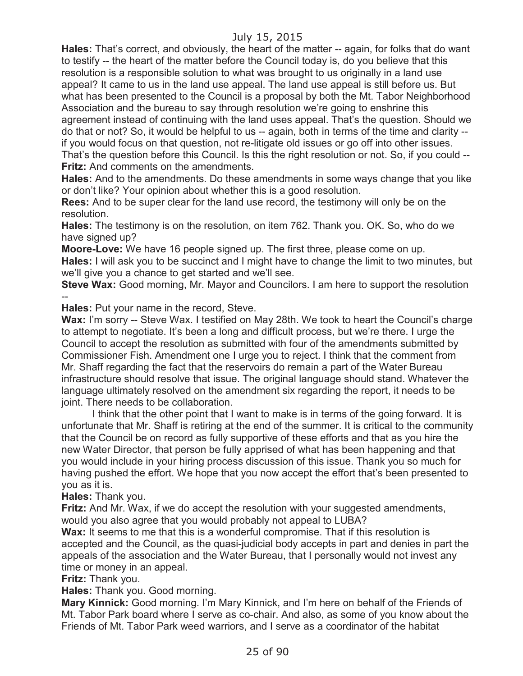**Hales:** That's correct, and obviously, the heart of the matter -- again, for folks that do want to testify -- the heart of the matter before the Council today is, do you believe that this resolution is a responsible solution to what was brought to us originally in a land use appeal? It came to us in the land use appeal. The land use appeal is still before us. But what has been presented to the Council is a proposal by both the Mt. Tabor Neighborhood Association and the bureau to say through resolution we're going to enshrine this agreement instead of continuing with the land uses appeal. That's the question. Should we do that or not? So, it would be helpful to us -- again, both in terms of the time and clarity - if you would focus on that question, not re-litigate old issues or go off into other issues. That's the question before this Council. Is this the right resolution or not. So, if you could -- **Fritz:** And comments on the amendments.

**Hales:** And to the amendments. Do these amendments in some ways change that you like or don't like? Your opinion about whether this is a good resolution.

**Rees:** And to be super clear for the land use record, the testimony will only be on the resolution.

**Hales:** The testimony is on the resolution, on item 762. Thank you. OK. So, who do we have signed up?

**Moore-Love:** We have 16 people signed up. The first three, please come on up. **Hales:** I will ask you to be succinct and I might have to change the limit to two minutes, but we'll give you a chance to get started and we'll see.

**Steve Wax:** Good morning, Mr. Mayor and Councilors. I am here to support the resolution --

**Hales:** Put your name in the record, Steve.

**Wax:** I'm sorry -- Steve Wax. I testified on May 28th. We took to heart the Council's charge to attempt to negotiate. It's been a long and difficult process, but we're there. I urge the Council to accept the resolution as submitted with four of the amendments submitted by Commissioner Fish. Amendment one I urge you to reject. I think that the comment from Mr. Shaff regarding the fact that the reservoirs do remain a part of the Water Bureau infrastructure should resolve that issue. The original language should stand. Whatever the language ultimately resolved on the amendment six regarding the report, it needs to be joint. There needs to be collaboration.

I think that the other point that I want to make is in terms of the going forward. It is unfortunate that Mr. Shaff is retiring at the end of the summer. It is critical to the community that the Council be on record as fully supportive of these efforts and that as you hire the new Water Director, that person be fully apprised of what has been happening and that you would include in your hiring process discussion of this issue. Thank you so much for having pushed the effort. We hope that you now accept the effort that's been presented to you as it is.

**Hales:** Thank you.

**Fritz:** And Mr. Wax, if we do accept the resolution with your suggested amendments, would you also agree that you would probably not appeal to LUBA?

**Wax:** It seems to me that this is a wonderful compromise. That if this resolution is accepted and the Council, as the quasi-judicial body accepts in part and denies in part the appeals of the association and the Water Bureau, that I personally would not invest any time or money in an appeal.

**Fritz:** Thank you.

**Hales:** Thank you. Good morning.

**Mary Kinnick:** Good morning. I'm Mary Kinnick, and I'm here on behalf of the Friends of Mt. Tabor Park board where I serve as co-chair. And also, as some of you know about the Friends of Mt. Tabor Park weed warriors, and I serve as a coordinator of the habitat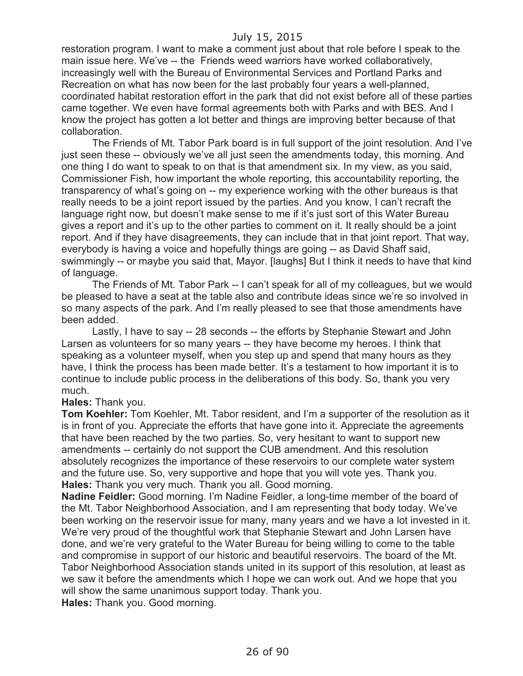restoration program. I want to make a comment just about that role before I speak to the main issue here. We've -- the Friends weed warriors have worked collaboratively, increasingly well with the Bureau of Environmental Services and Portland Parks and Recreation on what has now been for the last probably four years a well-planned, coordinated habitat restoration effort in the park that did not exist before all of these parties came together. We even have formal agreements both with Parks and with BES. And I know the project has gotten a lot better and things are improving better because of that collaboration.

The Friends of Mt. Tabor Park board is in full support of the joint resolution. And I've just seen these -- obviously we've all just seen the amendments today, this morning. And one thing I do want to speak to on that is that amendment six. In my view, as you said, Commissioner Fish, how important the whole reporting, this accountability reporting, the transparency of what's going on -- my experience working with the other bureaus is that really needs to be a joint report issued by the parties. And you know, I can't recraft the language right now, but doesn't make sense to me if it's just sort of this Water Bureau gives a report and it's up to the other parties to comment on it. It really should be a joint report. And if they have disagreements, they can include that in that joint report. That way, everybody is having a voice and hopefully things are going -- as David Shaff said, swimmingly -- or maybe you said that, Mayor. [laughs] But I think it needs to have that kind of language.

The Friends of Mt. Tabor Park -- I can't speak for all of my colleagues, but we would be pleased to have a seat at the table also and contribute ideas since we're so involved in so many aspects of the park. And I'm really pleased to see that those amendments have been added.

Lastly, I have to say -- 28 seconds -- the efforts by Stephanie Stewart and John Larsen as volunteers for so many years -- they have become my heroes. I think that speaking as a volunteer myself, when you step up and spend that many hours as they have, I think the process has been made better. It's a testament to how important it is to continue to include public process in the deliberations of this body. So, thank you very much.

#### **Hales:** Thank you.

**Tom Koehler:** Tom Koehler, Mt. Tabor resident, and I'm a supporter of the resolution as it is in front of you. Appreciate the efforts that have gone into it. Appreciate the agreements that have been reached by the two parties. So, very hesitant to want to support new amendments -- certainly do not support the CUB amendment. And this resolution absolutely recognizes the importance of these reservoirs to our complete water system and the future use. So, very supportive and hope that you will vote yes. Thank you. **Hales:** Thank you very much. Thank you all. Good morning.

**Nadine Feidler:** Good morning. I'm Nadine Feidler, a long-time member of the board of the Mt. Tabor Neighborhood Association, and I am representing that body today. We've been working on the reservoir issue for many, many years and we have a lot invested in it. We're very proud of the thoughtful work that Stephanie Stewart and John Larsen have done, and we're very grateful to the Water Bureau for being willing to come to the table and compromise in support of our historic and beautiful reservoirs. The board of the Mt. Tabor Neighborhood Association stands united in its support of this resolution, at least as we saw it before the amendments which I hope we can work out. And we hope that you will show the same unanimous support today. Thank you.

**Hales:** Thank you. Good morning.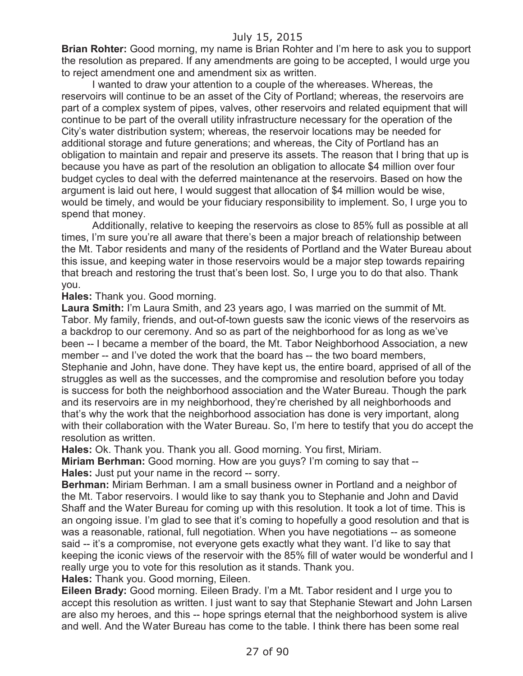**Brian Rohter:** Good morning, my name is Brian Rohter and I'm here to ask you to support the resolution as prepared. If any amendments are going to be accepted, I would urge you to reject amendment one and amendment six as written.

I wanted to draw your attention to a couple of the whereases. Whereas, the reservoirs will continue to be an asset of the City of Portland; whereas, the reservoirs are part of a complex system of pipes, valves, other reservoirs and related equipment that will continue to be part of the overall utility infrastructure necessary for the operation of the City's water distribution system; whereas, the reservoir locations may be needed for additional storage and future generations; and whereas, the City of Portland has an obligation to maintain and repair and preserve its assets. The reason that I bring that up is because you have as part of the resolution an obligation to allocate \$4 million over four budget cycles to deal with the deferred maintenance at the reservoirs. Based on how the argument is laid out here, I would suggest that allocation of \$4 million would be wise, would be timely, and would be your fiduciary responsibility to implement. So, I urge you to spend that money.

Additionally, relative to keeping the reservoirs as close to 85% full as possible at all times, I'm sure you're all aware that there's been a major breach of relationship between the Mt. Tabor residents and many of the residents of Portland and the Water Bureau about this issue, and keeping water in those reservoirs would be a major step towards repairing that breach and restoring the trust that's been lost. So, I urge you to do that also. Thank you.

#### **Hales:** Thank you. Good morning.

**Laura Smith:** I'm Laura Smith, and 23 years ago, I was married on the summit of Mt. Tabor. My family, friends, and out-of-town guests saw the iconic views of the reservoirs as a backdrop to our ceremony. And so as part of the neighborhood for as long as we've been -- I became a member of the board, the Mt. Tabor Neighborhood Association, a new member -- and I've doted the work that the board has -- the two board members, Stephanie and John, have done. They have kept us, the entire board, apprised of all of the struggles as well as the successes, and the compromise and resolution before you today is success for both the neighborhood association and the Water Bureau. Though the park and its reservoirs are in my neighborhood, they're cherished by all neighborhoods and that's why the work that the neighborhood association has done is very important, along with their collaboration with the Water Bureau. So, I'm here to testify that you do accept the resolution as written.

**Hales:** Ok. Thank you. Thank you all. Good morning. You first, Miriam. **Miriam Berhman:** Good morning. How are you guys? I'm coming to say that -- **Hales:** Just put your name in the record -- sorry.

**Berhman:** Miriam Berhman. I am a small business owner in Portland and a neighbor of the Mt. Tabor reservoirs. I would like to say thank you to Stephanie and John and David Shaff and the Water Bureau for coming up with this resolution. It took a lot of time. This is an ongoing issue. I'm glad to see that it's coming to hopefully a good resolution and that is was a reasonable, rational, full negotiation. When you have negotiations -- as someone said -- it's a compromise, not everyone gets exactly what they want. I'd like to say that keeping the iconic views of the reservoir with the 85% fill of water would be wonderful and I really urge you to vote for this resolution as it stands. Thank you.

**Hales:** Thank you. Good morning, Eileen.

**Eileen Brady:** Good morning. Eileen Brady. I'm a Mt. Tabor resident and I urge you to accept this resolution as written. I just want to say that Stephanie Stewart and John Larsen are also my heroes, and this -- hope springs eternal that the neighborhood system is alive and well. And the Water Bureau has come to the table. I think there has been some real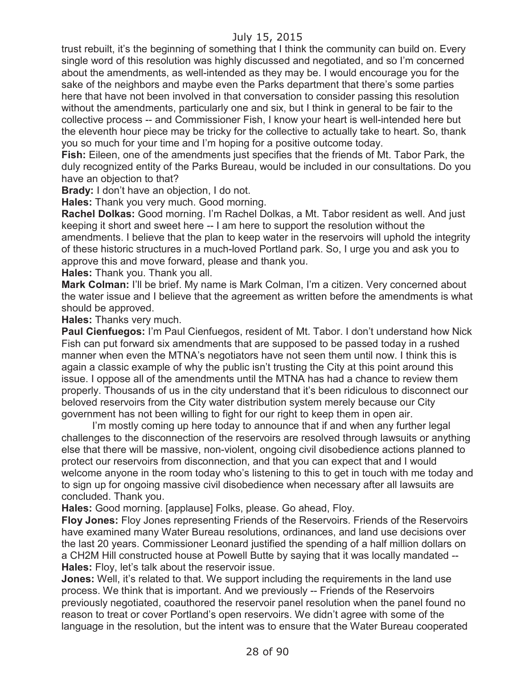trust rebuilt, it's the beginning of something that I think the community can build on. Every single word of this resolution was highly discussed and negotiated, and so I'm concerned about the amendments, as well-intended as they may be. I would encourage you for the sake of the neighbors and maybe even the Parks department that there's some parties here that have not been involved in that conversation to consider passing this resolution without the amendments, particularly one and six, but I think in general to be fair to the collective process -- and Commissioner Fish, I know your heart is well-intended here but the eleventh hour piece may be tricky for the collective to actually take to heart. So, thank you so much for your time and I'm hoping for a positive outcome today.

**Fish:** Eileen, one of the amendments just specifies that the friends of Mt. Tabor Park, the duly recognized entity of the Parks Bureau, would be included in our consultations. Do you have an objection to that?

**Brady:** I don't have an objection, I do not.

**Hales:** Thank you very much. Good morning.

**Rachel Dolkas:** Good morning. I'm Rachel Dolkas, a Mt. Tabor resident as well. And just keeping it short and sweet here -- I am here to support the resolution without the amendments. I believe that the plan to keep water in the reservoirs will uphold the integrity of these historic structures in a much-loved Portland park. So, I urge you and ask you to approve this and move forward, please and thank you.

**Hales:** Thank you. Thank you all.

**Mark Colman:** I'll be brief. My name is Mark Colman, I'm a citizen. Very concerned about the water issue and I believe that the agreement as written before the amendments is what should be approved.

**Hales:** Thanks very much.

**Paul Cienfuegos:** I'm Paul Cienfuegos, resident of Mt. Tabor. I don't understand how Nick Fish can put forward six amendments that are supposed to be passed today in a rushed manner when even the MTNA's negotiators have not seen them until now. I think this is again a classic example of why the public isn't trusting the City at this point around this issue. I oppose all of the amendments until the MTNA has had a chance to review them properly. Thousands of us in the city understand that it's been ridiculous to disconnect our beloved reservoirs from the City water distribution system merely because our City government has not been willing to fight for our right to keep them in open air.

I'm mostly coming up here today to announce that if and when any further legal challenges to the disconnection of the reservoirs are resolved through lawsuits or anything else that there will be massive, non-violent, ongoing civil disobedience actions planned to protect our reservoirs from disconnection, and that you can expect that and I would welcome anyone in the room today who's listening to this to get in touch with me today and to sign up for ongoing massive civil disobedience when necessary after all lawsuits are concluded. Thank you.

**Hales:** Good morning. [applause] Folks, please. Go ahead, Floy.

**Floy Jones:** Floy Jones representing Friends of the Reservoirs. Friends of the Reservoirs have examined many Water Bureau resolutions, ordinances, and land use decisions over the last 20 years. Commissioner Leonard justified the spending of a half million dollars on a CH2M Hill constructed house at Powell Butte by saying that it was locally mandated -- **Hales:** Floy, let's talk about the reservoir issue.

**Jones:** Well, it's related to that. We support including the requirements in the land use process. We think that is important. And we previously -- Friends of the Reservoirs previously negotiated, coauthored the reservoir panel resolution when the panel found no reason to treat or cover Portland's open reservoirs. We didn't agree with some of the language in the resolution, but the intent was to ensure that the Water Bureau cooperated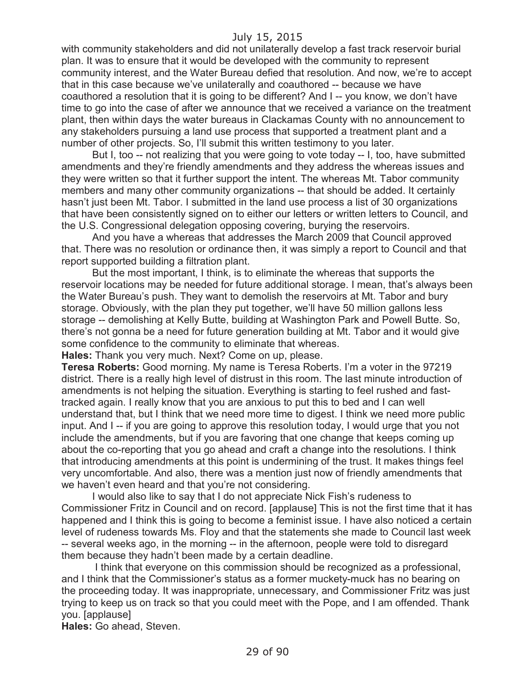with community stakeholders and did not unilaterally develop a fast track reservoir burial plan. It was to ensure that it would be developed with the community to represent community interest, and the Water Bureau defied that resolution. And now, we're to accept that in this case because we've unilaterally and coauthored -- because we have coauthored a resolution that it is going to be different? And I -- you know, we don't have time to go into the case of after we announce that we received a variance on the treatment plant, then within days the water bureaus in Clackamas County with no announcement to any stakeholders pursuing a land use process that supported a treatment plant and a number of other projects. So, I'll submit this written testimony to you later.

But I, too -- not realizing that you were going to vote today -- I, too, have submitted amendments and they're friendly amendments and they address the whereas issues and they were written so that it further support the intent. The whereas Mt. Tabor community members and many other community organizations -- that should be added. It certainly hasn't just been Mt. Tabor. I submitted in the land use process a list of 30 organizations that have been consistently signed on to either our letters or written letters to Council, and the U.S. Congressional delegation opposing covering, burying the reservoirs.

And you have a whereas that addresses the March 2009 that Council approved that. There was no resolution or ordinance then, it was simply a report to Council and that report supported building a filtration plant.

But the most important, I think, is to eliminate the whereas that supports the reservoir locations may be needed for future additional storage. I mean, that's always been the Water Bureau's push. They want to demolish the reservoirs at Mt. Tabor and bury storage. Obviously, with the plan they put together, we'll have 50 million gallons less storage -- demolishing at Kelly Butte, building at Washington Park and Powell Butte. So, there's not gonna be a need for future generation building at Mt. Tabor and it would give some confidence to the community to eliminate that whereas.

**Hales:** Thank you very much. Next? Come on up, please.

**Teresa Roberts:** Good morning. My name is Teresa Roberts. I'm a voter in the 97219 district. There is a really high level of distrust in this room. The last minute introduction of amendments is not helping the situation. Everything is starting to feel rushed and fasttracked again. I really know that you are anxious to put this to bed and I can well understand that, but I think that we need more time to digest. I think we need more public input. And I -- if you are going to approve this resolution today, I would urge that you not include the amendments, but if you are favoring that one change that keeps coming up about the co-reporting that you go ahead and craft a change into the resolutions. I think that introducing amendments at this point is undermining of the trust. It makes things feel very uncomfortable. And also, there was a mention just now of friendly amendments that we haven't even heard and that you're not considering.

I would also like to say that I do not appreciate Nick Fish's rudeness to Commissioner Fritz in Council and on record. [applause] This is not the first time that it has happened and I think this is going to become a feminist issue. I have also noticed a certain level of rudeness towards Ms. Floy and that the statements she made to Council last week -- several weeks ago, in the morning -- in the afternoon, people were told to disregard them because they hadn't been made by a certain deadline.

I think that everyone on this commission should be recognized as a professional, and I think that the Commissioner's status as a former muckety-muck has no bearing on the proceeding today. It was inappropriate, unnecessary, and Commissioner Fritz was just trying to keep us on track so that you could meet with the Pope, and I am offended. Thank you. [applause]

**Hales:** Go ahead, Steven.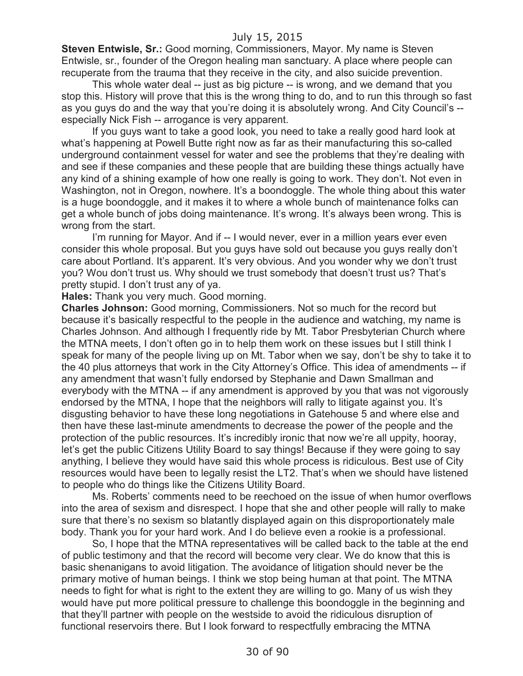**Steven Entwisle, Sr.:** Good morning, Commissioners, Mayor. My name is Steven Entwisle, sr., founder of the Oregon healing man sanctuary. A place where people can recuperate from the trauma that they receive in the city, and also suicide prevention.

This whole water deal -- just as big picture -- is wrong, and we demand that you stop this. History will prove that this is the wrong thing to do, and to run this through so fast as you guys do and the way that you're doing it is absolutely wrong. And City Council's - especially Nick Fish -- arrogance is very apparent.

If you guys want to take a good look, you need to take a really good hard look at what's happening at Powell Butte right now as far as their manufacturing this so-called underground containment vessel for water and see the problems that they're dealing with and see if these companies and these people that are building these things actually have any kind of a shining example of how one really is going to work. They don't. Not even in Washington, not in Oregon, nowhere. It's a boondoggle. The whole thing about this water is a huge boondoggle, and it makes it to where a whole bunch of maintenance folks can get a whole bunch of jobs doing maintenance. It's wrong. It's always been wrong. This is wrong from the start.

I'm running for Mayor. And if -- I would never, ever in a million years ever even consider this whole proposal. But you guys have sold out because you guys really don't care about Portland. It's apparent. It's very obvious. And you wonder why we don't trust you? Wou don't trust us. Why should we trust somebody that doesn't trust us? That's pretty stupid. I don't trust any of ya.

**Hales:** Thank you very much. Good morning.

**Charles Johnson:** Good morning, Commissioners. Not so much for the record but because it's basically respectful to the people in the audience and watching, my name is Charles Johnson. And although I frequently ride by Mt. Tabor Presbyterian Church where the MTNA meets, I don't often go in to help them work on these issues but I still think I speak for many of the people living up on Mt. Tabor when we say, don't be shy to take it to the 40 plus attorneys that work in the City Attorney's Office. This idea of amendments -- if any amendment that wasn't fully endorsed by Stephanie and Dawn Smallman and everybody with the MTNA -- if any amendment is approved by you that was not vigorously endorsed by the MTNA, I hope that the neighbors will rally to litigate against you. It's disgusting behavior to have these long negotiations in Gatehouse 5 and where else and then have these last-minute amendments to decrease the power of the people and the protection of the public resources. It's incredibly ironic that now we're all uppity, hooray, let's get the public Citizens Utility Board to say things! Because if they were going to say anything, I believe they would have said this whole process is ridiculous. Best use of City resources would have been to legally resist the LT2. That's when we should have listened to people who do things like the Citizens Utility Board.

Ms. Roberts' comments need to be reechoed on the issue of when humor overflows into the area of sexism and disrespect. I hope that she and other people will rally to make sure that there's no sexism so blatantly displayed again on this disproportionately male body. Thank you for your hard work. And I do believe even a rookie is a professional.

So, I hope that the MTNA representatives will be called back to the table at the end of public testimony and that the record will become very clear. We do know that this is basic shenanigans to avoid litigation. The avoidance of litigation should never be the primary motive of human beings. I think we stop being human at that point. The MTNA needs to fight for what is right to the extent they are willing to go. Many of us wish they would have put more political pressure to challenge this boondoggle in the beginning and that they'll partner with people on the westside to avoid the ridiculous disruption of functional reservoirs there. But I look forward to respectfully embracing the MTNA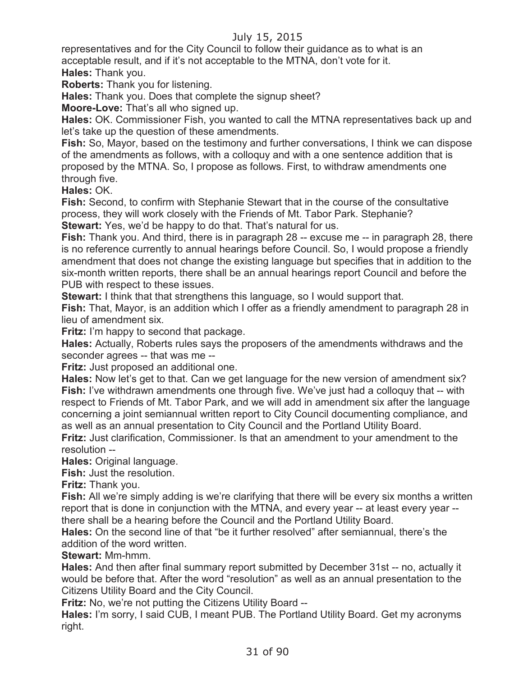representatives and for the City Council to follow their guidance as to what is an acceptable result, and if it's not acceptable to the MTNA, don't vote for it. **Hales:** Thank you.

**Roberts:** Thank you for listening.

**Hales:** Thank you. Does that complete the signup sheet?

**Moore-Love:** That's all who signed up.

**Hales:** OK. Commissioner Fish, you wanted to call the MTNA representatives back up and let's take up the question of these amendments.

**Fish:** So, Mayor, based on the testimony and further conversations, I think we can dispose of the amendments as follows, with a colloquy and with a one sentence addition that is proposed by the MTNA. So, I propose as follows. First, to withdraw amendments one through five.

**Hales:** OK.

**Fish:** Second, to confirm with Stephanie Stewart that in the course of the consultative process, they will work closely with the Friends of Mt. Tabor Park. Stephanie? **Stewart:** Yes, we'd be happy to do that. That's natural for us.

**Fish:** Thank you. And third, there is in paragraph 28 -- excuse me -- in paragraph 28, there is no reference currently to annual hearings before Council. So, I would propose a friendly amendment that does not change the existing language but specifies that in addition to the six-month written reports, there shall be an annual hearings report Council and before the PUB with respect to these issues.

**Stewart:** I think that that strengthens this language, so I would support that.

**Fish:** That, Mayor, is an addition which I offer as a friendly amendment to paragraph 28 in lieu of amendment six.

**Fritz:** I'm happy to second that package.

**Hales:** Actually, Roberts rules says the proposers of the amendments withdraws and the seconder agrees -- that was me --

**Fritz:** Just proposed an additional one.

**Hales:** Now let's get to that. Can we get language for the new version of amendment six? **Fish:** I've withdrawn amendments one through five. We've just had a colloquy that -- with respect to Friends of Mt. Tabor Park, and we will add in amendment six after the language concerning a joint semiannual written report to City Council documenting compliance, and as well as an annual presentation to City Council and the Portland Utility Board.

**Fritz:** Just clarification, Commissioner. Is that an amendment to your amendment to the resolution --

**Hales: Original language.** 

**Fish:** Just the resolution.

**Fritz:** Thank you.

**Fish:** All we're simply adding is we're clarifying that there will be every six months a written report that is done in conjunction with the MTNA, and every year -- at least every year - there shall be a hearing before the Council and the Portland Utility Board.

**Hales:** On the second line of that "be it further resolved" after semiannual, there's the addition of the word written.

**Stewart:** Mm-hmm.

**Hales:** And then after final summary report submitted by December 31st -- no, actually it would be before that. After the word "resolution" as well as an annual presentation to the Citizens Utility Board and the City Council.

**Fritz:** No, we're not putting the Citizens Utility Board --

**Hales:** I'm sorry, I said CUB, I meant PUB. The Portland Utility Board. Get my acronyms right.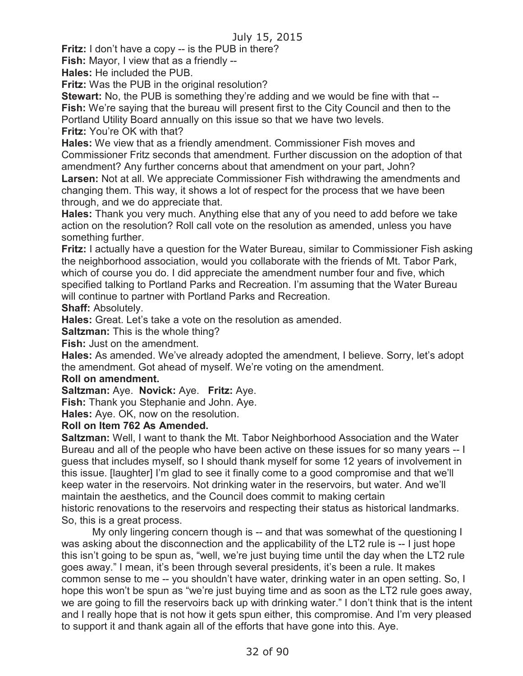**Fritz:** I don't have a copy -- is the PUB in there?

**Fish:** Mayor, I view that as a friendly --

**Hales:** He included the PUB.

**Fritz:** Was the PUB in the original resolution?

**Stewart:** No, the PUB is something they're adding and we would be fine with that --**Fish:** We're saying that the bureau will present first to the City Council and then to the Portland Utility Board annually on this issue so that we have two levels.

**Fritz:** You're OK with that?

**Hales:** We view that as a friendly amendment. Commissioner Fish moves and Commissioner Fritz seconds that amendment. Further discussion on the adoption of that amendment? Any further concerns about that amendment on your part, John? **Larsen:** Not at all. We appreciate Commissioner Fish withdrawing the amendments and

changing them. This way, it shows a lot of respect for the process that we have been through, and we do appreciate that.

**Hales:** Thank you very much. Anything else that any of you need to add before we take action on the resolution? Roll call vote on the resolution as amended, unless you have something further.

**Fritz:** I actually have a question for the Water Bureau, similar to Commissioner Fish asking the neighborhood association, would you collaborate with the friends of Mt. Tabor Park, which of course you do. I did appreciate the amendment number four and five, which specified talking to Portland Parks and Recreation. I'm assuming that the Water Bureau will continue to partner with Portland Parks and Recreation.

#### **Shaff:** Absolutely.

**Hales:** Great. Let's take a vote on the resolution as amended.

**Saltzman:** This is the whole thing?

**Fish:** Just on the amendment.

**Hales:** As amended. We've already adopted the amendment, I believe. Sorry, let's adopt the amendment. Got ahead of myself. We're voting on the amendment.

#### **Roll on amendment.**

**Saltzman:** Aye. **Novick:** Aye. **Fritz:** Aye.

**Fish:** Thank you Stephanie and John. Aye.

**Hales:** Aye. OK, now on the resolution.

#### **Roll on Item 762 As Amended.**

**Saltzman:** Well, I want to thank the Mt. Tabor Neighborhood Association and the Water Bureau and all of the people who have been active on these issues for so many years -- I guess that includes myself, so I should thank myself for some 12 years of involvement in this issue. [laughter] I'm glad to see it finally come to a good compromise and that we'll keep water in the reservoirs. Not drinking water in the reservoirs, but water. And we'll maintain the aesthetics, and the Council does commit to making certain historic renovations to the reservoirs and respecting their status as historical landmarks. So, this is a great process.

My only lingering concern though is -- and that was somewhat of the questioning I was asking about the disconnection and the applicability of the LT2 rule is -- I just hope this isn't going to be spun as, "well, we're just buying time until the day when the LT2 rule goes away." I mean, it's been through several presidents, it's been a rule. It makes common sense to me -- you shouldn't have water, drinking water in an open setting. So, I hope this won't be spun as "we're just buying time and as soon as the LT2 rule goes away, we are going to fill the reservoirs back up with drinking water." I don't think that is the intent and I really hope that is not how it gets spun either, this compromise. And I'm very pleased to support it and thank again all of the efforts that have gone into this. Aye.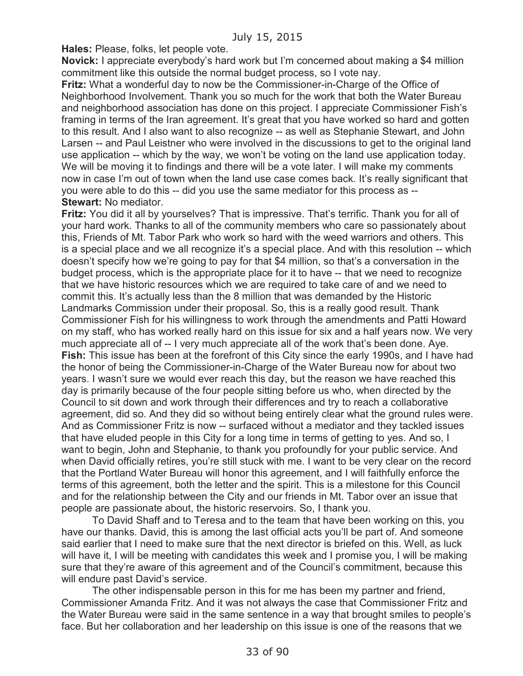**Hales:** Please, folks, let people vote.

**Novick:** I appreciate everybody's hard work but I'm concerned about making a \$4 million commitment like this outside the normal budget process, so I vote nay.

**Fritz:** What a wonderful day to now be the Commissioner-in-Charge of the Office of Neighborhood Involvement. Thank you so much for the work that both the Water Bureau and neighborhood association has done on this project. I appreciate Commissioner Fish's framing in terms of the Iran agreement. It's great that you have worked so hard and gotten to this result. And I also want to also recognize -- as well as Stephanie Stewart, and John Larsen -- and Paul Leistner who were involved in the discussions to get to the original land use application -- which by the way, we won't be voting on the land use application today. We will be moving it to findings and there will be a vote later. I will make my comments now in case I'm out of town when the land use case comes back. It's really significant that you were able to do this -- did you use the same mediator for this process as -- **Stewart:** No mediator.

**Fritz:** You did it all by yourselves? That is impressive. That's terrific. Thank you for all of your hard work. Thanks to all of the community members who care so passionately about this, Friends of Mt. Tabor Park who work so hard with the weed warriors and others. This is a special place and we all recognize it's a special place. And with this resolution -- which doesn't specify how we're going to pay for that \$4 million, so that's a conversation in the budget process, which is the appropriate place for it to have -- that we need to recognize that we have historic resources which we are required to take care of and we need to commit this. It's actually less than the 8 million that was demanded by the Historic Landmarks Commission under their proposal. So, this is a really good result. Thank Commissioner Fish for his willingness to work through the amendments and Patti Howard on my staff, who has worked really hard on this issue for six and a half years now. We very much appreciate all of -- I very much appreciate all of the work that's been done. Aye. **Fish:** This issue has been at the forefront of this City since the early 1990s, and I have had the honor of being the Commissioner-in-Charge of the Water Bureau now for about two years. I wasn't sure we would ever reach this day, but the reason we have reached this day is primarily because of the four people sitting before us who, when directed by the Council to sit down and work through their differences and try to reach a collaborative agreement, did so. And they did so without being entirely clear what the ground rules were. And as Commissioner Fritz is now -- surfaced without a mediator and they tackled issues that have eluded people in this City for a long time in terms of getting to yes. And so, I want to begin, John and Stephanie, to thank you profoundly for your public service. And when David officially retires, you're still stuck with me. I want to be very clear on the record that the Portland Water Bureau will honor this agreement, and I will faithfully enforce the terms of this agreement, both the letter and the spirit. This is a milestone for this Council and for the relationship between the City and our friends in Mt. Tabor over an issue that people are passionate about, the historic reservoirs. So, I thank you.

To David Shaff and to Teresa and to the team that have been working on this, you have our thanks. David, this is among the last official acts you'll be part of. And someone said earlier that I need to make sure that the next director is briefed on this. Well, as luck will have it, I will be meeting with candidates this week and I promise you, I will be making sure that they're aware of this agreement and of the Council's commitment, because this will endure past David's service.

The other indispensable person in this for me has been my partner and friend, Commissioner Amanda Fritz. And it was not always the case that Commissioner Fritz and the Water Bureau were said in the same sentence in a way that brought smiles to people's face. But her collaboration and her leadership on this issue is one of the reasons that we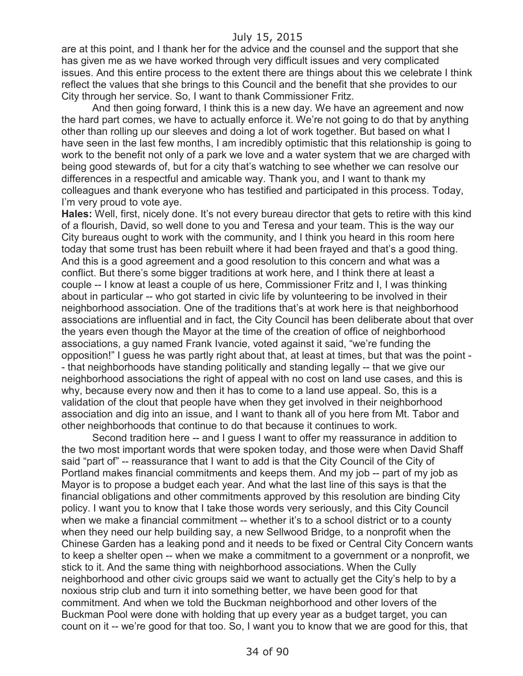are at this point, and I thank her for the advice and the counsel and the support that she has given me as we have worked through very difficult issues and very complicated issues. And this entire process to the extent there are things about this we celebrate I think reflect the values that she brings to this Council and the benefit that she provides to our City through her service. So, I want to thank Commissioner Fritz.

And then going forward, I think this is a new day. We have an agreement and now the hard part comes, we have to actually enforce it. We're not going to do that by anything other than rolling up our sleeves and doing a lot of work together. But based on what I have seen in the last few months, I am incredibly optimistic that this relationship is going to work to the benefit not only of a park we love and a water system that we are charged with being good stewards of, but for a city that's watching to see whether we can resolve our differences in a respectful and amicable way. Thank you, and I want to thank my colleagues and thank everyone who has testified and participated in this process. Today, I'm very proud to vote aye.

**Hales:** Well, first, nicely done. It's not every bureau director that gets to retire with this kind of a flourish, David, so well done to you and Teresa and your team. This is the way our City bureaus ought to work with the community, and I think you heard in this room here today that some trust has been rebuilt where it had been frayed and that's a good thing. And this is a good agreement and a good resolution to this concern and what was a conflict. But there's some bigger traditions at work here, and I think there at least a couple -- I know at least a couple of us here, Commissioner Fritz and I, I was thinking about in particular -- who got started in civic life by volunteering to be involved in their neighborhood association. One of the traditions that's at work here is that neighborhood associations are influential and in fact, the City Council has been deliberate about that over the years even though the Mayor at the time of the creation of office of neighborhood associations, a guy named Frank Ivancie, voted against it said, "we're funding the opposition!" I guess he was partly right about that, at least at times, but that was the point - - that neighborhoods have standing politically and standing legally -- that we give our neighborhood associations the right of appeal with no cost on land use cases, and this is why, because every now and then it has to come to a land use appeal. So, this is a validation of the clout that people have when they get involved in their neighborhood association and dig into an issue, and I want to thank all of you here from Mt. Tabor and other neighborhoods that continue to do that because it continues to work.

Second tradition here -- and I guess I want to offer my reassurance in addition to the two most important words that were spoken today, and those were when David Shaff said "part of" -- reassurance that I want to add is that the City Council of the City of Portland makes financial commitments and keeps them. And my job -- part of my job as Mayor is to propose a budget each year. And what the last line of this says is that the financial obligations and other commitments approved by this resolution are binding City policy. I want you to know that I take those words very seriously, and this City Council when we make a financial commitment -- whether it's to a school district or to a county when they need our help building say, a new Sellwood Bridge, to a nonprofit when the Chinese Garden has a leaking pond and it needs to be fixed or Central City Concern wants to keep a shelter open -- when we make a commitment to a government or a nonprofit, we stick to it. And the same thing with neighborhood associations. When the Cully neighborhood and other civic groups said we want to actually get the City's help to by a noxious strip club and turn it into something better, we have been good for that commitment. And when we told the Buckman neighborhood and other lovers of the Buckman Pool were done with holding that up every year as a budget target, you can count on it -- we're good for that too. So, I want you to know that we are good for this, that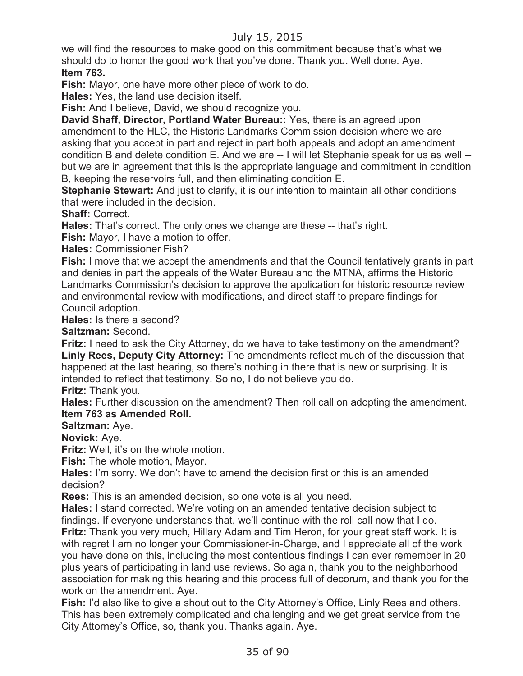we will find the resources to make good on this commitment because that's what we should do to honor the good work that you've done. Thank you. Well done. Aye. **Item 763.**

**Fish:** Mayor, one have more other piece of work to do.

**Hales:** Yes, the land use decision itself.

**Fish:** And I believe, David, we should recognize you.

**David Shaff, Director, Portland Water Bureau::** Yes, there is an agreed upon amendment to the HLC, the Historic Landmarks Commission decision where we are asking that you accept in part and reject in part both appeals and adopt an amendment condition B and delete condition E. And we are -- I will let Stephanie speak for us as well - but we are in agreement that this is the appropriate language and commitment in condition B, keeping the reservoirs full, and then eliminating condition E.

**Stephanie Stewart:** And just to clarify, it is our intention to maintain all other conditions that were included in the decision.

**Shaff:** Correct.

**Hales:** That's correct. The only ones we change are these -- that's right.

**Fish:** Mayor, I have a motion to offer.

**Hales:** Commissioner Fish?

**Fish:** I move that we accept the amendments and that the Council tentatively grants in part and denies in part the appeals of the Water Bureau and the MTNA, affirms the Historic Landmarks Commission's decision to approve the application for historic resource review and environmental review with modifications, and direct staff to prepare findings for Council adoption.

**Hales:** Is there a second?

**Saltzman:** Second.

**Fritz:** I need to ask the City Attorney, do we have to take testimony on the amendment? **Linly Rees, Deputy City Attorney:** The amendments reflect much of the discussion that happened at the last hearing, so there's nothing in there that is new or surprising. It is intended to reflect that testimony. So no, I do not believe you do.

**Fritz:** Thank you.

**Hales:** Further discussion on the amendment? Then roll call on adopting the amendment. **Item 763 as Amended Roll.**

**Saltzman:** Aye.

**Novick:** Aye.

**Fritz:** Well, it's on the whole motion.

**Fish:** The whole motion, Mayor.

**Hales:** I'm sorry. We don't have to amend the decision first or this is an amended decision?

**Rees:** This is an amended decision, so one vote is all you need.

**Hales:** I stand corrected. We're voting on an amended tentative decision subject to findings. If everyone understands that, we'll continue with the roll call now that I do. **Fritz:** Thank you very much, Hillary Adam and Tim Heron, for your great staff work. It is with regret I am no longer your Commissioner-in-Charge, and I appreciate all of the work you have done on this, including the most contentious findings I can ever remember in 20 plus years of participating in land use reviews. So again, thank you to the neighborhood association for making this hearing and this process full of decorum, and thank you for the work on the amendment. Aye.

**Fish:** I'd also like to give a shout out to the City Attorney's Office, Linly Rees and others. This has been extremely complicated and challenging and we get great service from the City Attorney's Office, so, thank you. Thanks again. Aye.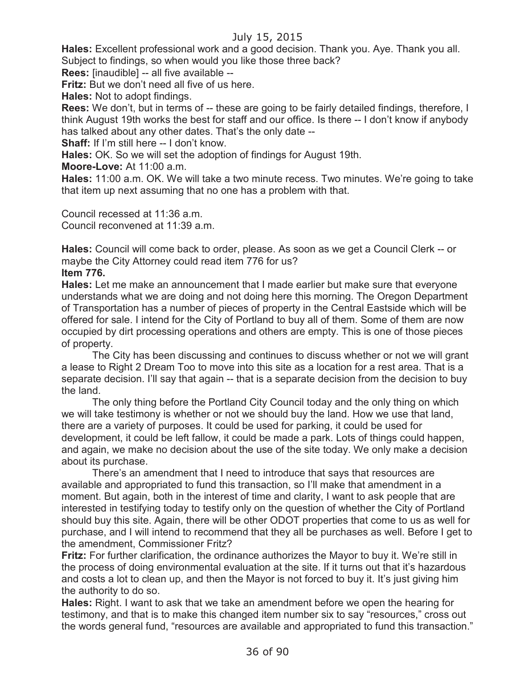**Hales:** Excellent professional work and a good decision. Thank you. Aye. Thank you all. Subject to findings, so when would you like those three back?

**Rees:** [inaudible] -- all five available --

**Fritz:** But we don't need all five of us here.

**Hales:** Not to adopt findings.

**Rees:** We don't, but in terms of -- these are going to be fairly detailed findings, therefore, I think August 19th works the best for staff and our office. Is there -- I don't know if anybody has talked about any other dates. That's the only date --

**Shaff:** If I'm still here -- I don't know.

**Hales:** OK. So we will set the adoption of findings for August 19th.

**Moore-Love:** At 11:00 a.m.

**Hales:** 11:00 a.m. OK. We will take a two minute recess. Two minutes. We're going to take that item up next assuming that no one has a problem with that.

Council recessed at 11:36 a.m. Council reconvened at 11:39 a.m.

**Hales:** Council will come back to order, please. As soon as we get a Council Clerk -- or maybe the City Attorney could read item 776 for us?

#### **Item 776.**

**Hales:** Let me make an announcement that I made earlier but make sure that everyone understands what we are doing and not doing here this morning. The Oregon Department of Transportation has a number of pieces of property in the Central Eastside which will be offered for sale. I intend for the City of Portland to buy all of them. Some of them are now occupied by dirt processing operations and others are empty. This is one of those pieces of property.

The City has been discussing and continues to discuss whether or not we will grant a lease to Right 2 Dream Too to move into this site as a location for a rest area. That is a separate decision. I'll say that again -- that is a separate decision from the decision to buy the land.

The only thing before the Portland City Council today and the only thing on which we will take testimony is whether or not we should buy the land. How we use that land, there are a variety of purposes. It could be used for parking, it could be used for development, it could be left fallow, it could be made a park. Lots of things could happen, and again, we make no decision about the use of the site today. We only make a decision about its purchase.

There's an amendment that I need to introduce that says that resources are available and appropriated to fund this transaction, so I'll make that amendment in a moment. But again, both in the interest of time and clarity, I want to ask people that are interested in testifying today to testify only on the question of whether the City of Portland should buy this site. Again, there will be other ODOT properties that come to us as well for purchase, and I will intend to recommend that they all be purchases as well. Before I get to the amendment, Commissioner Fritz?

**Fritz:** For further clarification, the ordinance authorizes the Mayor to buy it. We're still in the process of doing environmental evaluation at the site. If it turns out that it's hazardous and costs a lot to clean up, and then the Mayor is not forced to buy it. It's just giving him the authority to do so.

**Hales:** Right. I want to ask that we take an amendment before we open the hearing for testimony, and that is to make this changed item number six to say "resources," cross out the words general fund, "resources are available and appropriated to fund this transaction."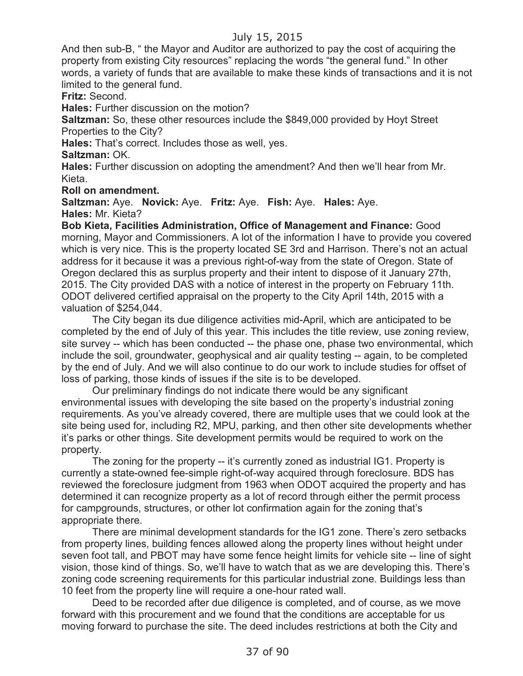And then sub-B, " the Mayor and Auditor are authorized to pay the cost of acquiring the property from existing City resources" replacing the words "the general fund." In other words, a variety of funds that are available to make these kinds of transactions and it is not limited to the general fund.

**Fritz:** Second.

**Hales:** Further discussion on the motion?

**Saltzman:** So, these other resources include the \$849,000 provided by Hoyt Street Properties to the City?

**Hales:** That's correct. Includes those as well, yes.

**Saltzman:** OK.

**Hales:** Further discussion on adopting the amendment? And then we'll hear from Mr. Kieta.

**Roll on amendment.**

**Saltzman:** Aye. **Novick:** Aye. **Fritz:** Aye. **Fish:** Aye. **Hales:** Aye. **Hales:** Mr. Kieta?

**Bob Kieta, Facilities Administration, Office of Management and Finance:** Good morning, Mayor and Commissioners. A lot of the information I have to provide you covered which is very nice. This is the property located SE 3rd and Harrison. There's not an actual address for it because it was a previous right-of-way from the state of Oregon. State of Oregon declared this as surplus property and their intent to dispose of it January 27th, 2015. The City provided DAS with a notice of interest in the property on February 11th. ODOT delivered certified appraisal on the property to the City April 14th, 2015 with a valuation of \$254,044.

The City began its due diligence activities mid-April, which are anticipated to be completed by the end of July of this year. This includes the title review, use zoning review, site survey -- which has been conducted -- the phase one, phase two environmental, which include the soil, groundwater, geophysical and air quality testing -- again, to be completed by the end of July. And we will also continue to do our work to include studies for offset of loss of parking, those kinds of issues if the site is to be developed.

Our preliminary findings do not indicate there would be any significant environmental issues with developing the site based on the property's industrial zoning requirements. As you've already covered, there are multiple uses that we could look at the site being used for, including R2, MPU, parking, and then other site developments whether it's parks or other things. Site development permits would be required to work on the property.

The zoning for the property -- it's currently zoned as industrial IG1. Property is currently a state-owned fee-simple right-of-way acquired through foreclosure. BDS has reviewed the foreclosure judgment from 1963 when ODOT acquired the property and has determined it can recognize property as a lot of record through either the permit process for campgrounds, structures, or other lot confirmation again for the zoning that's appropriate there.

There are minimal development standards for the IG1 zone. There's zero setbacks from property lines, building fences allowed along the property lines without height under seven foot tall, and PBOT may have some fence height limits for vehicle site -- line of sight vision, those kind of things. So, we'll have to watch that as we are developing this. There's zoning code screening requirements for this particular industrial zone. Buildings less than 10 feet from the property line will require a one-hour rated wall.

Deed to be recorded after due diligence is completed, and of course, as we move forward with this procurement and we found that the conditions are acceptable for us moving forward to purchase the site. The deed includes restrictions at both the City and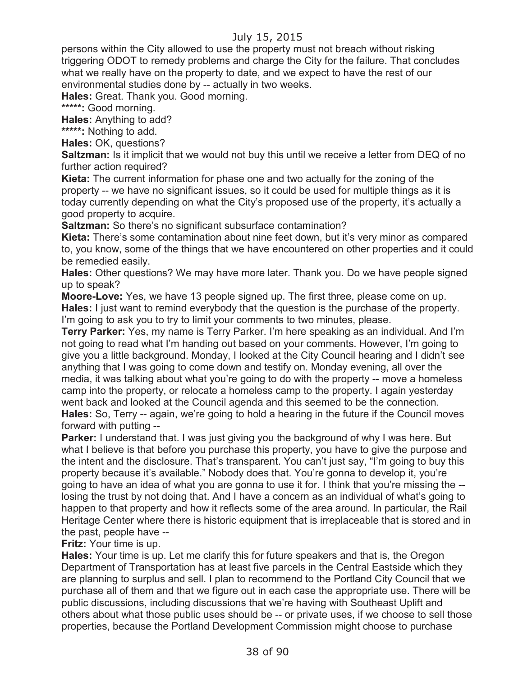persons within the City allowed to use the property must not breach without risking triggering ODOT to remedy problems and charge the City for the failure. That concludes what we really have on the property to date, and we expect to have the rest of our environmental studies done by -- actually in two weeks.

**Hales:** Great. Thank you. Good morning.

**\*\*\*\*\*:** Good morning.

**Hales:** Anything to add?

**\*\*\*\*\*:** Nothing to add.

**Hales:** OK, questions?

**Saltzman:** Is it implicit that we would not buy this until we receive a letter from DEQ of no further action required?

**Kieta:** The current information for phase one and two actually for the zoning of the property -- we have no significant issues, so it could be used for multiple things as it is today currently depending on what the City's proposed use of the property, it's actually a good property to acquire.

**Saltzman:** So there's no significant subsurface contamination?

**Kieta:** There's some contamination about nine feet down, but it's very minor as compared to, you know, some of the things that we have encountered on other properties and it could be remedied easily.

**Hales:** Other questions? We may have more later. Thank you. Do we have people signed up to speak?

**Moore-Love:** Yes, we have 13 people signed up. The first three, please come on up. **Hales:** I just want to remind everybody that the question is the purchase of the property. I'm going to ask you to try to limit your comments to two minutes, please.

**Terry Parker:** Yes, my name is Terry Parker. I'm here speaking as an individual. And I'm not going to read what I'm handing out based on your comments. However, I'm going to give you a little background. Monday, I looked at the City Council hearing and I didn't see anything that I was going to come down and testify on. Monday evening, all over the media, it was talking about what you're going to do with the property -- move a homeless camp into the property, or relocate a homeless camp to the property. I again yesterday went back and looked at the Council agenda and this seemed to be the connection. **Hales:** So, Terry -- again, we're going to hold a hearing in the future if the Council moves forward with putting --

**Parker:** I understand that. I was just giving you the background of why I was here. But what I believe is that before you purchase this property, you have to give the purpose and the intent and the disclosure. That's transparent. You can't just say, "I'm going to buy this property because it's available." Nobody does that. You're gonna to develop it, you're going to have an idea of what you are gonna to use it for. I think that you're missing the - losing the trust by not doing that. And I have a concern as an individual of what's going to happen to that property and how it reflects some of the area around. In particular, the Rail Heritage Center where there is historic equipment that is irreplaceable that is stored and in the past, people have --

**Fritz:** Your time is up.

**Hales:** Your time is up. Let me clarify this for future speakers and that is, the Oregon Department of Transportation has at least five parcels in the Central Eastside which they are planning to surplus and sell. I plan to recommend to the Portland City Council that we purchase all of them and that we figure out in each case the appropriate use. There will be public discussions, including discussions that we're having with Southeast Uplift and others about what those public uses should be -- or private uses, if we choose to sell those properties, because the Portland Development Commission might choose to purchase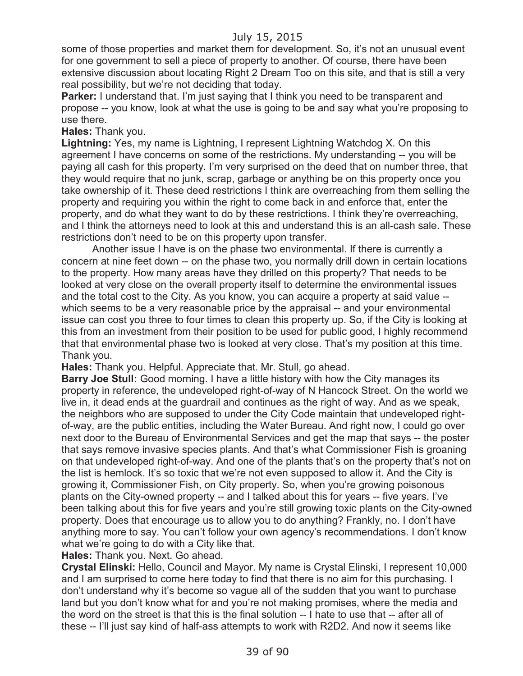some of those properties and market them for development. So, it's not an unusual event for one government to sell a piece of property to another. Of course, there have been extensive discussion about locating Right 2 Dream Too on this site, and that is still a very real possibility, but we're not deciding that today.

**Parker:** I understand that. I'm just saying that I think you need to be transparent and propose -- you know, look at what the use is going to be and say what you're proposing to use there.

**Hales:** Thank you.

**Lightning:** Yes, my name is Lightning, I represent Lightning Watchdog X. On this agreement I have concerns on some of the restrictions. My understanding -- you will be paying all cash for this property. I'm very surprised on the deed that on number three, that they would require that no junk, scrap, garbage or anything be on this property once you take ownership of it. These deed restrictions I think are overreaching from them selling the property and requiring you within the right to come back in and enforce that, enter the property, and do what they want to do by these restrictions. I think they're overreaching, and I think the attorneys need to look at this and understand this is an all-cash sale. These restrictions don't need to be on this property upon transfer.

Another issue I have is on the phase two environmental. If there is currently a concern at nine feet down -- on the phase two, you normally drill down in certain locations to the property. How many areas have they drilled on this property? That needs to be looked at very close on the overall property itself to determine the environmental issues and the total cost to the City. As you know, you can acquire a property at said value - which seems to be a very reasonable price by the appraisal -- and your environmental issue can cost you three to four times to clean this property up. So, if the City is looking at this from an investment from their position to be used for public good, I highly recommend that that environmental phase two is looked at very close. That's my position at this time. Thank you.

**Hales:** Thank you. Helpful. Appreciate that. Mr. Stull, go ahead.

**Barry Joe Stull:** Good morning. I have a little history with how the City manages its property in reference, the undeveloped right-of-way of N Hancock Street. On the world we live in, it dead ends at the guardrail and continues as the right of way. And as we speak, the neighbors who are supposed to under the City Code maintain that undeveloped rightof-way, are the public entities, including the Water Bureau. And right now, I could go over next door to the Bureau of Environmental Services and get the map that says -- the poster that says remove invasive species plants. And that's what Commissioner Fish is groaning on that undeveloped right-of-way. And one of the plants that's on the property that's not on the list is hemlock. It's so toxic that we're not even supposed to allow it. And the City is growing it, Commissioner Fish, on City property. So, when you're growing poisonous plants on the City-owned property -- and I talked about this for years -- five years. I've been talking about this for five years and you're still growing toxic plants on the City-owned property. Does that encourage us to allow you to do anything? Frankly, no. I don't have anything more to say. You can't follow your own agency's recommendations. I don't know what we're going to do with a City like that.

**Hales:** Thank you. Next. Go ahead.

**Crystal Elinski:** Hello, Council and Mayor. My name is Crystal Elinski, I represent 10,000 and I am surprised to come here today to find that there is no aim for this purchasing. I don't understand why it's become so vague all of the sudden that you want to purchase land but you don't know what for and you're not making promises, where the media and the word on the street is that this is the final solution -- I hate to use that -- after all of these -- I'll just say kind of half-ass attempts to work with R2D2. And now it seems like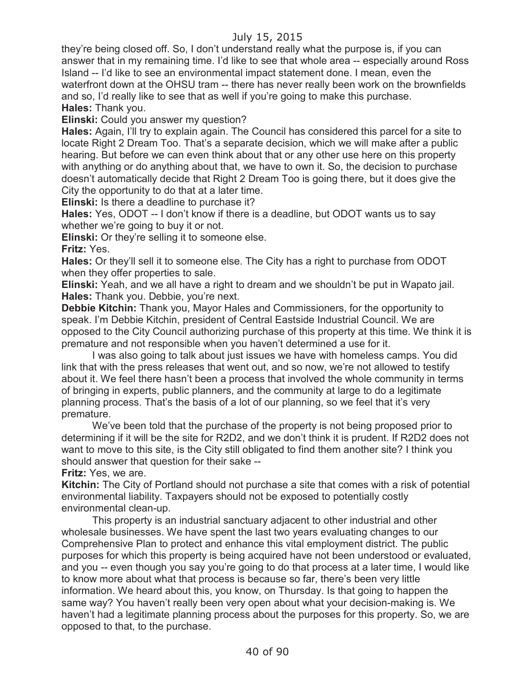they're being closed off. So, I don't understand really what the purpose is, if you can answer that in my remaining time. I'd like to see that whole area -- especially around Ross Island -- I'd like to see an environmental impact statement done. I mean, even the waterfront down at the OHSU tram -- there has never really been work on the brownfields and so, I'd really like to see that as well if you're going to make this purchase. **Hales:** Thank you.

**Elinski:** Could you answer my question?

**Hales:** Again, I'll try to explain again. The Council has considered this parcel for a site to locate Right 2 Dream Too. That's a separate decision, which we will make after a public hearing. But before we can even think about that or any other use here on this property with anything or do anything about that, we have to own it. So, the decision to purchase doesn't automatically decide that Right 2 Dream Too is going there, but it does give the City the opportunity to do that at a later time.

**Elinski:** Is there a deadline to purchase it?

**Hales:** Yes, ODOT -- I don't know if there is a deadline, but ODOT wants us to say whether we're going to buy it or not.

**Elinski:** Or they're selling it to someone else.

**Fritz:** Yes.

**Hales:** Or they'll sell it to someone else. The City has a right to purchase from ODOT when they offer properties to sale.

**Elinski:** Yeah, and we all have a right to dream and we shouldn't be put in Wapato jail. **Hales:** Thank you. Debbie, you're next.

**Debbie Kitchin:** Thank you, Mayor Hales and Commissioners, for the opportunity to speak. I'm Debbie Kitchin, president of Central Eastside Industrial Council. We are opposed to the City Council authorizing purchase of this property at this time. We think it is premature and not responsible when you haven't determined a use for it.

I was also going to talk about just issues we have with homeless camps. You did link that with the press releases that went out, and so now, we're not allowed to testify about it. We feel there hasn't been a process that involved the whole community in terms of bringing in experts, public planners, and the community at large to do a legitimate planning process. That's the basis of a lot of our planning, so we feel that it's very premature.

We've been told that the purchase of the property is not being proposed prior to determining if it will be the site for R2D2, and we don't think it is prudent. If R2D2 does not want to move to this site, is the City still obligated to find them another site? I think you should answer that question for their sake --

**Fritz:** Yes, we are.

**Kitchin:** The City of Portland should not purchase a site that comes with a risk of potential environmental liability. Taxpayers should not be exposed to potentially costly environmental clean-up.

This property is an industrial sanctuary adjacent to other industrial and other wholesale businesses. We have spent the last two years evaluating changes to our Comprehensive Plan to protect and enhance this vital employment district. The public purposes for which this property is being acquired have not been understood or evaluated, and you -- even though you say you're going to do that process at a later time, I would like to know more about what that process is because so far, there's been very little information. We heard about this, you know, on Thursday. Is that going to happen the same way? You haven't really been very open about what your decision-making is. We haven't had a legitimate planning process about the purposes for this property. So, we are opposed to that, to the purchase.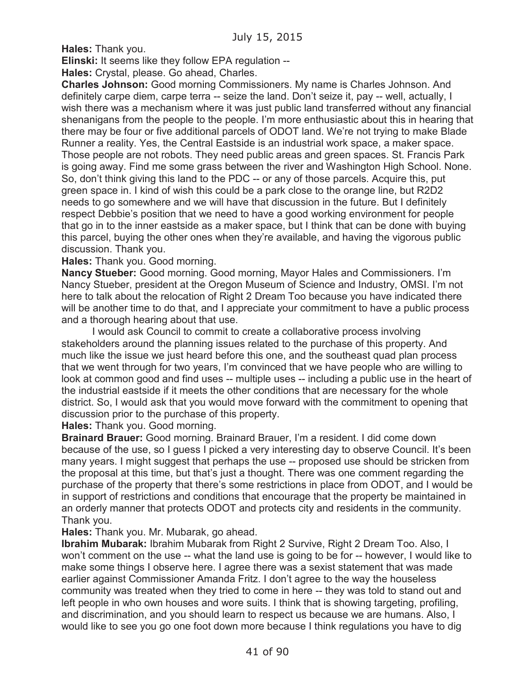**Hales:** Thank you.

**Elinski:** It seems like they follow EPA regulation --

**Hales:** Crystal, please. Go ahead, Charles.

**Charles Johnson:** Good morning Commissioners. My name is Charles Johnson. And definitely carpe diem, carpe terra -- seize the land. Don't seize it, pay -- well, actually, I wish there was a mechanism where it was just public land transferred without any financial shenanigans from the people to the people. I'm more enthusiastic about this in hearing that there may be four or five additional parcels of ODOT land. We're not trying to make Blade Runner a reality. Yes, the Central Eastside is an industrial work space, a maker space. Those people are not robots. They need public areas and green spaces. St. Francis Park is going away. Find me some grass between the river and Washington High School. None. So, don't think giving this land to the PDC -- or any of those parcels. Acquire this, put green space in. I kind of wish this could be a park close to the orange line, but R2D2 needs to go somewhere and we will have that discussion in the future. But I definitely respect Debbie's position that we need to have a good working environment for people that go in to the inner eastside as a maker space, but I think that can be done with buying this parcel, buying the other ones when they're available, and having the vigorous public discussion. Thank you.

**Hales:** Thank you. Good morning.

**Nancy Stueber:** Good morning. Good morning, Mayor Hales and Commissioners. I'm Nancy Stueber, president at the Oregon Museum of Science and Industry, OMSI. I'm not here to talk about the relocation of Right 2 Dream Too because you have indicated there will be another time to do that, and I appreciate your commitment to have a public process and a thorough hearing about that use.

I would ask Council to commit to create a collaborative process involving stakeholders around the planning issues related to the purchase of this property. And much like the issue we just heard before this one, and the southeast quad plan process that we went through for two years, I'm convinced that we have people who are willing to look at common good and find uses -- multiple uses -- including a public use in the heart of the industrial eastside if it meets the other conditions that are necessary for the whole district. So, I would ask that you would move forward with the commitment to opening that discussion prior to the purchase of this property.

**Hales:** Thank you. Good morning.

**Brainard Brauer:** Good morning. Brainard Brauer, I'm a resident. I did come down because of the use, so I guess I picked a very interesting day to observe Council. It's been many years. I might suggest that perhaps the use -- proposed use should be stricken from the proposal at this time, but that's just a thought. There was one comment regarding the purchase of the property that there's some restrictions in place from ODOT, and I would be in support of restrictions and conditions that encourage that the property be maintained in an orderly manner that protects ODOT and protects city and residents in the community. Thank you.

**Hales:** Thank you. Mr. Mubarak, go ahead.

**Ibrahim Mubarak:** Ibrahim Mubarak from Right 2 Survive, Right 2 Dream Too. Also, I won't comment on the use -- what the land use is going to be for -- however, I would like to make some things I observe here. I agree there was a sexist statement that was made earlier against Commissioner Amanda Fritz. I don't agree to the way the houseless community was treated when they tried to come in here -- they was told to stand out and left people in who own houses and wore suits. I think that is showing targeting, profiling, and discrimination, and you should learn to respect us because we are humans. Also, I would like to see you go one foot down more because I think regulations you have to dig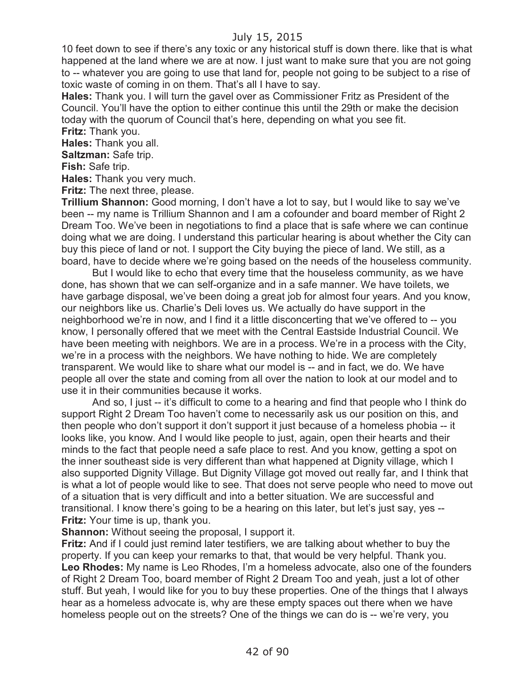10 feet down to see if there's any toxic or any historical stuff is down there. like that is what happened at the land where we are at now. I just want to make sure that you are not going to -- whatever you are going to use that land for, people not going to be subject to a rise of toxic waste of coming in on them. That's all I have to say.

**Hales:** Thank you. I will turn the gavel over as Commissioner Fritz as President of the Council. You'll have the option to either continue this until the 29th or make the decision today with the quorum of Council that's here, depending on what you see fit. **Fritz:** Thank you.

**Hales:** Thank you all.

**Saltzman:** Safe trip.

**Fish:** Safe trip.

**Hales:** Thank you very much.

**Fritz:** The next three, please.

**Trillium Shannon:** Good morning, I don't have a lot to say, but I would like to say we've been -- my name is Trillium Shannon and I am a cofounder and board member of Right 2 Dream Too. We've been in negotiations to find a place that is safe where we can continue doing what we are doing. I understand this particular hearing is about whether the City can buy this piece of land or not. I support the City buying the piece of land. We still, as a board, have to decide where we're going based on the needs of the houseless community.

But I would like to echo that every time that the houseless community, as we have done, has shown that we can self-organize and in a safe manner. We have toilets, we have garbage disposal, we've been doing a great job for almost four years. And you know, our neighbors like us. Charlie's Deli loves us. We actually do have support in the neighborhood we're in now, and I find it a little disconcerting that we've offered to -- you know, I personally offered that we meet with the Central Eastside Industrial Council. We have been meeting with neighbors. We are in a process. We're in a process with the City, we're in a process with the neighbors. We have nothing to hide. We are completely transparent. We would like to share what our model is -- and in fact, we do. We have people all over the state and coming from all over the nation to look at our model and to use it in their communities because it works.

And so, I just -- it's difficult to come to a hearing and find that people who I think do support Right 2 Dream Too haven't come to necessarily ask us our position on this, and then people who don't support it don't support it just because of a homeless phobia -- it looks like, you know. And I would like people to just, again, open their hearts and their minds to the fact that people need a safe place to rest. And you know, getting a spot on the inner southeast side is very different than what happened at Dignity village, which I also supported Dignity Village. But Dignity Village got moved out really far, and I think that is what a lot of people would like to see. That does not serve people who need to move out of a situation that is very difficult and into a better situation. We are successful and transitional. I know there's going to be a hearing on this later, but let's just say, yes -- **Fritz:** Your time is up, thank you.

**Shannon:** Without seeing the proposal, I support it.

**Fritz:** And if I could just remind later testifiers, we are talking about whether to buy the property. If you can keep your remarks to that, that would be very helpful. Thank you. **Leo Rhodes:** My name is Leo Rhodes, I'm a homeless advocate, also one of the founders of Right 2 Dream Too, board member of Right 2 Dream Too and yeah, just a lot of other stuff. But yeah, I would like for you to buy these properties. One of the things that I always hear as a homeless advocate is, why are these empty spaces out there when we have homeless people out on the streets? One of the things we can do is -- we're very, you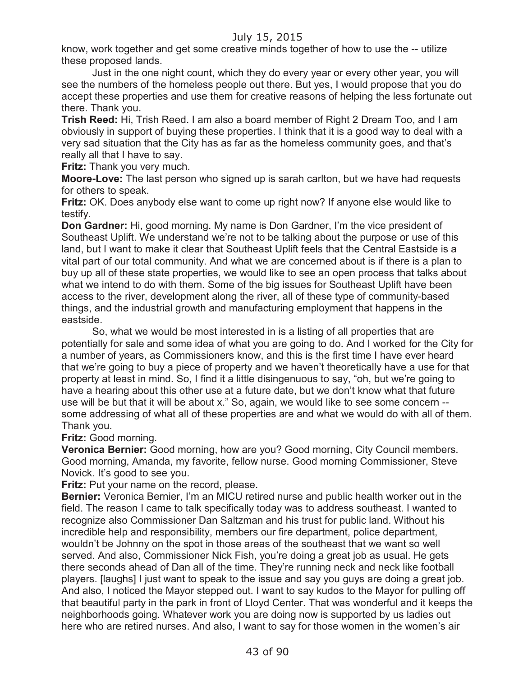know, work together and get some creative minds together of how to use the -- utilize these proposed lands.

Just in the one night count, which they do every year or every other year, you will see the numbers of the homeless people out there. But yes, I would propose that you do accept these properties and use them for creative reasons of helping the less fortunate out there. Thank you.

**Trish Reed:** Hi, Trish Reed. I am also a board member of Right 2 Dream Too, and I am obviously in support of buying these properties. I think that it is a good way to deal with a very sad situation that the City has as far as the homeless community goes, and that's really all that I have to say.

**Fritz:** Thank you very much.

**Moore-Love:** The last person who signed up is sarah carlton, but we have had requests for others to speak.

**Fritz:** OK. Does anybody else want to come up right now? If anyone else would like to testify.

**Don Gardner:** Hi, good morning. My name is Don Gardner, I'm the vice president of Southeast Uplift. We understand we're not to be talking about the purpose or use of this land, but I want to make it clear that Southeast Uplift feels that the Central Eastside is a vital part of our total community. And what we are concerned about is if there is a plan to buy up all of these state properties, we would like to see an open process that talks about what we intend to do with them. Some of the big issues for Southeast Uplift have been access to the river, development along the river, all of these type of community-based things, and the industrial growth and manufacturing employment that happens in the eastside.

So, what we would be most interested in is a listing of all properties that are potentially for sale and some idea of what you are going to do. And I worked for the City for a number of years, as Commissioners know, and this is the first time I have ever heard that we're going to buy a piece of property and we haven't theoretically have a use for that property at least in mind. So, I find it a little disingenuous to say, "oh, but we're going to have a hearing about this other use at a future date, but we don't know what that future use will be but that it will be about x." So, again, we would like to see some concern - some addressing of what all of these properties are and what we would do with all of them. Thank you.

#### **Fritz:** Good morning.

**Veronica Bernier:** Good morning, how are you? Good morning, City Council members. Good morning, Amanda, my favorite, fellow nurse. Good morning Commissioner, Steve Novick. It's good to see you.

**Fritz:** Put your name on the record, please.

**Bernier:** Veronica Bernier, I'm an MICU retired nurse and public health worker out in the field. The reason I came to talk specifically today was to address southeast. I wanted to recognize also Commissioner Dan Saltzman and his trust for public land. Without his incredible help and responsibility, members our fire department, police department, wouldn't be Johnny on the spot in those areas of the southeast that we want so well served. And also, Commissioner Nick Fish, you're doing a great job as usual. He gets there seconds ahead of Dan all of the time. They're running neck and neck like football players. [laughs] I just want to speak to the issue and say you guys are doing a great job. And also, I noticed the Mayor stepped out. I want to say kudos to the Mayor for pulling off that beautiful party in the park in front of Lloyd Center. That was wonderful and it keeps the neighborhoods going. Whatever work you are doing now is supported by us ladies out here who are retired nurses. And also, I want to say for those women in the women's air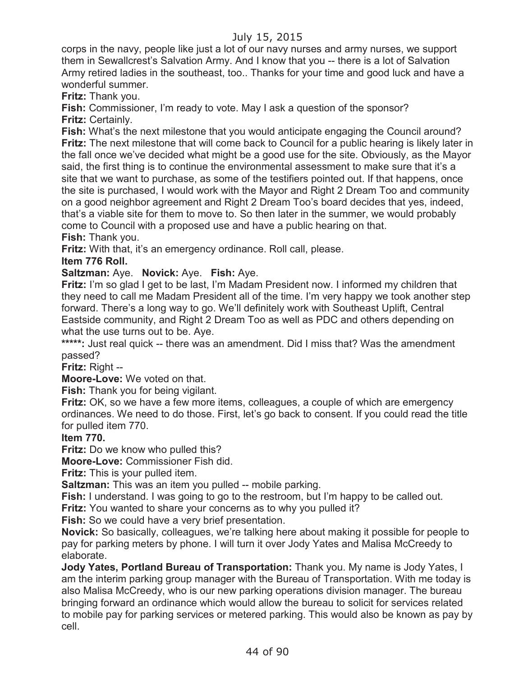corps in the navy, people like just a lot of our navy nurses and army nurses, we support them in Sewallcrest's Salvation Army. And I know that you -- there is a lot of Salvation Army retired ladies in the southeast, too.. Thanks for your time and good luck and have a wonderful summer.

**Fritz:** Thank you.

**Fish:** Commissioner, I'm ready to vote. May I ask a question of the sponsor? **Fritz:** Certainly.

**Fish:** What's the next milestone that you would anticipate engaging the Council around? **Fritz:** The next milestone that will come back to Council for a public hearing is likely later in the fall once we've decided what might be a good use for the site. Obviously, as the Mayor said, the first thing is to continue the environmental assessment to make sure that it's a site that we want to purchase, as some of the testifiers pointed out. If that happens, once the site is purchased, I would work with the Mayor and Right 2 Dream Too and community on a good neighbor agreement and Right 2 Dream Too's board decides that yes, indeed, that's a viable site for them to move to. So then later in the summer, we would probably come to Council with a proposed use and have a public hearing on that. **Fish:** Thank you.

**Fritz:** With that, it's an emergency ordinance. Roll call, please.

**Item 776 Roll.**

**Saltzman:** Aye. **Novick:** Aye. **Fish:** Aye.

**Fritz:** I'm so glad I get to be last, I'm Madam President now. I informed my children that they need to call me Madam President all of the time. I'm very happy we took another step forward. There's a long way to go. We'll definitely work with Southeast Uplift, Central Eastside community, and Right 2 Dream Too as well as PDC and others depending on what the use turns out to be. Aye.

\*\*\*\*\*: Just real quick -- there was an amendment. Did I miss that? Was the amendment passed?

**Fritz:** Right --

**Moore-Love:** We voted on that.

**Fish:** Thank you for being vigilant.

**Fritz:** OK, so we have a few more items, colleagues, a couple of which are emergency ordinances. We need to do those. First, let's go back to consent. If you could read the title for pulled item 770.

**Item 770.**

**Fritz:** Do we know who pulled this?

**Moore-Love:** Commissioner Fish did.

**Fritz:** This is your pulled item.

**Saltzman:** This was an item you pulled -- mobile parking.

**Fish:** I understand. I was going to go to the restroom, but I'm happy to be called out.

**Fritz:** You wanted to share your concerns as to why you pulled it?

**Fish:** So we could have a very brief presentation.

**Novick:** So basically, colleagues, we're talking here about making it possible for people to pay for parking meters by phone. I will turn it over Jody Yates and Malisa McCreedy to elaborate.

**Jody Yates, Portland Bureau of Transportation:** Thank you. My name is Jody Yates, I am the interim parking group manager with the Bureau of Transportation. With me today is also Malisa McCreedy, who is our new parking operations division manager. The bureau bringing forward an ordinance which would allow the bureau to solicit for services related to mobile pay for parking services or metered parking. This would also be known as pay by cell.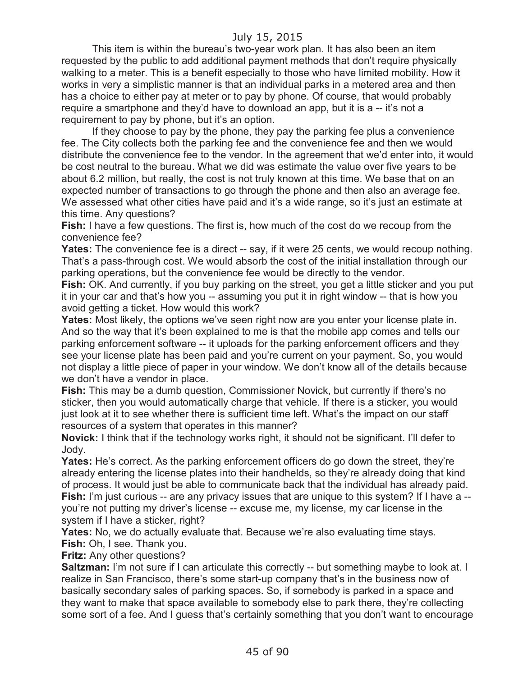This item is within the bureau's two-year work plan. It has also been an item requested by the public to add additional payment methods that don't require physically walking to a meter. This is a benefit especially to those who have limited mobility. How it works in very a simplistic manner is that an individual parks in a metered area and then has a choice to either pay at meter or to pay by phone. Of course, that would probably require a smartphone and they'd have to download an app, but it is a -- it's not a requirement to pay by phone, but it's an option.

If they choose to pay by the phone, they pay the parking fee plus a convenience fee. The City collects both the parking fee and the convenience fee and then we would distribute the convenience fee to the vendor. In the agreement that we'd enter into, it would be cost neutral to the bureau. What we did was estimate the value over five years to be about 6.2 million, but really, the cost is not truly known at this time. We base that on an expected number of transactions to go through the phone and then also an average fee. We assessed what other cities have paid and it's a wide range, so it's just an estimate at this time. Any questions?

**Fish:** I have a few questions. The first is, how much of the cost do we recoup from the convenience fee?

**Yates:** The convenience fee is a direct -- say, if it were 25 cents, we would recoup nothing. That's a pass-through cost. We would absorb the cost of the initial installation through our parking operations, but the convenience fee would be directly to the vendor.

**Fish:** OK. And currently, if you buy parking on the street, you get a little sticker and you put it in your car and that's how you -- assuming you put it in right window -- that is how you avoid getting a ticket. How would this work?

**Yates:** Most likely, the options we've seen right now are you enter your license plate in. And so the way that it's been explained to me is that the mobile app comes and tells our parking enforcement software -- it uploads for the parking enforcement officers and they see your license plate has been paid and you're current on your payment. So, you would not display a little piece of paper in your window. We don't know all of the details because we don't have a vendor in place.

**Fish:** This may be a dumb question, Commissioner Novick, but currently if there's no sticker, then you would automatically charge that vehicle. If there is a sticker, you would just look at it to see whether there is sufficient time left. What's the impact on our staff resources of a system that operates in this manner?

**Novick:** I think that if the technology works right, it should not be significant. I'll defer to Jody.

**Yates:** He's correct. As the parking enforcement officers do go down the street, they're already entering the license plates into their handhelds, so they're already doing that kind of process. It would just be able to communicate back that the individual has already paid. **Fish:** I'm just curious -- are any privacy issues that are unique to this system? If I have a - you're not putting my driver's license -- excuse me, my license, my car license in the system if I have a sticker, right?

**Yates:** No, we do actually evaluate that. Because we're also evaluating time stays. **Fish:** Oh, I see. Thank you.

**Fritz:** Any other questions?

**Saltzman:** I'm not sure if I can articulate this correctly -- but something maybe to look at. I realize in San Francisco, there's some start-up company that's in the business now of basically secondary sales of parking spaces. So, if somebody is parked in a space and they want to make that space available to somebody else to park there, they're collecting some sort of a fee. And I guess that's certainly something that you don't want to encourage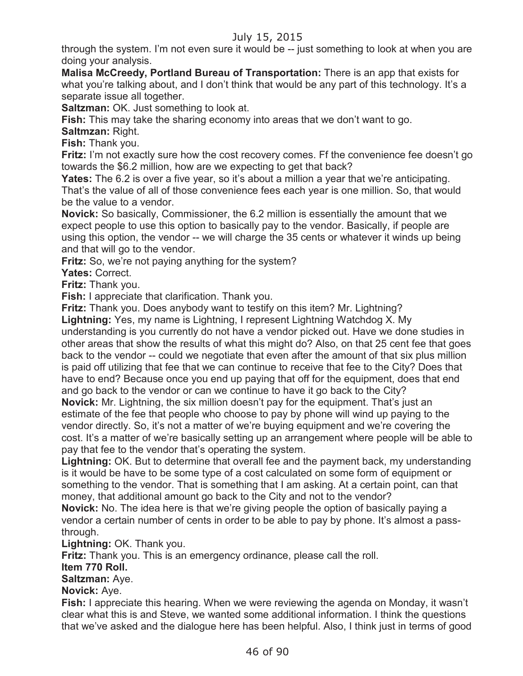through the system. I'm not even sure it would be -- just something to look at when you are doing your analysis.

**Malisa McCreedy, Portland Bureau of Transportation:** There is an app that exists for what you're talking about, and I don't think that would be any part of this technology. It's a separate issue all together.

**Saltzman:** OK. Just something to look at.

**Fish:** This may take the sharing economy into areas that we don't want to go.

**Saltmzan:** Right.

**Fish:** Thank you.

**Fritz:** I'm not exactly sure how the cost recovery comes. Ff the convenience fee doesn't go towards the \$6.2 million, how are we expecting to get that back?

**Yates:** The 6.2 is over a five year, so it's about a million a year that we're anticipating. That's the value of all of those convenience fees each year is one million. So, that would be the value to a vendor.

**Novick:** So basically, Commissioner, the 6.2 million is essentially the amount that we expect people to use this option to basically pay to the vendor. Basically, if people are using this option, the vendor -- we will charge the 35 cents or whatever it winds up being and that will go to the vendor.

**Fritz:** So, we're not paying anything for the system?

**Yates:** Correct.

**Fritz:** Thank you.

**Fish:** I appreciate that clarification. Thank you.

**Fritz:** Thank you. Does anybody want to testify on this item? Mr. Lightning?

**Lightning:** Yes, my name is Lightning, I represent Lightning Watchdog X. My

understanding is you currently do not have a vendor picked out. Have we done studies in other areas that show the results of what this might do? Also, on that 25 cent fee that goes back to the vendor -- could we negotiate that even after the amount of that six plus million is paid off utilizing that fee that we can continue to receive that fee to the City? Does that have to end? Because once you end up paying that off for the equipment, does that end and go back to the vendor or can we continue to have it go back to the City?

**Novick:** Mr. Lightning, the six million doesn't pay for the equipment. That's just an estimate of the fee that people who choose to pay by phone will wind up paying to the vendor directly. So, it's not a matter of we're buying equipment and we're covering the cost. It's a matter of we're basically setting up an arrangement where people will be able to pay that fee to the vendor that's operating the system.

**Lightning:** OK. But to determine that overall fee and the payment back, my understanding is it would be have to be some type of a cost calculated on some form of equipment or something to the vendor. That is something that I am asking. At a certain point, can that money, that additional amount go back to the City and not to the vendor?

**Novick:** No. The idea here is that we're giving people the option of basically paying a vendor a certain number of cents in order to be able to pay by phone. It's almost a passthrough.

**Lightning:** OK. Thank you.

**Fritz:** Thank you. This is an emergency ordinance, please call the roll.

#### **Item 770 Roll.**

**Saltzman:** Aye.

#### **Novick:** Aye.

**Fish:** I appreciate this hearing. When we were reviewing the agenda on Monday, it wasn't clear what this is and Steve, we wanted some additional information. I think the questions that we've asked and the dialogue here has been helpful. Also, I think just in terms of good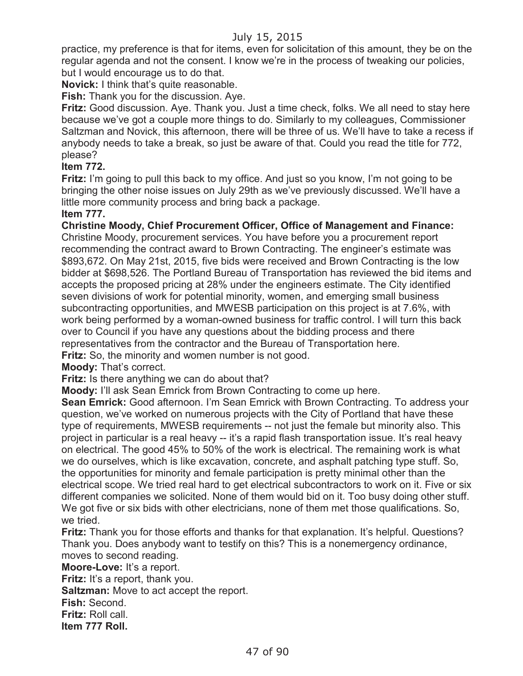practice, my preference is that for items, even for solicitation of this amount, they be on the regular agenda and not the consent. I know we're in the process of tweaking our policies, but I would encourage us to do that.

**Novick:** I think that's quite reasonable.

**Fish:** Thank you for the discussion. Aye.

**Fritz:** Good discussion. Aye. Thank you. Just a time check, folks. We all need to stay here because we've got a couple more things to do. Similarly to my colleagues, Commissioner Saltzman and Novick, this afternoon, there will be three of us. We'll have to take a recess if anybody needs to take a break, so just be aware of that. Could you read the title for 772, please?

## **Item 772.**

**Fritz:** I'm going to pull this back to my office. And just so you know, I'm not going to be bringing the other noise issues on July 29th as we've previously discussed. We'll have a little more community process and bring back a package.

#### **Item 777.**

**Christine Moody, Chief Procurement Officer, Office of Management and Finance:** Christine Moody, procurement services. You have before you a procurement report recommending the contract award to Brown Contracting. The engineer's estimate was \$893,672. On May 21st, 2015, five bids were received and Brown Contracting is the low bidder at \$698,526. The Portland Bureau of Transportation has reviewed the bid items and accepts the proposed pricing at 28% under the engineers estimate. The City identified seven divisions of work for potential minority, women, and emerging small business subcontracting opportunities, and MWESB participation on this project is at 7.6%, with work being performed by a woman-owned business for traffic control. I will turn this back over to Council if you have any questions about the bidding process and there representatives from the contractor and the Bureau of Transportation here. **Fritz:** So, the minority and women number is not good.

**Moody:** That's correct.

**Fritz:** Is there anything we can do about that?

**Moody:** I'll ask Sean Emrick from Brown Contracting to come up here.

**Sean Emrick:** Good afternoon. I'm Sean Emrick with Brown Contracting. To address your question, we've worked on numerous projects with the City of Portland that have these type of requirements, MWESB requirements -- not just the female but minority also. This project in particular is a real heavy -- it's a rapid flash transportation issue. It's real heavy on electrical. The good 45% to 50% of the work is electrical. The remaining work is what we do ourselves, which is like excavation, concrete, and asphalt patching type stuff. So, the opportunities for minority and female participation is pretty minimal other than the electrical scope. We tried real hard to get electrical subcontractors to work on it. Five or six different companies we solicited. None of them would bid on it. Too busy doing other stuff. We got five or six bids with other electricians, none of them met those qualifications. So, we tried.

**Fritz:** Thank you for those efforts and thanks for that explanation. It's helpful. Questions? Thank you. Does anybody want to testify on this? This is a nonemergency ordinance, moves to second reading.

**Moore-Love:** It's a report.

Fritz: It's a report, thank you. **Saltzman:** Move to act accept the report.

**Fish:** Second.

**Fritz:** Roll call.

**Item 777 Roll.**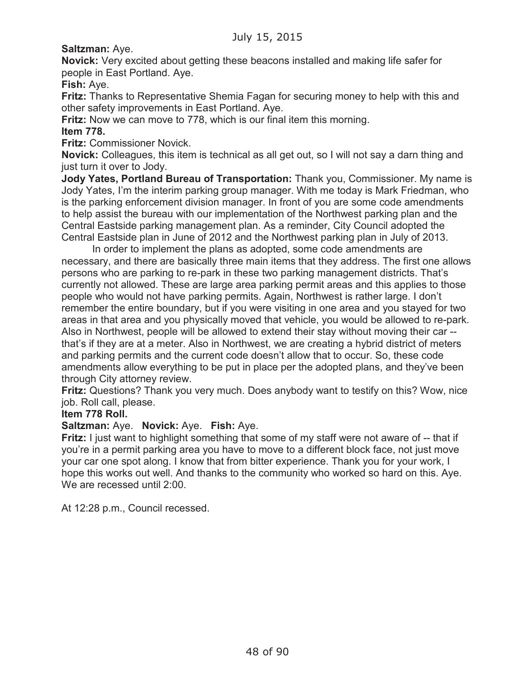# **Saltzman:** Aye.

**Novick:** Very excited about getting these beacons installed and making life safer for people in East Portland. Aye.

**Fish:** Aye.

**Fritz:** Thanks to Representative Shemia Fagan for securing money to help with this and other safety improvements in East Portland. Aye.

**Fritz:** Now we can move to 778, which is our final item this morning.

## **Item 778.**

**Fritz:** Commissioner Novick.

**Novick:** Colleagues, this item is technical as all get out, so I will not say a darn thing and just turn it over to Jody.

**Jody Yates, Portland Bureau of Transportation:** Thank you, Commissioner. My name is Jody Yates, I'm the interim parking group manager. With me today is Mark Friedman, who is the parking enforcement division manager. In front of you are some code amendments to help assist the bureau with our implementation of the Northwest parking plan and the Central Eastside parking management plan. As a reminder, City Council adopted the Central Eastside plan in June of 2012 and the Northwest parking plan in July of 2013.

In order to implement the plans as adopted, some code amendments are necessary, and there are basically three main items that they address. The first one allows persons who are parking to re-park in these two parking management districts. That's currently not allowed. These are large area parking permit areas and this applies to those people who would not have parking permits. Again, Northwest is rather large. I don't remember the entire boundary, but if you were visiting in one area and you stayed for two areas in that area and you physically moved that vehicle, you would be allowed to re-park. Also in Northwest, people will be allowed to extend their stay without moving their car - that's if they are at a meter. Also in Northwest, we are creating a hybrid district of meters and parking permits and the current code doesn't allow that to occur. So, these code amendments allow everything to be put in place per the adopted plans, and they've been through City attorney review.

**Fritz:** Questions? Thank you very much. Does anybody want to testify on this? Wow, nice job. Roll call, please.

#### **Item 778 Roll.**

#### **Saltzman:** Aye. **Novick:** Aye. **Fish:** Aye.

**Fritz:** I just want to highlight something that some of my staff were not aware of -- that if you're in a permit parking area you have to move to a different block face, not just move your car one spot along. I know that from bitter experience. Thank you for your work, I hope this works out well. And thanks to the community who worked so hard on this. Aye. We are recessed until 2:00.

At 12:28 p.m., Council recessed.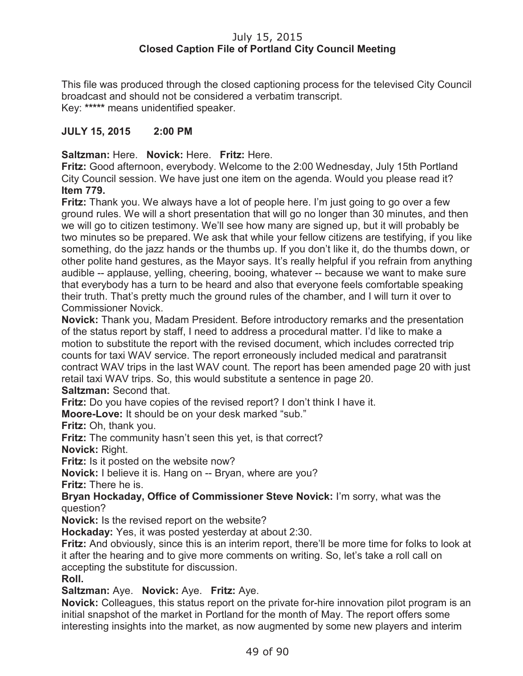## July 15, 2015 **Closed Caption File of Portland City Council Meeting**

This file was produced through the closed captioning process for the televised City Council broadcast and should not be considered a verbatim transcript. Key: **\*\*\*\*\*** means unidentified speaker.

# **JULY 15, 2015 2:00 PM**

**Saltzman:** Here. **Novick:** Here. **Fritz:** Here.

**Fritz:** Good afternoon, everybody. Welcome to the 2:00 Wednesday, July 15th Portland City Council session. We have just one item on the agenda. Would you please read it? **Item 779.**

**Fritz:** Thank you. We always have a lot of people here. I'm just going to go over a few ground rules. We will a short presentation that will go no longer than 30 minutes, and then we will go to citizen testimony. We'll see how many are signed up, but it will probably be two minutes so be prepared. We ask that while your fellow citizens are testifying, if you like something, do the jazz hands or the thumbs up. If you don't like it, do the thumbs down, or other polite hand gestures, as the Mayor says. It's really helpful if you refrain from anything audible -- applause, yelling, cheering, booing, whatever -- because we want to make sure that everybody has a turn to be heard and also that everyone feels comfortable speaking their truth. That's pretty much the ground rules of the chamber, and I will turn it over to Commissioner Novick.

**Novick:** Thank you, Madam President. Before introductory remarks and the presentation of the status report by staff, I need to address a procedural matter. I'd like to make a motion to substitute the report with the revised document, which includes corrected trip counts for taxi WAV service. The report erroneously included medical and paratransit contract WAV trips in the last WAV count. The report has been amended page 20 with just retail taxi WAV trips. So, this would substitute a sentence in page 20.

#### **Saltzman:** Second that.

**Fritz:** Do you have copies of the revised report? I don't think I have it.

**Moore-Love:** It should be on your desk marked "sub."

**Fritz:** Oh, thank you.

**Fritz:** The community hasn't seen this yet, is that correct?

**Novick:** Right.

**Fritz:** Is it posted on the website now?

**Novick:** I believe it is. Hang on -- Bryan, where are you?

**Fritz:** There he is.

**Bryan Hockaday, Office of Commissioner Steve Novick:** I'm sorry, what was the question?

**Novick:** Is the revised report on the website?

**Hockaday:** Yes, it was posted yesterday at about 2:30.

**Fritz:** And obviously, since this is an interim report, there'll be more time for folks to look at it after the hearing and to give more comments on writing. So, let's take a roll call on accepting the substitute for discussion. **Roll.**

**Saltzman:** Aye. **Novick:** Aye. **Fritz:** Aye.

**Novick:** Colleagues, this status report on the private for-hire innovation pilot program is an initial snapshot of the market in Portland for the month of May. The report offers some interesting insights into the market, as now augmented by some new players and interim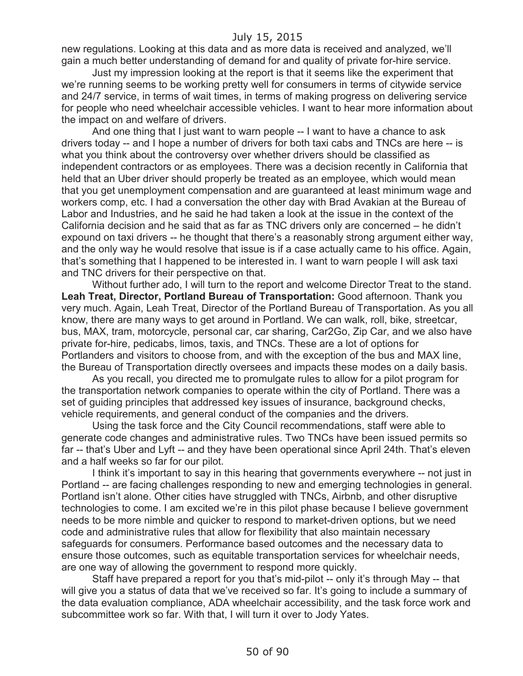new regulations. Looking at this data and as more data is received and analyzed, we'll gain a much better understanding of demand for and quality of private for-hire service.

Just my impression looking at the report is that it seems like the experiment that we're running seems to be working pretty well for consumers in terms of citywide service and 24/7 service, in terms of wait times, in terms of making progress on delivering service for people who need wheelchair accessible vehicles. I want to hear more information about the impact on and welfare of drivers.

And one thing that I just want to warn people -- I want to have a chance to ask drivers today -- and I hope a number of drivers for both taxi cabs and TNCs are here -- is what you think about the controversy over whether drivers should be classified as independent contractors or as employees. There was a decision recently in California that held that an Uber driver should properly be treated as an employee, which would mean that you get unemployment compensation and are guaranteed at least minimum wage and workers comp, etc. I had a conversation the other day with Brad Avakian at the Bureau of Labor and Industries, and he said he had taken a look at the issue in the context of the California decision and he said that as far as TNC drivers only are concerned – he didn't expound on taxi drivers -- he thought that there's a reasonably strong argument either way, and the only way he would resolve that issue is if a case actually came to his office. Again, that's something that I happened to be interested in. I want to warn people I will ask taxi and TNC drivers for their perspective on that.

Without further ado, I will turn to the report and welcome Director Treat to the stand. **Leah Treat, Director, Portland Bureau of Transportation:** Good afternoon. Thank you very much. Again, Leah Treat, Director of the Portland Bureau of Transportation. As you all know, there are many ways to get around in Portland. We can walk, roll, bike, streetcar, bus, MAX, tram, motorcycle, personal car, car sharing, Car2Go, Zip Car, and we also have private for-hire, pedicabs, limos, taxis, and TNCs. These are a lot of options for Portlanders and visitors to choose from, and with the exception of the bus and MAX line, the Bureau of Transportation directly oversees and impacts these modes on a daily basis.

As you recall, you directed me to promulgate rules to allow for a pilot program for the transportation network companies to operate within the city of Portland. There was a set of guiding principles that addressed key issues of insurance, background checks, vehicle requirements, and general conduct of the companies and the drivers.

Using the task force and the City Council recommendations, staff were able to generate code changes and administrative rules. Two TNCs have been issued permits so far -- that's Uber and Lyft -- and they have been operational since April 24th. That's eleven and a half weeks so far for our pilot.

I think it's important to say in this hearing that governments everywhere -- not just in Portland -- are facing challenges responding to new and emerging technologies in general. Portland isn't alone. Other cities have struggled with TNCs, Airbnb, and other disruptive technologies to come. I am excited we're in this pilot phase because I believe government needs to be more nimble and quicker to respond to market-driven options, but we need code and administrative rules that allow for flexibility that also maintain necessary safeguards for consumers. Performance based outcomes and the necessary data to ensure those outcomes, such as equitable transportation services for wheelchair needs, are one way of allowing the government to respond more quickly.

Staff have prepared a report for you that's mid-pilot -- only it's through May -- that will give you a status of data that we've received so far. It's going to include a summary of the data evaluation compliance, ADA wheelchair accessibility, and the task force work and subcommittee work so far. With that, I will turn it over to Jody Yates.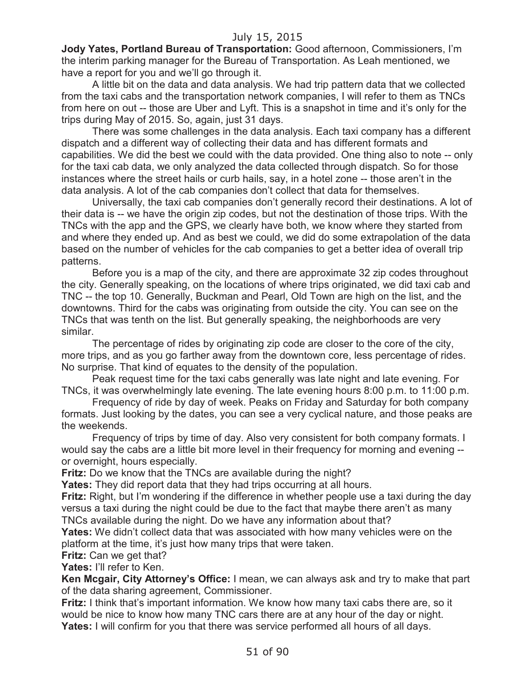**Jody Yates, Portland Bureau of Transportation:** Good afternoon, Commissioners, I'm the interim parking manager for the Bureau of Transportation. As Leah mentioned, we have a report for you and we'll go through it.

A little bit on the data and data analysis. We had trip pattern data that we collected from the taxi cabs and the transportation network companies, I will refer to them as TNCs from here on out -- those are Uber and Lyft. This is a snapshot in time and it's only for the trips during May of 2015. So, again, just 31 days.

There was some challenges in the data analysis. Each taxi company has a different dispatch and a different way of collecting their data and has different formats and capabilities. We did the best we could with the data provided. One thing also to note -- only for the taxi cab data, we only analyzed the data collected through dispatch. So for those instances where the street hails or curb hails, say, in a hotel zone -- those aren't in the data analysis. A lot of the cab companies don't collect that data for themselves.

Universally, the taxi cab companies don't generally record their destinations. A lot of their data is -- we have the origin zip codes, but not the destination of those trips. With the TNCs with the app and the GPS, we clearly have both, we know where they started from and where they ended up. And as best we could, we did do some extrapolation of the data based on the number of vehicles for the cab companies to get a better idea of overall trip patterns.

Before you is a map of the city, and there are approximate 32 zip codes throughout the city. Generally speaking, on the locations of where trips originated, we did taxi cab and TNC -- the top 10. Generally, Buckman and Pearl, Old Town are high on the list, and the downtowns. Third for the cabs was originating from outside the city. You can see on the TNCs that was tenth on the list. But generally speaking, the neighborhoods are very similar.

The percentage of rides by originating zip code are closer to the core of the city, more trips, and as you go farther away from the downtown core, less percentage of rides. No surprise. That kind of equates to the density of the population.

Peak request time for the taxi cabs generally was late night and late evening. For TNCs, it was overwhelmingly late evening. The late evening hours 8:00 p.m. to 11:00 p.m.

Frequency of ride by day of week. Peaks on Friday and Saturday for both company formats. Just looking by the dates, you can see a very cyclical nature, and those peaks are the weekends.

Frequency of trips by time of day. Also very consistent for both company formats. I would say the cabs are a little bit more level in their frequency for morning and evening - or overnight, hours especially.

**Fritz:** Do we know that the TNCs are available during the night?

**Yates:** They did report data that they had trips occurring at all hours.

**Fritz:** Right, but I'm wondering if the difference in whether people use a taxi during the day versus a taxi during the night could be due to the fact that maybe there aren't as many TNCs available during the night. Do we have any information about that?

**Yates:** We didn't collect data that was associated with how many vehicles were on the platform at the time, it's just how many trips that were taken.

**Fritz:** Can we get that?

**Yates:** I'll refer to Ken.

**Ken Mcgair, City Attorney's Office:** I mean, we can always ask and try to make that part of the data sharing agreement, Commissioner.

**Fritz:** I think that's important information. We know how many taxi cabs there are, so it would be nice to know how many TNC cars there are at any hour of the day or night. **Yates:** I will confirm for you that there was service performed all hours of all days.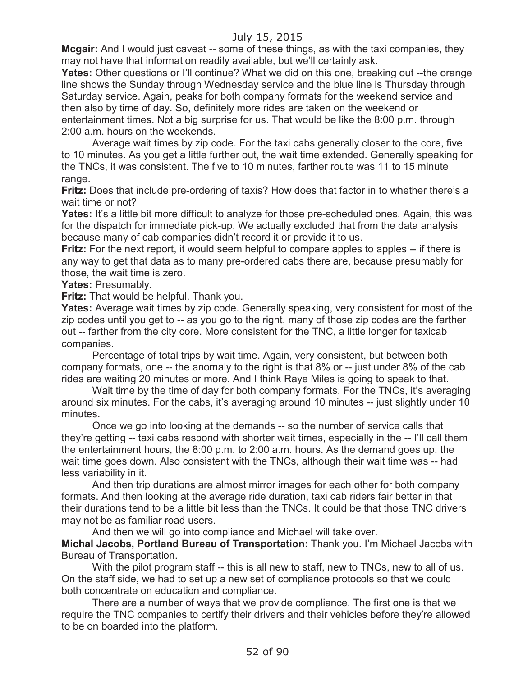**Mcgair:** And I would just caveat -- some of these things, as with the taxi companies, they may not have that information readily available, but we'll certainly ask.

**Yates:** Other questions or I'll continue? What we did on this one, breaking out --the orange line shows the Sunday through Wednesday service and the blue line is Thursday through Saturday service. Again, peaks for both company formats for the weekend service and then also by time of day. So, definitely more rides are taken on the weekend or entertainment times. Not a big surprise for us. That would be like the 8:00 p.m. through 2:00 a.m. hours on the weekends.

Average wait times by zip code. For the taxi cabs generally closer to the core, five to 10 minutes. As you get a little further out, the wait time extended. Generally speaking for the TNCs, it was consistent. The five to 10 minutes, farther route was 11 to 15 minute range.

**Fritz:** Does that include pre-ordering of taxis? How does that factor in to whether there's a wait time or not?

**Yates:** It's a little bit more difficult to analyze for those pre-scheduled ones. Again, this was for the dispatch for immediate pick-up. We actually excluded that from the data analysis because many of cab companies didn't record it or provide it to us.

**Fritz:** For the next report, it would seem helpful to compare apples to apples -- if there is any way to get that data as to many pre-ordered cabs there are, because presumably for those, the wait time is zero.

**Yates:** Presumably.

**Fritz:** That would be helpful. Thank you.

**Yates:** Average wait times by zip code. Generally speaking, very consistent for most of the zip codes until you get to -- as you go to the right, many of those zip codes are the farther out -- farther from the city core. More consistent for the TNC, a little longer for taxicab companies.

Percentage of total trips by wait time. Again, very consistent, but between both company formats, one -- the anomaly to the right is that 8% or -- just under 8% of the cab rides are waiting 20 minutes or more. And I think Raye Miles is going to speak to that.

Wait time by the time of day for both company formats. For the TNCs, it's averaging around six minutes. For the cabs, it's averaging around 10 minutes -- just slightly under 10 minutes.

Once we go into looking at the demands -- so the number of service calls that they're getting -- taxi cabs respond with shorter wait times, especially in the -- I'll call them the entertainment hours, the 8:00 p.m. to 2:00 a.m. hours. As the demand goes up, the wait time goes down. Also consistent with the TNCs, although their wait time was -- had less variability in it.

And then trip durations are almost mirror images for each other for both company formats. And then looking at the average ride duration, taxi cab riders fair better in that their durations tend to be a little bit less than the TNCs. It could be that those TNC drivers may not be as familiar road users.

And then we will go into compliance and Michael will take over.

**Michal Jacobs, Portland Bureau of Transportation:** Thank you. I'm Michael Jacobs with Bureau of Transportation.

With the pilot program staff -- this is all new to staff, new to TNCs, new to all of us. On the staff side, we had to set up a new set of compliance protocols so that we could both concentrate on education and compliance.

There are a number of ways that we provide compliance. The first one is that we require the TNC companies to certify their drivers and their vehicles before they're allowed to be on boarded into the platform.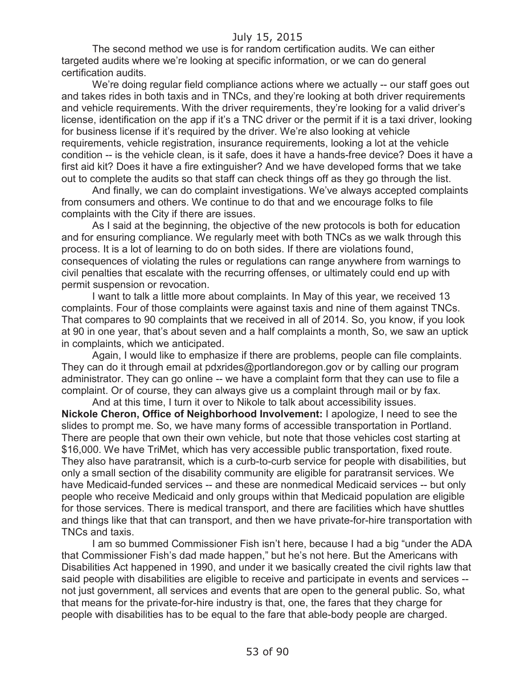The second method we use is for random certification audits. We can either targeted audits where we're looking at specific information, or we can do general certification audits.

We're doing regular field compliance actions where we actually -- our staff goes out and takes rides in both taxis and in TNCs, and they're looking at both driver requirements and vehicle requirements. With the driver requirements, they're looking for a valid driver's license, identification on the app if it's a TNC driver or the permit if it is a taxi driver, looking for business license if it's required by the driver. We're also looking at vehicle requirements, vehicle registration, insurance requirements, looking a lot at the vehicle condition -- is the vehicle clean, is it safe, does it have a hands-free device? Does it have a first aid kit? Does it have a fire extinguisher? And we have developed forms that we take out to complete the audits so that staff can check things off as they go through the list.

And finally, we can do complaint investigations. We've always accepted complaints from consumers and others. We continue to do that and we encourage folks to file complaints with the City if there are issues.

As I said at the beginning, the objective of the new protocols is both for education and for ensuring compliance. We regularly meet with both TNCs as we walk through this process. It is a lot of learning to do on both sides. If there are violations found, consequences of violating the rules or regulations can range anywhere from warnings to civil penalties that escalate with the recurring offenses, or ultimately could end up with permit suspension or revocation.

I want to talk a little more about complaints. In May of this year, we received 13 complaints. Four of those complaints were against taxis and nine of them against TNCs. That compares to 90 complaints that we received in all of 2014. So, you know, if you look at 90 in one year, that's about seven and a half complaints a month, So, we saw an uptick in complaints, which we anticipated.

Again, I would like to emphasize if there are problems, people can file complaints. They can do it through email at pdxrides@portlandoregon.gov or by calling our program administrator. They can go online -- we have a complaint form that they can use to file a complaint. Or of course, they can always give us a complaint through mail or by fax.

And at this time, I turn it over to Nikole to talk about accessibility issues. **Nickole Cheron, Office of Neighborhood Involvement:** I apologize, I need to see the slides to prompt me. So, we have many forms of accessible transportation in Portland. There are people that own their own vehicle, but note that those vehicles cost starting at \$16,000. We have TriMet, which has very accessible public transportation, fixed route. They also have paratransit, which is a curb-to-curb service for people with disabilities, but only a small section of the disability community are eligible for paratransit services. We have Medicaid-funded services -- and these are nonmedical Medicaid services -- but only people who receive Medicaid and only groups within that Medicaid population are eligible for those services. There is medical transport, and there are facilities which have shuttles and things like that that can transport, and then we have private-for-hire transportation with TNCs and taxis.

I am so bummed Commissioner Fish isn't here, because I had a big "under the ADA that Commissioner Fish's dad made happen," but he's not here. But the Americans with Disabilities Act happened in 1990, and under it we basically created the civil rights law that said people with disabilities are eligible to receive and participate in events and services - not just government, all services and events that are open to the general public. So, what that means for the private-for-hire industry is that, one, the fares that they charge for people with disabilities has to be equal to the fare that able-body people are charged.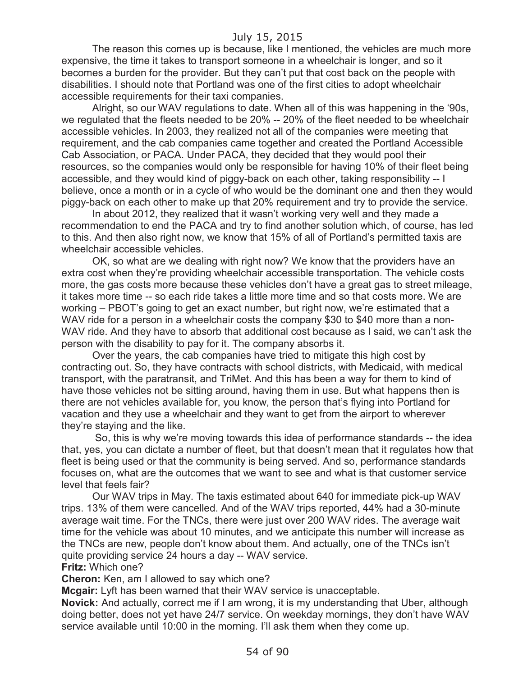The reason this comes up is because, like I mentioned, the vehicles are much more expensive, the time it takes to transport someone in a wheelchair is longer, and so it becomes a burden for the provider. But they can't put that cost back on the people with disabilities. I should note that Portland was one of the first cities to adopt wheelchair accessible requirements for their taxi companies.

Alright, so our WAV regulations to date. When all of this was happening in the '90s, we regulated that the fleets needed to be 20% -- 20% of the fleet needed to be wheelchair accessible vehicles. In 2003, they realized not all of the companies were meeting that requirement, and the cab companies came together and created the Portland Accessible Cab Association, or PACA. Under PACA, they decided that they would pool their resources, so the companies would only be responsible for having 10% of their fleet being accessible, and they would kind of piggy-back on each other, taking responsibility -- I believe, once a month or in a cycle of who would be the dominant one and then they would piggy-back on each other to make up that 20% requirement and try to provide the service.

In about 2012, they realized that it wasn't working very well and they made a recommendation to end the PACA and try to find another solution which, of course, has led to this. And then also right now, we know that 15% of all of Portland's permitted taxis are wheelchair accessible vehicles.

OK, so what are we dealing with right now? We know that the providers have an extra cost when they're providing wheelchair accessible transportation. The vehicle costs more, the gas costs more because these vehicles don't have a great gas to street mileage, it takes more time -- so each ride takes a little more time and so that costs more. We are working – PBOT's going to get an exact number, but right now, we're estimated that a WAV ride for a person in a wheelchair costs the company \$30 to \$40 more than a non-WAV ride. And they have to absorb that additional cost because as I said, we can't ask the person with the disability to pay for it. The company absorbs it.

Over the years, the cab companies have tried to mitigate this high cost by contracting out. So, they have contracts with school districts, with Medicaid, with medical transport, with the paratransit, and TriMet. And this has been a way for them to kind of have those vehicles not be sitting around, having them in use. But what happens then is there are not vehicles available for, you know, the person that's flying into Portland for vacation and they use a wheelchair and they want to get from the airport to wherever they're staying and the like.

So, this is why we're moving towards this idea of performance standards -- the idea that, yes, you can dictate a number of fleet, but that doesn't mean that it regulates how that fleet is being used or that the community is being served. And so, performance standards focuses on, what are the outcomes that we want to see and what is that customer service level that feels fair?

Our WAV trips in May. The taxis estimated about 640 for immediate pick-up WAV trips. 13% of them were cancelled. And of the WAV trips reported, 44% had a 30-minute average wait time. For the TNCs, there were just over 200 WAV rides. The average wait time for the vehicle was about 10 minutes, and we anticipate this number will increase as the TNCs are new, people don't know about them. And actually, one of the TNCs isn't quite providing service 24 hours a day -- WAV service.

**Fritz:** Which one?

**Cheron:** Ken, am I allowed to say which one?

**Mcgair:** Lyft has been warned that their WAV service is unacceptable.

**Novick:** And actually, correct me if I am wrong, it is my understanding that Uber, although doing better, does not yet have 24/7 service. On weekday mornings, they don't have WAV service available until 10:00 in the morning. I'll ask them when they come up.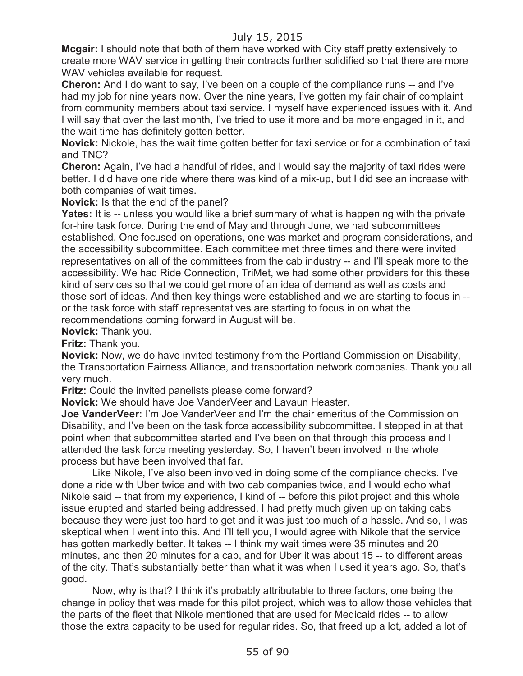**Mcgair:** I should note that both of them have worked with City staff pretty extensively to create more WAV service in getting their contracts further solidified so that there are more WAV vehicles available for request.

**Cheron:** And I do want to say, I've been on a couple of the compliance runs -- and I've had my job for nine years now. Over the nine years, I've gotten my fair chair of complaint from community members about taxi service. I myself have experienced issues with it. And I will say that over the last month, I've tried to use it more and be more engaged in it, and the wait time has definitely gotten better.

**Novick:** Nickole, has the wait time gotten better for taxi service or for a combination of taxi and TNC?

**Cheron:** Again, I've had a handful of rides, and I would say the majority of taxi rides were better. I did have one ride where there was kind of a mix-up, but I did see an increase with both companies of wait times.

**Novick:** Is that the end of the panel?

**Yates:** It is -- unless you would like a brief summary of what is happening with the private for-hire task force. During the end of May and through June, we had subcommittees established. One focused on operations, one was market and program considerations, and the accessibility subcommittee. Each committee met three times and there were invited representatives on all of the committees from the cab industry -- and I'll speak more to the accessibility. We had Ride Connection, TriMet, we had some other providers for this these kind of services so that we could get more of an idea of demand as well as costs and those sort of ideas. And then key things were established and we are starting to focus in - or the task force with staff representatives are starting to focus in on what the recommendations coming forward in August will be.

**Novick:** Thank you.

**Fritz:** Thank you.

**Novick:** Now, we do have invited testimony from the Portland Commission on Disability, the Transportation Fairness Alliance, and transportation network companies. Thank you all very much.

**Fritz:** Could the invited panelists please come forward?

**Novick:** We should have Joe VanderVeer and Lavaun Heaster.

**Joe VanderVeer:** I'm Joe VanderVeer and I'm the chair emeritus of the Commission on Disability, and I've been on the task force accessibility subcommittee. I stepped in at that point when that subcommittee started and I've been on that through this process and I attended the task force meeting yesterday. So, I haven't been involved in the whole process but have been involved that far.

Like Nikole, I've also been involved in doing some of the compliance checks. I've done a ride with Uber twice and with two cab companies twice, and I would echo what Nikole said -- that from my experience, I kind of -- before this pilot project and this whole issue erupted and started being addressed, I had pretty much given up on taking cabs because they were just too hard to get and it was just too much of a hassle. And so, I was skeptical when I went into this. And I'll tell you, I would agree with Nikole that the service has gotten markedly better. It takes -- I think my wait times were 35 minutes and 20 minutes, and then 20 minutes for a cab, and for Uber it was about 15 -- to different areas of the city. That's substantially better than what it was when I used it years ago. So, that's good.

Now, why is that? I think it's probably attributable to three factors, one being the change in policy that was made for this pilot project, which was to allow those vehicles that the parts of the fleet that Nikole mentioned that are used for Medicaid rides -- to allow those the extra capacity to be used for regular rides. So, that freed up a lot, added a lot of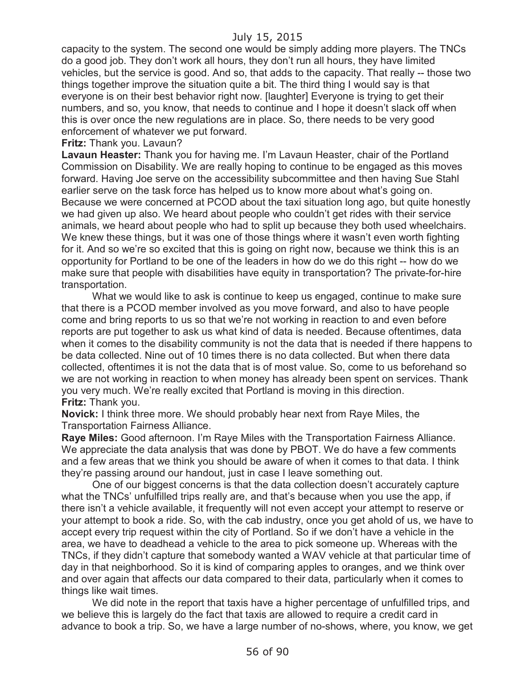capacity to the system. The second one would be simply adding more players. The TNCs do a good job. They don't work all hours, they don't run all hours, they have limited vehicles, but the service is good. And so, that adds to the capacity. That really -- those two things together improve the situation quite a bit. The third thing I would say is that everyone is on their best behavior right now. [laughter] Everyone is trying to get their numbers, and so, you know, that needs to continue and I hope it doesn't slack off when this is over once the new regulations are in place. So, there needs to be very good enforcement of whatever we put forward.

#### **Fritz:** Thank you. Lavaun?

**Lavaun Heaster:** Thank you for having me. I'm Lavaun Heaster, chair of the Portland Commission on Disability. We are really hoping to continue to be engaged as this moves forward. Having Joe serve on the accessibility subcommittee and then having Sue Stahl earlier serve on the task force has helped us to know more about what's going on. Because we were concerned at PCOD about the taxi situation long ago, but quite honestly we had given up also. We heard about people who couldn't get rides with their service animals, we heard about people who had to split up because they both used wheelchairs. We knew these things, but it was one of those things where it wasn't even worth fighting for it. And so we're so excited that this is going on right now, because we think this is an opportunity for Portland to be one of the leaders in how do we do this right -- how do we make sure that people with disabilities have equity in transportation? The private-for-hire transportation.

What we would like to ask is continue to keep us engaged, continue to make sure that there is a PCOD member involved as you move forward, and also to have people come and bring reports to us so that we're not working in reaction to and even before reports are put together to ask us what kind of data is needed. Because oftentimes, data when it comes to the disability community is not the data that is needed if there happens to be data collected. Nine out of 10 times there is no data collected. But when there data collected, oftentimes it is not the data that is of most value. So, come to us beforehand so we are not working in reaction to when money has already been spent on services. Thank you very much. We're really excited that Portland is moving in this direction. **Fritz:** Thank you.

**Novick:** I think three more. We should probably hear next from Raye Miles, the Transportation Fairness Alliance.

**Raye Miles:** Good afternoon. I'm Raye Miles with the Transportation Fairness Alliance. We appreciate the data analysis that was done by PBOT. We do have a few comments and a few areas that we think you should be aware of when it comes to that data. I think they're passing around our handout, just in case I leave something out.

One of our biggest concerns is that the data collection doesn't accurately capture what the TNCs' unfulfilled trips really are, and that's because when you use the app, if there isn't a vehicle available, it frequently will not even accept your attempt to reserve or your attempt to book a ride. So, with the cab industry, once you get ahold of us, we have to accept every trip request within the city of Portland. So if we don't have a vehicle in the area, we have to deadhead a vehicle to the area to pick someone up. Whereas with the TNCs, if they didn't capture that somebody wanted a WAV vehicle at that particular time of day in that neighborhood. So it is kind of comparing apples to oranges, and we think over and over again that affects our data compared to their data, particularly when it comes to things like wait times.

We did note in the report that taxis have a higher percentage of unfulfilled trips, and we believe this is largely do the fact that taxis are allowed to require a credit card in advance to book a trip. So, we have a large number of no-shows, where, you know, we get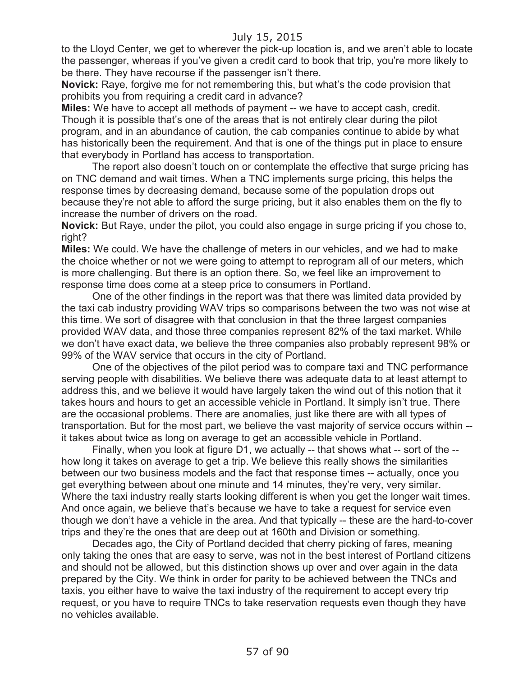to the Lloyd Center, we get to wherever the pick-up location is, and we aren't able to locate the passenger, whereas if you've given a credit card to book that trip, you're more likely to be there. They have recourse if the passenger isn't there.

**Novick:** Raye, forgive me for not remembering this, but what's the code provision that prohibits you from requiring a credit card in advance?

**Miles:** We have to accept all methods of payment -- we have to accept cash, credit. Though it is possible that's one of the areas that is not entirely clear during the pilot program, and in an abundance of caution, the cab companies continue to abide by what has historically been the requirement. And that is one of the things put in place to ensure that everybody in Portland has access to transportation.

The report also doesn't touch on or contemplate the effective that surge pricing has on TNC demand and wait times. When a TNC implements surge pricing, this helps the response times by decreasing demand, because some of the population drops out because they're not able to afford the surge pricing, but it also enables them on the fly to increase the number of drivers on the road.

**Novick:** But Raye, under the pilot, you could also engage in surge pricing if you chose to, right?

**Miles:** We could. We have the challenge of meters in our vehicles, and we had to make the choice whether or not we were going to attempt to reprogram all of our meters, which is more challenging. But there is an option there. So, we feel like an improvement to response time does come at a steep price to consumers in Portland.

One of the other findings in the report was that there was limited data provided by the taxi cab industry providing WAV trips so comparisons between the two was not wise at this time. We sort of disagree with that conclusion in that the three largest companies provided WAV data, and those three companies represent 82% of the taxi market. While we don't have exact data, we believe the three companies also probably represent 98% or 99% of the WAV service that occurs in the city of Portland.

One of the objectives of the pilot period was to compare taxi and TNC performance serving people with disabilities. We believe there was adequate data to at least attempt to address this, and we believe it would have largely taken the wind out of this notion that it takes hours and hours to get an accessible vehicle in Portland. It simply isn't true. There are the occasional problems. There are anomalies, just like there are with all types of transportation. But for the most part, we believe the vast majority of service occurs within - it takes about twice as long on average to get an accessible vehicle in Portland.

Finally, when you look at figure D1, we actually -- that shows what -- sort of the - how long it takes on average to get a trip. We believe this really shows the similarities between our two business models and the fact that response times -- actually, once you get everything between about one minute and 14 minutes, they're very, very similar. Where the taxi industry really starts looking different is when you get the longer wait times. And once again, we believe that's because we have to take a request for service even though we don't have a vehicle in the area. And that typically -- these are the hard-to-cover trips and they're the ones that are deep out at 160th and Division or something.

Decades ago, the City of Portland decided that cherry picking of fares, meaning only taking the ones that are easy to serve, was not in the best interest of Portland citizens and should not be allowed, but this distinction shows up over and over again in the data prepared by the City. We think in order for parity to be achieved between the TNCs and taxis, you either have to waive the taxi industry of the requirement to accept every trip request, or you have to require TNCs to take reservation requests even though they have no vehicles available.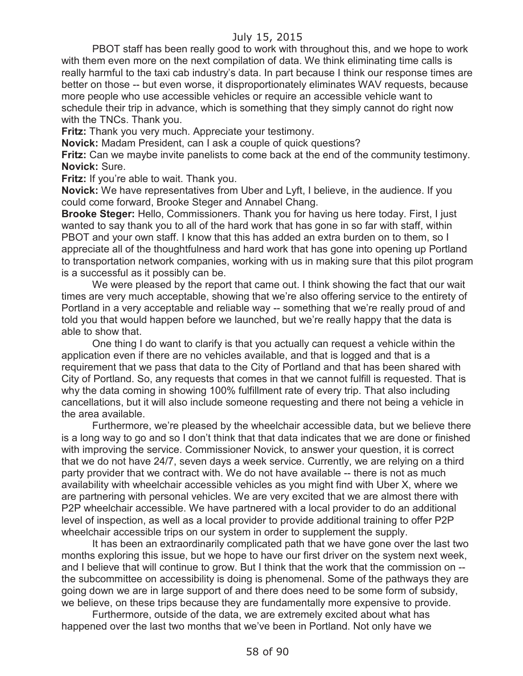PBOT staff has been really good to work with throughout this, and we hope to work with them even more on the next compilation of data. We think eliminating time calls is really harmful to the taxi cab industry's data. In part because I think our response times are better on those -- but even worse, it disproportionately eliminates WAV requests, because more people who use accessible vehicles or require an accessible vehicle want to schedule their trip in advance, which is something that they simply cannot do right now with the TNCs. Thank you.

**Fritz:** Thank you very much. Appreciate your testimony.

**Novick:** Madam President, can I ask a couple of quick questions?

**Fritz:** Can we maybe invite panelists to come back at the end of the community testimony. **Novick:** Sure.

**Fritz:** If you're able to wait. Thank you.

**Novick:** We have representatives from Uber and Lyft, I believe, in the audience. If you could come forward, Brooke Steger and Annabel Chang.

**Brooke Steger:** Hello, Commissioners. Thank you for having us here today. First, I just wanted to say thank you to all of the hard work that has gone in so far with staff, within PBOT and your own staff. I know that this has added an extra burden on to them, so I appreciate all of the thoughtfulness and hard work that has gone into opening up Portland to transportation network companies, working with us in making sure that this pilot program is a successful as it possibly can be.

We were pleased by the report that came out. I think showing the fact that our wait times are very much acceptable, showing that we're also offering service to the entirety of Portland in a very acceptable and reliable way -- something that we're really proud of and told you that would happen before we launched, but we're really happy that the data is able to show that.

One thing I do want to clarify is that you actually can request a vehicle within the application even if there are no vehicles available, and that is logged and that is a requirement that we pass that data to the City of Portland and that has been shared with City of Portland. So, any requests that comes in that we cannot fulfill is requested. That is why the data coming in showing 100% fulfillment rate of every trip. That also including cancellations, but it will also include someone requesting and there not being a vehicle in the area available.

Furthermore, we're pleased by the wheelchair accessible data, but we believe there is a long way to go and so I don't think that that data indicates that we are done or finished with improving the service. Commissioner Novick, to answer your question, it is correct that we do not have 24/7, seven days a week service. Currently, we are relying on a third party provider that we contract with. We do not have available -- there is not as much availability with wheelchair accessible vehicles as you might find with Uber X, where we are partnering with personal vehicles. We are very excited that we are almost there with P2P wheelchair accessible. We have partnered with a local provider to do an additional level of inspection, as well as a local provider to provide additional training to offer P2P wheelchair accessible trips on our system in order to supplement the supply.

It has been an extraordinarily complicated path that we have gone over the last two months exploring this issue, but we hope to have our first driver on the system next week, and I believe that will continue to grow. But I think that the work that the commission on - the subcommittee on accessibility is doing is phenomenal. Some of the pathways they are going down we are in large support of and there does need to be some form of subsidy, we believe, on these trips because they are fundamentally more expensive to provide.

Furthermore, outside of the data, we are extremely excited about what has happened over the last two months that we've been in Portland. Not only have we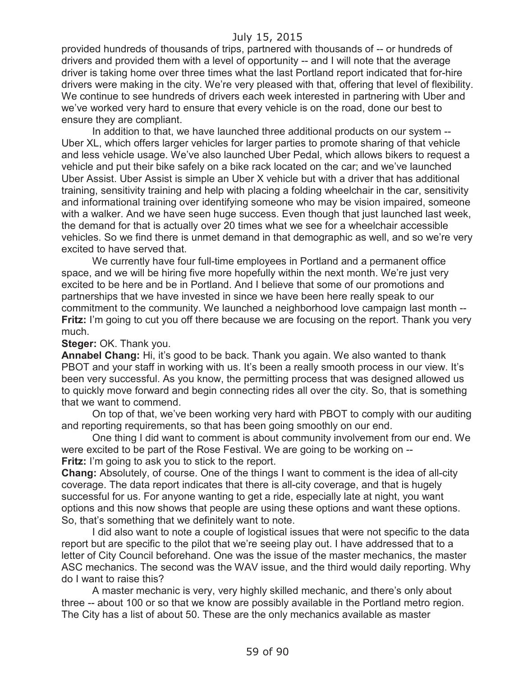provided hundreds of thousands of trips, partnered with thousands of -- or hundreds of drivers and provided them with a level of opportunity -- and I will note that the average driver is taking home over three times what the last Portland report indicated that for-hire drivers were making in the city. We're very pleased with that, offering that level of flexibility. We continue to see hundreds of drivers each week interested in partnering with Uber and we've worked very hard to ensure that every vehicle is on the road, done our best to ensure they are compliant.

In addition to that, we have launched three additional products on our system -- Uber XL, which offers larger vehicles for larger parties to promote sharing of that vehicle and less vehicle usage. We've also launched Uber Pedal, which allows bikers to request a vehicle and put their bike safely on a bike rack located on the car; and we've launched Uber Assist. Uber Assist is simple an Uber X vehicle but with a driver that has additional training, sensitivity training and help with placing a folding wheelchair in the car, sensitivity and informational training over identifying someone who may be vision impaired, someone with a walker. And we have seen huge success. Even though that just launched last week, the demand for that is actually over 20 times what we see for a wheelchair accessible vehicles. So we find there is unmet demand in that demographic as well, and so we're very excited to have served that.

We currently have four full-time employees in Portland and a permanent office space, and we will be hiring five more hopefully within the next month. We're just very excited to be here and be in Portland. And I believe that some of our promotions and partnerships that we have invested in since we have been here really speak to our commitment to the community. We launched a neighborhood love campaign last month -- **Fritz:** I'm going to cut you off there because we are focusing on the report. Thank you very much.

**Steger:** OK. Thank you.

**Annabel Chang:** Hi, it's good to be back. Thank you again. We also wanted to thank PBOT and your staff in working with us. It's been a really smooth process in our view. It's been very successful. As you know, the permitting process that was designed allowed us to quickly move forward and begin connecting rides all over the city. So, that is something that we want to commend.

On top of that, we've been working very hard with PBOT to comply with our auditing and reporting requirements, so that has been going smoothly on our end.

One thing I did want to comment is about community involvement from our end. We were excited to be part of the Rose Festival. We are going to be working on -- **Fritz:** I'm going to ask you to stick to the report.

**Chang:** Absolutely, of course. One of the things I want to comment is the idea of all-city coverage. The data report indicates that there is all-city coverage, and that is hugely successful for us. For anyone wanting to get a ride, especially late at night, you want options and this now shows that people are using these options and want these options. So, that's something that we definitely want to note.

I did also want to note a couple of logistical issues that were not specific to the data report but are specific to the pilot that we're seeing play out. I have addressed that to a letter of City Council beforehand. One was the issue of the master mechanics, the master ASC mechanics. The second was the WAV issue, and the third would daily reporting. Why do I want to raise this?

A master mechanic is very, very highly skilled mechanic, and there's only about three -- about 100 or so that we know are possibly available in the Portland metro region. The City has a list of about 50. These are the only mechanics available as master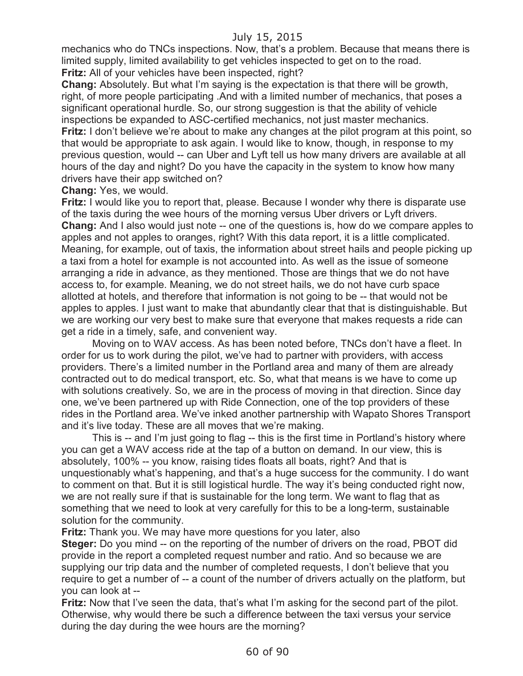mechanics who do TNCs inspections. Now, that's a problem. Because that means there is limited supply, limited availability to get vehicles inspected to get on to the road. **Fritz:** All of your vehicles have been inspected, right?

**Chang:** Absolutely. But what I'm saying is the expectation is that there will be growth, right, of more people participating .And with a limited number of mechanics, that poses a significant operational hurdle. So, our strong suggestion is that the ability of vehicle inspections be expanded to ASC-certified mechanics, not just master mechanics. **Fritz:** I don't believe we're about to make any changes at the pilot program at this point, so that would be appropriate to ask again. I would like to know, though, in response to my previous question, would -- can Uber and Lyft tell us how many drivers are available at all hours of the day and night? Do you have the capacity in the system to know how many drivers have their app switched on?

**Chang:** Yes, we would.

**Fritz:** I would like you to report that, please. Because I wonder why there is disparate use of the taxis during the wee hours of the morning versus Uber drivers or Lyft drivers. **Chang:** And I also would just note -- one of the questions is, how do we compare apples to apples and not apples to oranges, right? With this data report, it is a little complicated. Meaning, for example, out of taxis, the information about street hails and people picking up a taxi from a hotel for example is not accounted into. As well as the issue of someone arranging a ride in advance, as they mentioned. Those are things that we do not have access to, for example. Meaning, we do not street hails, we do not have curb space allotted at hotels, and therefore that information is not going to be -- that would not be apples to apples. I just want to make that abundantly clear that that is distinguishable. But we are working our very best to make sure that everyone that makes requests a ride can get a ride in a timely, safe, and convenient way.

Moving on to WAV access. As has been noted before, TNCs don't have a fleet. In order for us to work during the pilot, we've had to partner with providers, with access providers. There's a limited number in the Portland area and many of them are already contracted out to do medical transport, etc. So, what that means is we have to come up with solutions creatively. So, we are in the process of moving in that direction. Since day one, we've been partnered up with Ride Connection, one of the top providers of these rides in the Portland area. We've inked another partnership with Wapato Shores Transport and it's live today. These are all moves that we're making.

This is -- and I'm just going to flag -- this is the first time in Portland's history where you can get a WAV access ride at the tap of a button on demand. In our view, this is absolutely, 100% -- you know, raising tides floats all boats, right? And that is unquestionably what's happening, and that's a huge success for the community. I do want to comment on that. But it is still logistical hurdle. The way it's being conducted right now, we are not really sure if that is sustainable for the long term. We want to flag that as something that we need to look at very carefully for this to be a long-term, sustainable solution for the community.

**Fritz:** Thank you. We may have more questions for you later, also

**Steger:** Do you mind -- on the reporting of the number of drivers on the road, PBOT did provide in the report a completed request number and ratio. And so because we are supplying our trip data and the number of completed requests, I don't believe that you require to get a number of -- a count of the number of drivers actually on the platform, but you can look at --

**Fritz:** Now that I've seen the data, that's what I'm asking for the second part of the pilot. Otherwise, why would there be such a difference between the taxi versus your service during the day during the wee hours are the morning?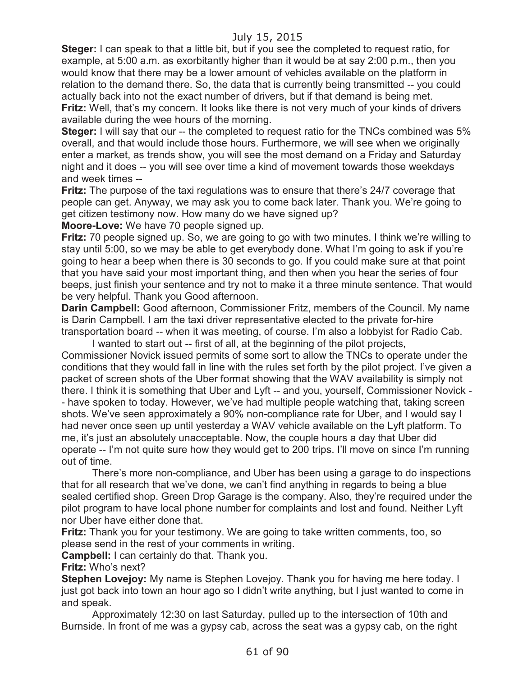**Steger:** I can speak to that a little bit, but if you see the completed to request ratio, for example, at 5:00 a.m. as exorbitantly higher than it would be at say 2:00 p.m., then you would know that there may be a lower amount of vehicles available on the platform in relation to the demand there. So, the data that is currently being transmitted -- you could actually back into not the exact number of drivers, but if that demand is being met. **Fritz:** Well, that's my concern. It looks like there is not very much of your kinds of drivers available during the wee hours of the morning.

**Steger:** I will say that our -- the completed to request ratio for the TNCs combined was 5% overall, and that would include those hours. Furthermore, we will see when we originally enter a market, as trends show, you will see the most demand on a Friday and Saturday night and it does -- you will see over time a kind of movement towards those weekdays and week times --

**Fritz:** The purpose of the taxi regulations was to ensure that there's 24/7 coverage that people can get. Anyway, we may ask you to come back later. Thank you. We're going to get citizen testimony now. How many do we have signed up?

**Moore-Love:** We have 70 people signed up.

**Fritz:** 70 people signed up. So, we are going to go with two minutes. I think we're willing to stay until 5:00, so we may be able to get everybody done. What I'm going to ask if you're going to hear a beep when there is 30 seconds to go. If you could make sure at that point that you have said your most important thing, and then when you hear the series of four beeps, just finish your sentence and try not to make it a three minute sentence. That would be very helpful. Thank you Good afternoon.

**Darin Campbell:** Good afternoon, Commissioner Fritz, members of the Council. My name is Darin Campbell. I am the taxi driver representative elected to the private for-hire transportation board -- when it was meeting, of course. I'm also a lobbyist for Radio Cab.

I wanted to start out -- first of all, at the beginning of the pilot projects, Commissioner Novick issued permits of some sort to allow the TNCs to operate under the conditions that they would fall in line with the rules set forth by the pilot project. I've given a packet of screen shots of the Uber format showing that the WAV availability is simply not there. I think it is something that Uber and Lyft -- and you, yourself, Commissioner Novick - - have spoken to today. However, we've had multiple people watching that, taking screen shots. We've seen approximately a 90% non-compliance rate for Uber, and I would say I had never once seen up until yesterday a WAV vehicle available on the Lyft platform. To me, it's just an absolutely unacceptable. Now, the couple hours a day that Uber did operate -- I'm not quite sure how they would get to 200 trips. I'll move on since I'm running out of time.

There's more non-compliance, and Uber has been using a garage to do inspections that for all research that we've done, we can't find anything in regards to being a blue sealed certified shop. Green Drop Garage is the company. Also, they're required under the pilot program to have local phone number for complaints and lost and found. Neither Lyft nor Uber have either done that.

**Fritz:** Thank you for your testimony. We are going to take written comments, too, so please send in the rest of your comments in writing.

**Campbell:** I can certainly do that. Thank you.

**Fritz:** Who's next?

**Stephen Lovejoy:** My name is Stephen Lovejoy. Thank you for having me here today. I just got back into town an hour ago so I didn't write anything, but I just wanted to come in and speak.

Approximately 12:30 on last Saturday, pulled up to the intersection of 10th and Burnside. In front of me was a gypsy cab, across the seat was a gypsy cab, on the right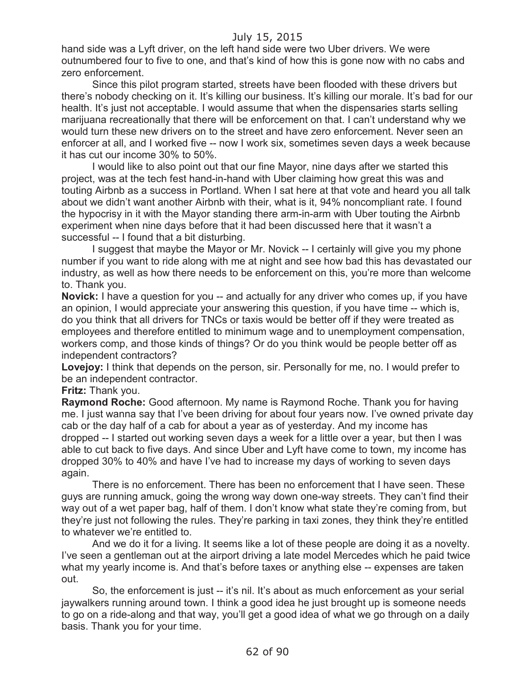hand side was a Lyft driver, on the left hand side were two Uber drivers. We were outnumbered four to five to one, and that's kind of how this is gone now with no cabs and zero enforcement.

Since this pilot program started, streets have been flooded with these drivers but there's nobody checking on it. It's killing our business. It's killing our morale. It's bad for our health. It's just not acceptable. I would assume that when the dispensaries starts selling marijuana recreationally that there will be enforcement on that. I can't understand why we would turn these new drivers on to the street and have zero enforcement. Never seen an enforcer at all, and I worked five -- now I work six, sometimes seven days a week because it has cut our income 30% to 50%.

I would like to also point out that our fine Mayor, nine days after we started this project, was at the tech fest hand-in-hand with Uber claiming how great this was and touting Airbnb as a success in Portland. When I sat here at that vote and heard you all talk about we didn't want another Airbnb with their, what is it, 94% noncompliant rate. I found the hypocrisy in it with the Mayor standing there arm-in-arm with Uber touting the Airbnb experiment when nine days before that it had been discussed here that it wasn't a successful -- I found that a bit disturbing.

I suggest that maybe the Mayor or Mr. Novick -- I certainly will give you my phone number if you want to ride along with me at night and see how bad this has devastated our industry, as well as how there needs to be enforcement on this, you're more than welcome to. Thank you.

**Novick:** I have a question for you -- and actually for any driver who comes up, if you have an opinion, I would appreciate your answering this question, if you have time -- which is, do you think that all drivers for TNCs or taxis would be better off if they were treated as employees and therefore entitled to minimum wage and to unemployment compensation, workers comp, and those kinds of things? Or do you think would be people better off as independent contractors?

**Lovejoy:** I think that depends on the person, sir. Personally for me, no. I would prefer to be an independent contractor.

**Fritz:** Thank you.

**Raymond Roche:** Good afternoon. My name is Raymond Roche. Thank you for having me. I just wanna say that I've been driving for about four years now. I've owned private day cab or the day half of a cab for about a year as of yesterday. And my income has dropped -- I started out working seven days a week for a little over a year, but then I was able to cut back to five days. And since Uber and Lyft have come to town, my income has dropped 30% to 40% and have I've had to increase my days of working to seven days again.

There is no enforcement. There has been no enforcement that I have seen. These guys are running amuck, going the wrong way down one-way streets. They can't find their way out of a wet paper bag, half of them. I don't know what state they're coming from, but they're just not following the rules. They're parking in taxi zones, they think they're entitled to whatever we're entitled to.

And we do it for a living. It seems like a lot of these people are doing it as a novelty. I've seen a gentleman out at the airport driving a late model Mercedes which he paid twice what my yearly income is. And that's before taxes or anything else -- expenses are taken out.

So, the enforcement is just -- it's nil. It's about as much enforcement as your serial jaywalkers running around town. I think a good idea he just brought up is someone needs to go on a ride-along and that way, you'll get a good idea of what we go through on a daily basis. Thank you for your time.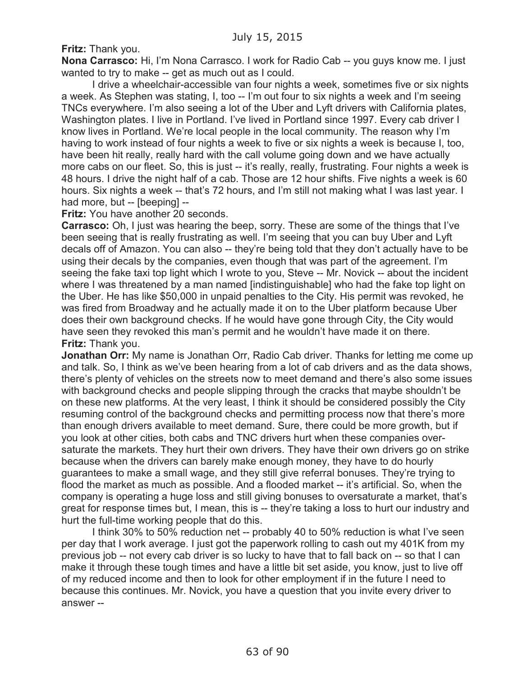**Fritz:** Thank you.

**Nona Carrasco:** Hi, I'm Nona Carrasco. I work for Radio Cab -- you guys know me. I just wanted to try to make -- get as much out as I could.

I drive a wheelchair-accessible van four nights a week, sometimes five or six nights a week. As Stephen was stating, I, too -- I'm out four to six nights a week and I'm seeing TNCs everywhere. I'm also seeing a lot of the Uber and Lyft drivers with California plates, Washington plates. I live in Portland. I've lived in Portland since 1997. Every cab driver I know lives in Portland. We're local people in the local community. The reason why I'm having to work instead of four nights a week to five or six nights a week is because I, too, have been hit really, really hard with the call volume going down and we have actually more cabs on our fleet. So, this is just -- it's really, really, frustrating. Four nights a week is 48 hours. I drive the night half of a cab. Those are 12 hour shifts. Five nights a week is 60 hours. Six nights a week -- that's 72 hours, and I'm still not making what I was last year. I had more, but -- [beeping] --

**Fritz:** You have another 20 seconds.

**Carrasco:** Oh, I just was hearing the beep, sorry. These are some of the things that I've been seeing that is really frustrating as well. I'm seeing that you can buy Uber and Lyft decals off of Amazon. You can also -- they're being told that they don't actually have to be using their decals by the companies, even though that was part of the agreement. I'm seeing the fake taxi top light which I wrote to you, Steve -- Mr. Novick -- about the incident where I was threatened by a man named [indistinguishable] who had the fake top light on the Uber. He has like \$50,000 in unpaid penalties to the City. His permit was revoked, he was fired from Broadway and he actually made it on to the Uber platform because Uber does their own background checks. If he would have gone through City, the City would have seen they revoked this man's permit and he wouldn't have made it on there. **Fritz:** Thank you.

**Jonathan Orr:** My name is Jonathan Orr, Radio Cab driver. Thanks for letting me come up and talk. So, I think as we've been hearing from a lot of cab drivers and as the data shows, there's plenty of vehicles on the streets now to meet demand and there's also some issues with background checks and people slipping through the cracks that maybe shouldn't be on these new platforms. At the very least, I think it should be considered possibly the City resuming control of the background checks and permitting process now that there's more than enough drivers available to meet demand. Sure, there could be more growth, but if you look at other cities, both cabs and TNC drivers hurt when these companies oversaturate the markets. They hurt their own drivers. They have their own drivers go on strike because when the drivers can barely make enough money, they have to do hourly guarantees to make a small wage, and they still give referral bonuses. They're trying to flood the market as much as possible. And a flooded market -- it's artificial. So, when the company is operating a huge loss and still giving bonuses to oversaturate a market, that's great for response times but, I mean, this is -- they're taking a loss to hurt our industry and hurt the full-time working people that do this.

I think 30% to 50% reduction net -- probably 40 to 50% reduction is what I've seen per day that I work average. I just got the paperwork rolling to cash out my 401K from my previous job -- not every cab driver is so lucky to have that to fall back on -- so that I can make it through these tough times and have a little bit set aside, you know, just to live off of my reduced income and then to look for other employment if in the future I need to because this continues. Mr. Novick, you have a question that you invite every driver to answer --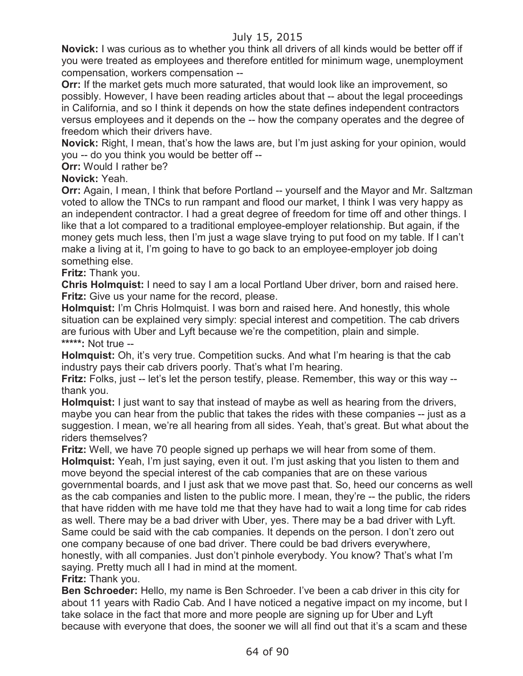**Novick:** I was curious as to whether you think all drivers of all kinds would be better off if you were treated as employees and therefore entitled for minimum wage, unemployment compensation, workers compensation --

**Orr:** If the market gets much more saturated, that would look like an improvement, so possibly. However, I have been reading articles about that -- about the legal proceedings in California, and so I think it depends on how the state defines independent contractors versus employees and it depends on the -- how the company operates and the degree of freedom which their drivers have.

**Novick:** Right, I mean, that's how the laws are, but I'm just asking for your opinion, would you -- do you think you would be better off --

**Orr:** Would I rather be?

**Novick:** Yeah.

**Orr:** Again, I mean, I think that before Portland -- yourself and the Mayor and Mr. Saltzman voted to allow the TNCs to run rampant and flood our market, I think I was very happy as an independent contractor. I had a great degree of freedom for time off and other things. I like that a lot compared to a traditional employee-employer relationship. But again, if the money gets much less, then I'm just a wage slave trying to put food on my table. If I can't make a living at it, I'm going to have to go back to an employee-employer job doing something else.

**Fritz:** Thank you.

**Chris Holmquist:** I need to say I am a local Portland Uber driver, born and raised here. **Fritz:** Give us your name for the record, please.

**Holmquist:** I'm Chris Holmquist. I was born and raised here. And honestly, this whole situation can be explained very simply: special interest and competition. The cab drivers are furious with Uber and Lyft because we're the competition, plain and simple. **\*\*\*\*\*:** Not true --

**Holmquist:** Oh, it's very true. Competition sucks. And what I'm hearing is that the cab industry pays their cab drivers poorly. That's what I'm hearing.

**Fritz:** Folks, just -- let's let the person testify, please. Remember, this way or this way -thank you.

**Holmquist:** I just want to say that instead of maybe as well as hearing from the drivers, maybe you can hear from the public that takes the rides with these companies -- just as a suggestion. I mean, we're all hearing from all sides. Yeah, that's great. But what about the riders themselves?

**Fritz:** Well, we have 70 people signed up perhaps we will hear from some of them. **Holmquist:** Yeah, I'm just saying, even it out. I'm just asking that you listen to them and move beyond the special interest of the cab companies that are on these various governmental boards, and I just ask that we move past that. So, heed our concerns as well as the cab companies and listen to the public more. I mean, they're -- the public, the riders that have ridden with me have told me that they have had to wait a long time for cab rides as well. There may be a bad driver with Uber, yes. There may be a bad driver with Lyft. Same could be said with the cab companies. It depends on the person. I don't zero out one company because of one bad driver. There could be bad drivers everywhere, honestly, with all companies. Just don't pinhole everybody. You know? That's what I'm saying. Pretty much all I had in mind at the moment.

**Fritz:** Thank you.

**Ben Schroeder:** Hello, my name is Ben Schroeder. I've been a cab driver in this city for about 11 years with Radio Cab. And I have noticed a negative impact on my income, but I take solace in the fact that more and more people are signing up for Uber and Lyft because with everyone that does, the sooner we will all find out that it's a scam and these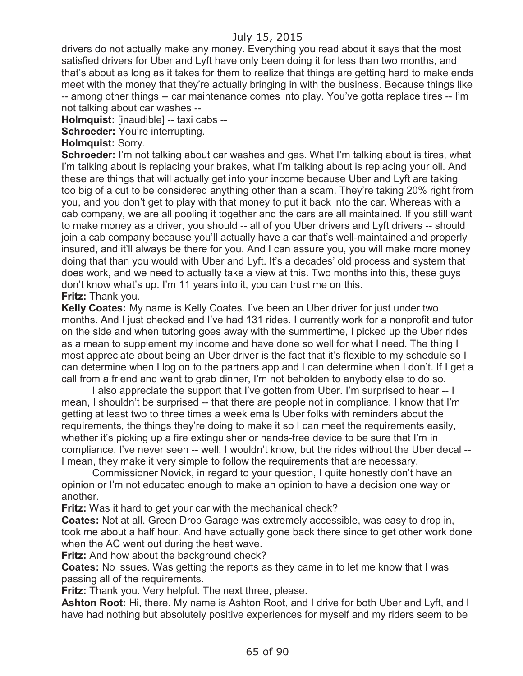drivers do not actually make any money. Everything you read about it says that the most satisfied drivers for Uber and Lyft have only been doing it for less than two months, and that's about as long as it takes for them to realize that things are getting hard to make ends meet with the money that they're actually bringing in with the business. Because things like -- among other things -- car maintenance comes into play. You've gotta replace tires -- I'm not talking about car washes --

**Holmquist:** [inaudible] -- taxi cabs --

**Schroeder:** You're interrupting.

**Holmquist:** Sorry.

**Schroeder:** I'm not talking about car washes and gas. What I'm talking about is tires, what I'm talking about is replacing your brakes, what I'm talking about is replacing your oil. And these are things that will actually get into your income because Uber and Lyft are taking too big of a cut to be considered anything other than a scam. They're taking 20% right from you, and you don't get to play with that money to put it back into the car. Whereas with a cab company, we are all pooling it together and the cars are all maintained. If you still want to make money as a driver, you should -- all of you Uber drivers and Lyft drivers -- should join a cab company because you'll actually have a car that's well-maintained and properly insured, and it'll always be there for you. And I can assure you, you will make more money doing that than you would with Uber and Lyft. It's a decades' old process and system that does work, and we need to actually take a view at this. Two months into this, these guys don't know what's up. I'm 11 years into it, you can trust me on this. **Fritz:** Thank you.

**Kelly Coates:** My name is Kelly Coates. I've been an Uber driver for just under two months. And I just checked and I've had 131 rides. I currently work for a nonprofit and tutor on the side and when tutoring goes away with the summertime, I picked up the Uber rides as a mean to supplement my income and have done so well for what I need. The thing I most appreciate about being an Uber driver is the fact that it's flexible to my schedule so I can determine when I log on to the partners app and I can determine when I don't. If I get a call from a friend and want to grab dinner, I'm not beholden to anybody else to do so.

I also appreciate the support that I've gotten from Uber. I'm surprised to hear -- I mean, I shouldn't be surprised -- that there are people not in compliance. I know that I'm getting at least two to three times a week emails Uber folks with reminders about the requirements, the things they're doing to make it so I can meet the requirements easily, whether it's picking up a fire extinguisher or hands-free device to be sure that I'm in compliance. I've never seen -- well, I wouldn't know, but the rides without the Uber decal -- I mean, they make it very simple to follow the requirements that are necessary.

Commissioner Novick, in regard to your question, I quite honestly don't have an opinion or I'm not educated enough to make an opinion to have a decision one way or another.

**Fritz:** Was it hard to get your car with the mechanical check?

**Coates:** Not at all. Green Drop Garage was extremely accessible, was easy to drop in, took me about a half hour. And have actually gone back there since to get other work done when the AC went out during the heat wave.

**Fritz:** And how about the background check?

**Coates:** No issues. Was getting the reports as they came in to let me know that I was passing all of the requirements.

**Fritz:** Thank you. Very helpful. The next three, please.

**Ashton Root:** Hi, there. My name is Ashton Root, and I drive for both Uber and Lyft, and I have had nothing but absolutely positive experiences for myself and my riders seem to be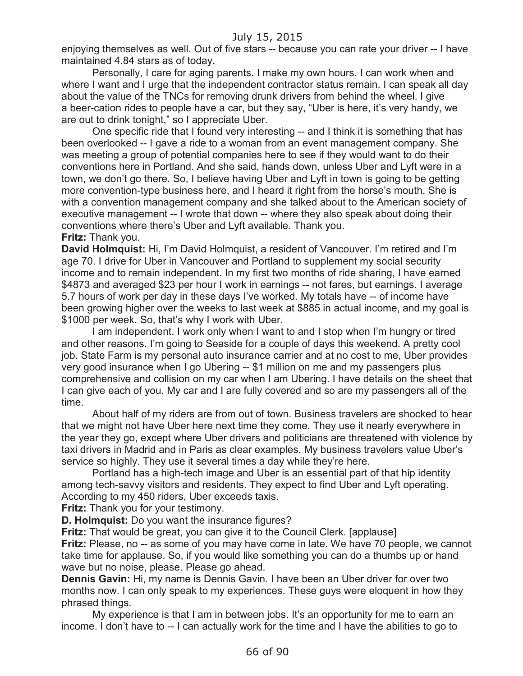enjoying themselves as well. Out of five stars -- because you can rate your driver -- I have maintained 4.84 stars as of today.

Personally, I care for aging parents. I make my own hours. I can work when and where I want and I urge that the independent contractor status remain. I can speak all day about the value of the TNCs for removing drunk drivers from behind the wheel. I give a beer-cation rides to people have a car, but they say, "Uber is here, it's very handy, we are out to drink tonight," so I appreciate Uber.

One specific ride that I found very interesting -- and I think it is something that has been overlooked -- I gave a ride to a woman from an event management company. She was meeting a group of potential companies here to see if they would want to do their conventions here in Portland. And she said, hands down, unless Uber and Lyft were in a town, we don't go there. So, I believe having Uber and Lyft in town is going to be getting more convention-type business here, and I heard it right from the horse's mouth. She is with a convention management company and she talked about to the American society of executive management -- I wrote that down -- where they also speak about doing their conventions where there's Uber and Lyft available. Thank you.

#### **Fritz:** Thank you.

**David Holmquist:** Hi, I'm David Holmquist, a resident of Vancouver. I'm retired and I'm age 70. I drive for Uber in Vancouver and Portland to supplement my social security income and to remain independent. In my first two months of ride sharing, I have earned \$4873 and averaged \$23 per hour I work in earnings -- not fares, but earnings. I average 5.7 hours of work per day in these days I've worked. My totals have -- of income have been growing higher over the weeks to last week at \$885 in actual income, and my goal is \$1000 per week. So, that's why I work with Uber.

I am independent. I work only when I want to and I stop when I'm hungry or tired and other reasons. I'm going to Seaside for a couple of days this weekend. A pretty cool job. State Farm is my personal auto insurance carrier and at no cost to me, Uber provides very good insurance when I go Ubering -- \$1 million on me and my passengers plus comprehensive and collision on my car when I am Ubering. I have details on the sheet that I can give each of you. My car and I are fully covered and so are my passengers all of the time.

About half of my riders are from out of town. Business travelers are shocked to hear that we might not have Uber here next time they come. They use it nearly everywhere in the year they go, except where Uber drivers and politicians are threatened with violence by taxi drivers in Madrid and in Paris as clear examples. My business travelers value Uber's service so highly. They use it several times a day while they're here.

Portland has a high-tech image and Uber is an essential part of that hip identity among tech-savvy visitors and residents. They expect to find Uber and Lyft operating. According to my 450 riders, Uber exceeds taxis.

**Fritz:** Thank you for your testimony.

**D. Holmquist:** Do you want the insurance figures?

**Fritz:** That would be great, you can give it to the Council Clerk. [applause]

**Fritz:** Please, no -- as some of you may have come in late. We have 70 people, we cannot take time for applause. So, if you would like something you can do a thumbs up or hand wave but no noise, please. Please go ahead.

**Dennis Gavin:** Hi, my name is Dennis Gavin. I have been an Uber driver for over two months now. I can only speak to my experiences. These guys were eloquent in how they phrased things.

My experience is that I am in between jobs. It's an opportunity for me to earn an income. I don't have to -- I can actually work for the time and I have the abilities to go to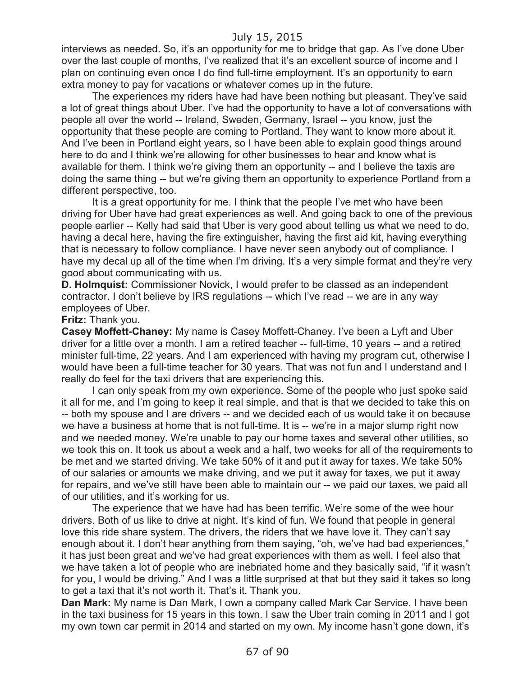interviews as needed. So, it's an opportunity for me to bridge that gap. As I've done Uber over the last couple of months, I've realized that it's an excellent source of income and I plan on continuing even once I do find full-time employment. It's an opportunity to earn extra money to pay for vacations or whatever comes up in the future.

The experiences my riders have had have been nothing but pleasant. They've said a lot of great things about Uber. I've had the opportunity to have a lot of conversations with people all over the world -- Ireland, Sweden, Germany, Israel -- you know, just the opportunity that these people are coming to Portland. They want to know more about it. And I've been in Portland eight years, so I have been able to explain good things around here to do and I think we're allowing for other businesses to hear and know what is available for them. I think we're giving them an opportunity -- and I believe the taxis are doing the same thing -- but we're giving them an opportunity to experience Portland from a different perspective, too.

It is a great opportunity for me. I think that the people I've met who have been driving for Uber have had great experiences as well. And going back to one of the previous people earlier -- Kelly had said that Uber is very good about telling us what we need to do, having a decal here, having the fire extinguisher, having the first aid kit, having everything that is necessary to follow compliance. I have never seen anybody out of compliance. I have my decal up all of the time when I'm driving. It's a very simple format and they're very good about communicating with us.

**D. Holmquist:** Commissioner Novick, I would prefer to be classed as an independent contractor. I don't believe by IRS regulations -- which I've read -- we are in any way employees of Uber.

#### **Fritz:** Thank you.

**Casey Moffett-Chaney:** My name is Casey Moffett-Chaney. I've been a Lyft and Uber driver for a little over a month. I am a retired teacher -- full-time, 10 years -- and a retired minister full-time, 22 years. And I am experienced with having my program cut, otherwise I would have been a full-time teacher for 30 years. That was not fun and I understand and I really do feel for the taxi drivers that are experiencing this.

I can only speak from my own experience. Some of the people who just spoke said it all for me, and I'm going to keep it real simple, and that is that we decided to take this on -- both my spouse and I are drivers -- and we decided each of us would take it on because we have a business at home that is not full-time. It is -- we're in a major slump right now and we needed money. We're unable to pay our home taxes and several other utilities, so we took this on. It took us about a week and a half, two weeks for all of the requirements to be met and we started driving. We take 50% of it and put it away for taxes. We take 50% of our salaries or amounts we make driving, and we put it away for taxes, we put it away for repairs, and we've still have been able to maintain our -- we paid our taxes, we paid all of our utilities, and it's working for us.

The experience that we have had has been terrific. We're some of the wee hour drivers. Both of us like to drive at night. It's kind of fun. We found that people in general love this ride share system. The drivers, the riders that we have love it. They can't say enough about it. I don't hear anything from them saying, "oh, we've had bad experiences," it has just been great and we've had great experiences with them as well. I feel also that we have taken a lot of people who are inebriated home and they basically said, "if it wasn't for you, I would be driving." And I was a little surprised at that but they said it takes so long to get a taxi that it's not worth it. That's it. Thank you.

**Dan Mark:** My name is Dan Mark, I own a company called Mark Car Service. I have been in the taxi business for 15 years in this town. I saw the Uber train coming in 2011 and I got my own town car permit in 2014 and started on my own. My income hasn't gone down, it's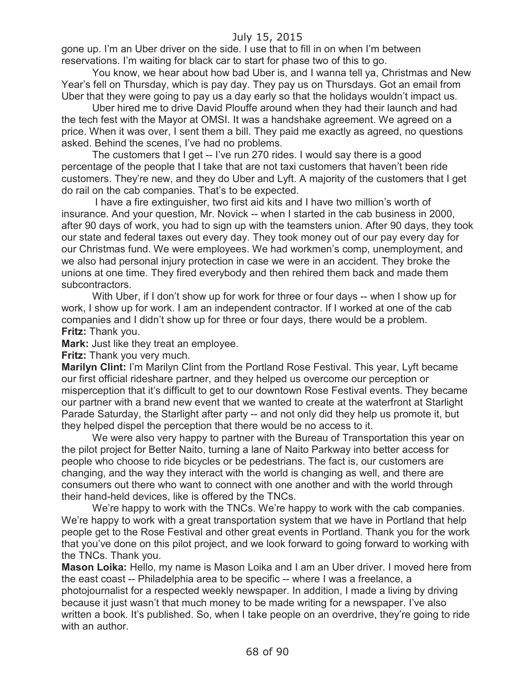gone up. I'm an Uber driver on the side. I use that to fill in on when I'm between reservations. I'm waiting for black car to start for phase two of this to go.

You know, we hear about how bad Uber is, and I wanna tell ya, Christmas and New Year's fell on Thursday, which is pay day. They pay us on Thursdays. Got an email from Uber that they were going to pay us a day early so that the holidays wouldn't impact us.

Uber hired me to drive David Plouffe around when they had their launch and had the tech fest with the Mayor at OMSI. It was a handshake agreement. We agreed on a price. When it was over, I sent them a bill. They paid me exactly as agreed, no questions asked. Behind the scenes, I've had no problems.

The customers that I get -- I've run 270 rides. I would say there is a good percentage of the people that I take that are not taxi customers that haven't been ride customers. They're new, and they do Uber and Lyft. A majority of the customers that I get do rail on the cab companies. That's to be expected.

I have a fire extinguisher, two first aid kits and I have two million's worth of insurance. And your question, Mr. Novick -- when I started in the cab business in 2000, after 90 days of work, you had to sign up with the teamsters union. After 90 days, they took our state and federal taxes out every day. They took money out of our pay every day for our Christmas fund. We were employees. We had workmen's comp, unemployment, and we also had personal injury protection in case we were in an accident. They broke the unions at one time. They fired everybody and then rehired them back and made them subcontractors.

With Uber, if I don't show up for work for three or four days -- when I show up for work, I show up for work. I am an independent contractor. If I worked at one of the cab companies and I didn't show up for three or four days, there would be a problem. **Fritz:** Thank you.

**Mark:** Just like they treat an employee.

**Fritz:** Thank you very much.

**Marilyn Clint:** I'm Marilyn Clint from the Portland Rose Festival. This year, Lyft became our first official rideshare partner, and they helped us overcome our perception or misperception that it's difficult to get to our downtown Rose Festival events. They became our partner with a brand new event that we wanted to create at the waterfront at Starlight Parade Saturday, the Starlight after party -- and not only did they help us promote it, but they helped dispel the perception that there would be no access to it.

We were also very happy to partner with the Bureau of Transportation this year on the pilot project for Better Naito, turning a lane of Naito Parkway into better access for people who choose to ride bicycles or be pedestrians. The fact is, our customers are changing, and the way they interact with the world is changing as well, and there are consumers out there who want to connect with one another and with the world through their hand-held devices, like is offered by the TNCs.

We're happy to work with the TNCs. We're happy to work with the cab companies. We're happy to work with a great transportation system that we have in Portland that help people get to the Rose Festival and other great events in Portland. Thank you for the work that you've done on this pilot project, and we look forward to going forward to working with the TNCs. Thank you.

**Mason Loika:** Hello, my name is Mason Loika and I am an Uber driver. I moved here from the east coast -- Philadelphia area to be specific -- where I was a freelance, a photojournalist for a respected weekly newspaper. In addition, I made a living by driving because it just wasn't that much money to be made writing for a newspaper. I've also written a book. It's published. So, when I take people on an overdrive, they're going to ride with an author.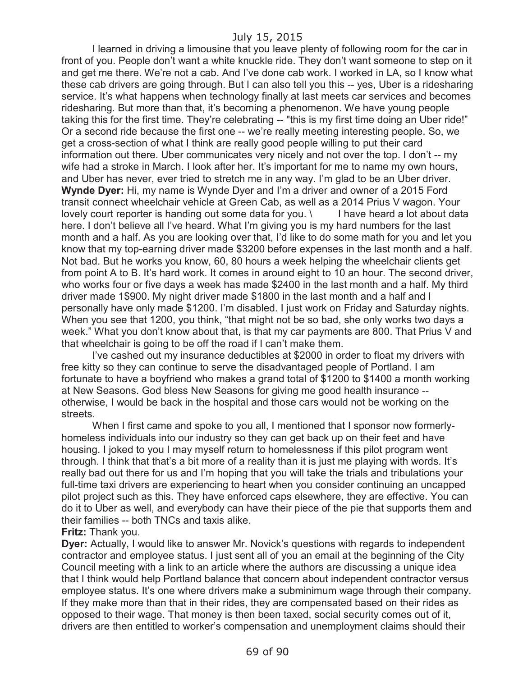I learned in driving a limousine that you leave plenty of following room for the car in front of you. People don't want a white knuckle ride. They don't want someone to step on it and get me there. We're not a cab. And I've done cab work. I worked in LA, so I know what these cab drivers are going through. But I can also tell you this -- yes, Uber is a ridesharing service. It's what happens when technology finally at last meets car services and becomes ridesharing. But more than that, it's becoming a phenomenon. We have young people taking this for the first time. They're celebrating -- "this is my first time doing an Uber ride!" Or a second ride because the first one -- we're really meeting interesting people. So, we get a cross-section of what I think are really good people willing to put their card information out there. Uber communicates very nicely and not over the top. I don't -- my wife had a stroke in March. I look after her. It's important for me to name my own hours, and Uber has never, ever tried to stretch me in any way. I'm glad to be an Uber driver. **Wynde Dyer:** Hi, my name is Wynde Dyer and I'm a driver and owner of a 2015 Ford transit connect wheelchair vehicle at Green Cab, as well as a 2014 Prius V wagon. Your lovely court reporter is handing out some data for you. \ I have heard a lot about data here. I don't believe all I've heard. What I'm giving you is my hard numbers for the last month and a half. As you are looking over that, I'd like to do some math for you and let you know that my top-earning driver made \$3200 before expenses in the last month and a half. Not bad. But he works you know, 60, 80 hours a week helping the wheelchair clients get from point A to B. It's hard work. It comes in around eight to 10 an hour. The second driver, who works four or five days a week has made \$2400 in the last month and a half. My third driver made 1\$900. My night driver made \$1800 in the last month and a half and I personally have only made \$1200. I'm disabled. I just work on Friday and Saturday nights. When you see that 1200, you think, "that might not be so bad, she only works two days a week." What you don't know about that, is that my car payments are 800. That Prius V and that wheelchair is going to be off the road if I can't make them.

I've cashed out my insurance deductibles at \$2000 in order to float my drivers with free kitty so they can continue to serve the disadvantaged people of Portland. I am fortunate to have a boyfriend who makes a grand total of \$1200 to \$1400 a month working at New Seasons. God bless New Seasons for giving me good health insurance - otherwise, I would be back in the hospital and those cars would not be working on the streets.

When I first came and spoke to you all, I mentioned that I sponsor now formerlyhomeless individuals into our industry so they can get back up on their feet and have housing. I joked to you I may myself return to homelessness if this pilot program went through. I think that that's a bit more of a reality than it is just me playing with words. It's really bad out there for us and I'm hoping that you will take the trials and tribulations your full-time taxi drivers are experiencing to heart when you consider continuing an uncapped pilot project such as this. They have enforced caps elsewhere, they are effective. You can do it to Uber as well, and everybody can have their piece of the pie that supports them and their families -- both TNCs and taxis alike.

#### **Fritz:** Thank you.

**Dyer:** Actually, I would like to answer Mr. Novick's questions with regards to independent contractor and employee status. I just sent all of you an email at the beginning of the City Council meeting with a link to an article where the authors are discussing a unique idea that I think would help Portland balance that concern about independent contractor versus employee status. It's one where drivers make a subminimum wage through their company. If they make more than that in their rides, they are compensated based on their rides as opposed to their wage. That money is then been taxed, social security comes out of it, drivers are then entitled to worker's compensation and unemployment claims should their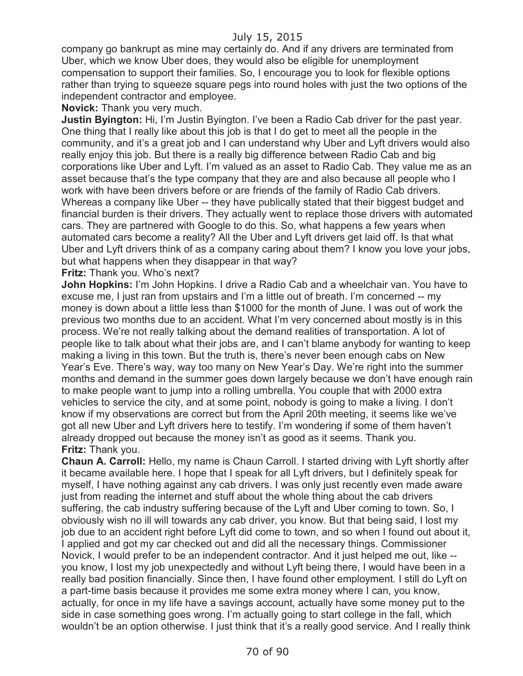company go bankrupt as mine may certainly do. And if any drivers are terminated from Uber, which we know Uber does, they would also be eligible for unemployment compensation to support their families. So, I encourage you to look for flexible options rather than trying to squeeze square pegs into round holes with just the two options of the independent contractor and employee.

**Novick:** Thank you very much.

**Justin Byington:** Hi, I'm Justin Byington. I've been a Radio Cab driver for the past year. One thing that I really like about this job is that I do get to meet all the people in the community, and it's a great job and I can understand why Uber and Lyft drivers would also really enjoy this job. But there is a really big difference between Radio Cab and big corporations like Uber and Lyft. I'm valued as an asset to Radio Cab. They value me as an asset because that's the type company that they are and also because all people who I work with have been drivers before or are friends of the family of Radio Cab drivers. Whereas a company like Uber -- they have publically stated that their biggest budget and financial burden is their drivers. They actually went to replace those drivers with automated cars. They are partnered with Google to do this. So, what happens a few years when automated cars become a reality? All the Uber and Lyft drivers get laid off. Is that what Uber and Lyft drivers think of as a company caring about them? I know you love your jobs, but what happens when they disappear in that way?

**Fritz:** Thank you. Who's next?

**John Hopkins:** I'm John Hopkins. I drive a Radio Cab and a wheelchair van. You have to excuse me, I just ran from upstairs and I'm a little out of breath. I'm concerned -- my money is down about a little less than \$1000 for the month of June. I was out of work the previous two months due to an accident. What I'm very concerned about mostly is in this process. We're not really talking about the demand realities of transportation. A lot of people like to talk about what their jobs are, and I can't blame anybody for wanting to keep making a living in this town. But the truth is, there's never been enough cabs on New Year's Eve. There's way, way too many on New Year's Day. We're right into the summer months and demand in the summer goes down largely because we don't have enough rain to make people want to jump into a rolling umbrella. You couple that with 2000 extra vehicles to service the city, and at some point, nobody is going to make a living. I don't know if my observations are correct but from the April 20th meeting, it seems like we've got all new Uber and Lyft drivers here to testify. I'm wondering if some of them haven't already dropped out because the money isn't as good as it seems. Thank you. **Fritz:** Thank you.

**Chaun A. Carroll:** Hello, my name is Chaun Carroll. I started driving with Lyft shortly after it became available here. I hope that I speak for all Lyft drivers, but I definitely speak for myself, I have nothing against any cab drivers. I was only just recently even made aware just from reading the internet and stuff about the whole thing about the cab drivers suffering, the cab industry suffering because of the Lyft and Uber coming to town. So, I obviously wish no ill will towards any cab driver, you know. But that being said, I lost my job due to an accident right before Lyft did come to town, and so when I found out about it, I applied and got my car checked out and did all the necessary things. Commissioner Novick, I would prefer to be an independent contractor. And it just helped me out, like - you know, I lost my job unexpectedly and without Lyft being there, I would have been in a really bad position financially. Since then, I have found other employment. I still do Lyft on a part-time basis because it provides me some extra money where I can, you know, actually, for once in my life have a savings account, actually have some money put to the side in case something goes wrong. I'm actually going to start college in the fall, which wouldn't be an option otherwise. I just think that it's a really good service. And I really think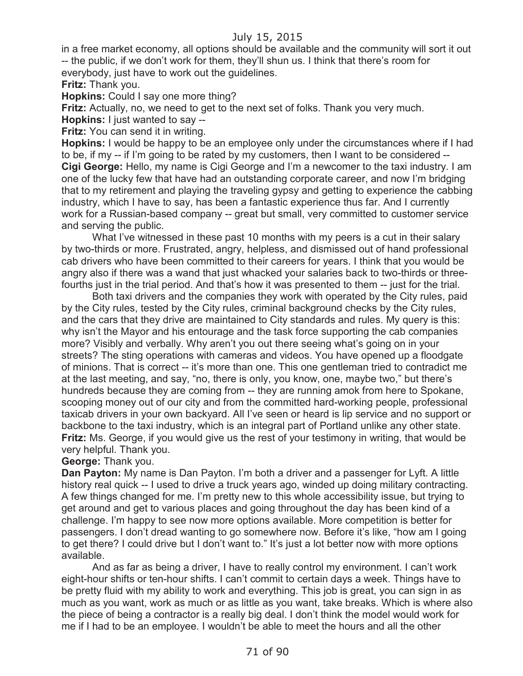in a free market economy, all options should be available and the community will sort it out -- the public, if we don't work for them, they'll shun us. I think that there's room for everybody, just have to work out the guidelines.

**Fritz:** Thank you.

**Hopkins:** Could I say one more thing?

**Fritz:** Actually, no, we need to get to the next set of folks. Thank you very much.

**Hopkins:** I just wanted to say --

**Fritz:** You can send it in writing.

**Hopkins:** I would be happy to be an employee only under the circumstances where if I had to be, if my -- if I'm going to be rated by my customers, then I want to be considered -- **Cigi George:** Hello, my name is Cigi George and I'm a newcomer to the taxi industry. I am one of the lucky few that have had an outstanding corporate career, and now I'm bridging that to my retirement and playing the traveling gypsy and getting to experience the cabbing industry, which I have to say, has been a fantastic experience thus far. And I currently work for a Russian-based company -- great but small, very committed to customer service and serving the public.

What I've witnessed in these past 10 months with my peers is a cut in their salary by two-thirds or more. Frustrated, angry, helpless, and dismissed out of hand professional cab drivers who have been committed to their careers for years. I think that you would be angry also if there was a wand that just whacked your salaries back to two-thirds or threefourths just in the trial period. And that's how it was presented to them -- just for the trial.

Both taxi drivers and the companies they work with operated by the City rules, paid by the City rules, tested by the City rules, criminal background checks by the City rules, and the cars that they drive are maintained to City standards and rules. My query is this: why isn't the Mayor and his entourage and the task force supporting the cab companies more? Visibly and verbally. Why aren't you out there seeing what's going on in your streets? The sting operations with cameras and videos. You have opened up a floodgate of minions. That is correct -- it's more than one. This one gentleman tried to contradict me at the last meeting, and say, "no, there is only, you know, one, maybe two," but there's hundreds because they are coming from -- they are running amok from here to Spokane, scooping money out of our city and from the committed hard-working people, professional taxicab drivers in your own backyard. All I've seen or heard is lip service and no support or backbone to the taxi industry, which is an integral part of Portland unlike any other state. **Fritz:** Ms. George, if you would give us the rest of your testimony in writing, that would be very helpful. Thank you.

#### **George:** Thank you.

**Dan Payton:** My name is Dan Payton. I'm both a driver and a passenger for Lyft. A little history real quick -- I used to drive a truck years ago, winded up doing military contracting. A few things changed for me. I'm pretty new to this whole accessibility issue, but trying to get around and get to various places and going throughout the day has been kind of a challenge. I'm happy to see now more options available. More competition is better for passengers. I don't dread wanting to go somewhere now. Before it's like, "how am I going to get there? I could drive but I don't want to." It's just a lot better now with more options available.

And as far as being a driver, I have to really control my environment. I can't work eight-hour shifts or ten-hour shifts. I can't commit to certain days a week. Things have to be pretty fluid with my ability to work and everything. This job is great, you can sign in as much as you want, work as much or as little as you want, take breaks. Which is where also the piece of being a contractor is a really big deal. I don't think the model would work for me if I had to be an employee. I wouldn't be able to meet the hours and all the other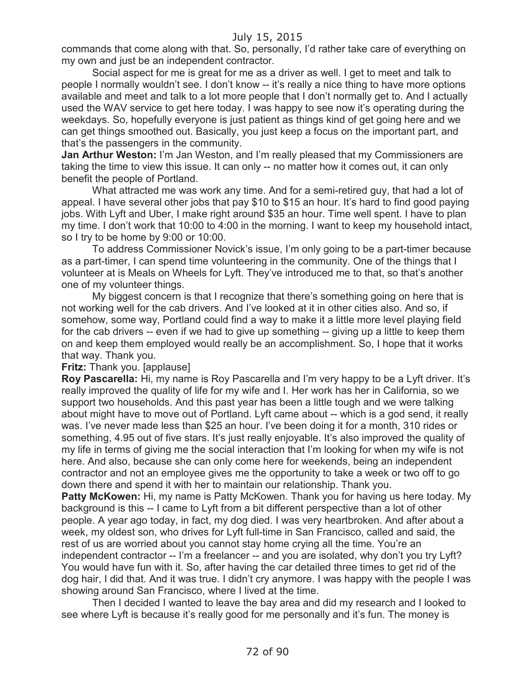commands that come along with that. So, personally, I'd rather take care of everything on my own and just be an independent contractor.

Social aspect for me is great for me as a driver as well. I get to meet and talk to people I normally wouldn't see. I don't know -- it's really a nice thing to have more options available and meet and talk to a lot more people that I don't normally get to. And I actually used the WAV service to get here today. I was happy to see now it's operating during the weekdays. So, hopefully everyone is just patient as things kind of get going here and we can get things smoothed out. Basically, you just keep a focus on the important part, and that's the passengers in the community.

**Jan Arthur Weston:** I'm Jan Weston, and I'm really pleased that my Commissioners are taking the time to view this issue. It can only -- no matter how it comes out, it can only benefit the people of Portland.

What attracted me was work any time. And for a semi-retired guy, that had a lot of appeal. I have several other jobs that pay \$10 to \$15 an hour. It's hard to find good paying jobs. With Lyft and Uber, I make right around \$35 an hour. Time well spent. I have to plan my time. I don't work that 10:00 to 4:00 in the morning. I want to keep my household intact, so I try to be home by 9:00 or 10:00.

To address Commissioner Novick's issue, I'm only going to be a part-timer because as a part-timer, I can spend time volunteering in the community. One of the things that I volunteer at is Meals on Wheels for Lyft. They've introduced me to that, so that's another one of my volunteer things.

My biggest concern is that I recognize that there's something going on here that is not working well for the cab drivers. And I've looked at it in other cities also. And so, if somehow, some way, Portland could find a way to make it a little more level playing field for the cab drivers -- even if we had to give up something -- giving up a little to keep them on and keep them employed would really be an accomplishment. So, I hope that it works that way. Thank you.

#### **Fritz: Thank you. [applause]**

**Roy Pascarella:** Hi, my name is Roy Pascarella and I'm very happy to be a Lyft driver. It's really improved the quality of life for my wife and I. Her work has her in California, so we support two households. And this past year has been a little tough and we were talking about might have to move out of Portland. Lyft came about -- which is a god send, it really was. I've never made less than \$25 an hour. I've been doing it for a month, 310 rides or something, 4.95 out of five stars. It's just really enjoyable. It's also improved the quality of my life in terms of giving me the social interaction that I'm looking for when my wife is not here. And also, because she can only come here for weekends, being an independent contractor and not an employee gives me the opportunity to take a week or two off to go down there and spend it with her to maintain our relationship. Thank you.

**Patty McKowen:** Hi, my name is Patty McKowen. Thank you for having us here today. My background is this -- I came to Lyft from a bit different perspective than a lot of other people. A year ago today, in fact, my dog died. I was very heartbroken. And after about a week, my oldest son, who drives for Lyft full-time in San Francisco, called and said, the rest of us are worried about you cannot stay home crying all the time. You're an independent contractor -- I'm a freelancer -- and you are isolated, why don't you try Lyft? You would have fun with it. So, after having the car detailed three times to get rid of the dog hair, I did that. And it was true. I didn't cry anymore. I was happy with the people I was showing around San Francisco, where I lived at the time.

Then I decided I wanted to leave the bay area and did my research and I looked to see where Lyft is because it's really good for me personally and it's fun. The money is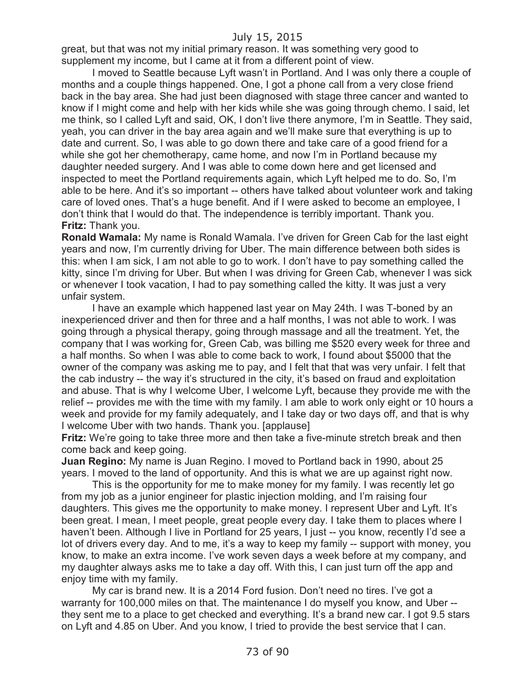great, but that was not my initial primary reason. It was something very good to supplement my income, but I came at it from a different point of view.

I moved to Seattle because Lyft wasn't in Portland. And I was only there a couple of months and a couple things happened. One, I got a phone call from a very close friend back in the bay area. She had just been diagnosed with stage three cancer and wanted to know if I might come and help with her kids while she was going through chemo. I said, let me think, so I called Lyft and said, OK, I don't live there anymore, I'm in Seattle. They said, yeah, you can driver in the bay area again and we'll make sure that everything is up to date and current. So, I was able to go down there and take care of a good friend for a while she got her chemotherapy, came home, and now I'm in Portland because my daughter needed surgery. And I was able to come down here and get licensed and inspected to meet the Portland requirements again, which Lyft helped me to do. So, I'm able to be here. And it's so important -- others have talked about volunteer work and taking care of loved ones. That's a huge benefit. And if I were asked to become an employee, I don't think that I would do that. The independence is terribly important. Thank you. **Fritz:** Thank you.

**Ronald Wamala:** My name is Ronald Wamala. I've driven for Green Cab for the last eight years and now, I'm currently driving for Uber. The main difference between both sides is this: when I am sick, I am not able to go to work. I don't have to pay something called the kitty, since I'm driving for Uber. But when I was driving for Green Cab, whenever I was sick or whenever I took vacation, I had to pay something called the kitty. It was just a very unfair system.

I have an example which happened last year on May 24th. I was T-boned by an inexperienced driver and then for three and a half months, I was not able to work. I was going through a physical therapy, going through massage and all the treatment. Yet, the company that I was working for, Green Cab, was billing me \$520 every week for three and a half months. So when I was able to come back to work, I found about \$5000 that the owner of the company was asking me to pay, and I felt that that was very unfair. I felt that the cab industry -- the way it's structured in the city, it's based on fraud and exploitation and abuse. That is why I welcome Uber, I welcome Lyft, because they provide me with the relief -- provides me with the time with my family. I am able to work only eight or 10 hours a week and provide for my family adequately, and I take day or two days off, and that is why I welcome Uber with two hands. Thank you. [applause]

**Fritz:** We're going to take three more and then take a five-minute stretch break and then come back and keep going.

**Juan Regino:** My name is Juan Regino. I moved to Portland back in 1990, about 25 years. I moved to the land of opportunity. And this is what we are up against right now.

This is the opportunity for me to make money for my family. I was recently let go from my job as a junior engineer for plastic injection molding, and I'm raising four daughters. This gives me the opportunity to make money. I represent Uber and Lyft. It's been great. I mean, I meet people, great people every day. I take them to places where I haven't been. Although I live in Portland for 25 years, I just -- you know, recently I'd see a lot of drivers every day. And to me, it's a way to keep my family -- support with money, you know, to make an extra income. I've work seven days a week before at my company, and my daughter always asks me to take a day off. With this, I can just turn off the app and enjoy time with my family.

My car is brand new. It is a 2014 Ford fusion. Don't need no tires. I've got a warranty for 100,000 miles on that. The maintenance I do myself you know, and Uber - they sent me to a place to get checked and everything. It's a brand new car. I got 9.5 stars on Lyft and 4.85 on Uber. And you know, I tried to provide the best service that I can.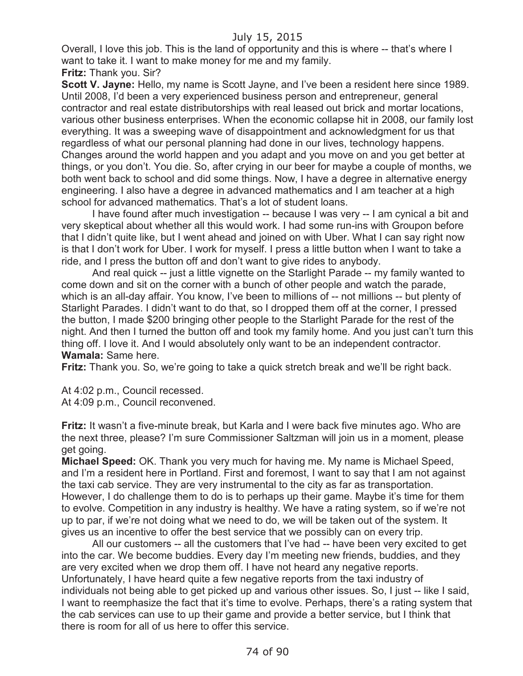Overall, I love this job. This is the land of opportunity and this is where -- that's where I want to take it. I want to make money for me and my family.

**Fritz:** Thank you. Sir?

**Scott V. Jayne:** Hello, my name is Scott Jayne, and I've been a resident here since 1989. Until 2008, I'd been a very experienced business person and entrepreneur, general contractor and real estate distributorships with real leased out brick and mortar locations, various other business enterprises. When the economic collapse hit in 2008, our family lost everything. It was a sweeping wave of disappointment and acknowledgment for us that regardless of what our personal planning had done in our lives, technology happens. Changes around the world happen and you adapt and you move on and you get better at things, or you don't. You die. So, after crying in our beer for maybe a couple of months, we both went back to school and did some things. Now, I have a degree in alternative energy engineering. I also have a degree in advanced mathematics and I am teacher at a high school for advanced mathematics. That's a lot of student loans.

I have found after much investigation -- because I was very -- I am cynical a bit and very skeptical about whether all this would work. I had some run-ins with Groupon before that I didn't quite like, but I went ahead and joined on with Uber. What I can say right now is that I don't work for Uber. I work for myself. I press a little button when I want to take a ride, and I press the button off and don't want to give rides to anybody.

And real quick -- just a little vignette on the Starlight Parade -- my family wanted to come down and sit on the corner with a bunch of other people and watch the parade, which is an all-day affair. You know, I've been to millions of -- not millions -- but plenty of Starlight Parades. I didn't want to do that, so I dropped them off at the corner, I pressed the button, I made \$200 bringing other people to the Starlight Parade for the rest of the night. And then I turned the button off and took my family home. And you just can't turn this thing off. I love it. And I would absolutely only want to be an independent contractor. **Wamala:** Same here.

**Fritz:** Thank you. So, we're going to take a quick stretch break and we'll be right back.

At 4:02 p.m., Council recessed.

At 4:09 p.m., Council reconvened.

**Fritz:** It wasn't a five-minute break, but Karla and I were back five minutes ago. Who are the next three, please? I'm sure Commissioner Saltzman will join us in a moment, please get going.

**Michael Speed:** OK. Thank you very much for having me. My name is Michael Speed, and I'm a resident here in Portland. First and foremost, I want to say that I am not against the taxi cab service. They are very instrumental to the city as far as transportation. However, I do challenge them to do is to perhaps up their game. Maybe it's time for them to evolve. Competition in any industry is healthy. We have a rating system, so if we're not up to par, if we're not doing what we need to do, we will be taken out of the system. It gives us an incentive to offer the best service that we possibly can on every trip.

All our customers -- all the customers that I've had -- have been very excited to get into the car. We become buddies. Every day I'm meeting new friends, buddies, and they are very excited when we drop them off. I have not heard any negative reports. Unfortunately, I have heard quite a few negative reports from the taxi industry of individuals not being able to get picked up and various other issues. So, I just -- like I said, I want to reemphasize the fact that it's time to evolve. Perhaps, there's a rating system that the cab services can use to up their game and provide a better service, but I think that there is room for all of us here to offer this service.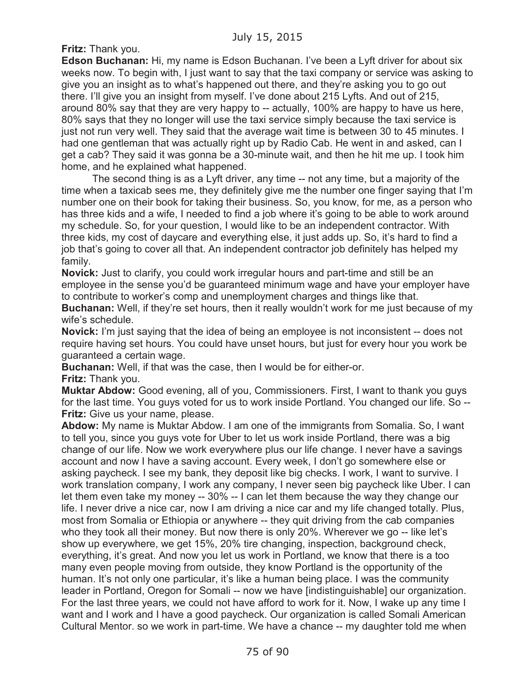**Fritz:** Thank you.

**Edson Buchanan:** Hi, my name is Edson Buchanan. I've been a Lyft driver for about six weeks now. To begin with, I just want to say that the taxi company or service was asking to give you an insight as to what's happened out there, and they're asking you to go out there. I'll give you an insight from myself. I've done about 215 Lyfts. And out of 215, around 80% say that they are very happy to -- actually, 100% are happy to have us here, 80% says that they no longer will use the taxi service simply because the taxi service is just not run very well. They said that the average wait time is between 30 to 45 minutes. I had one gentleman that was actually right up by Radio Cab. He went in and asked, can I get a cab? They said it was gonna be a 30-minute wait, and then he hit me up. I took him home, and he explained what happened.

The second thing is as a Lyft driver, any time -- not any time, but a majority of the time when a taxicab sees me, they definitely give me the number one finger saying that I'm number one on their book for taking their business. So, you know, for me, as a person who has three kids and a wife, I needed to find a job where it's going to be able to work around my schedule. So, for your question, I would like to be an independent contractor. With three kids, my cost of daycare and everything else, it just adds up. So, it's hard to find a job that's going to cover all that. An independent contractor job definitely has helped my family.

**Novick:** Just to clarify, you could work irregular hours and part-time and still be an employee in the sense you'd be guaranteed minimum wage and have your employer have to contribute to worker's comp and unemployment charges and things like that.

**Buchanan:** Well, if they're set hours, then it really wouldn't work for me just because of my wife's schedule.

**Novick:** I'm just saying that the idea of being an employee is not inconsistent -- does not require having set hours. You could have unset hours, but just for every hour you work be guaranteed a certain wage.

**Buchanan:** Well, if that was the case, then I would be for either-or.

**Fritz:** Thank you.

**Muktar Abdow:** Good evening, all of you, Commissioners. First, I want to thank you guys for the last time. You guys voted for us to work inside Portland. You changed our life. So -- **Fritz:** Give us your name, please.

**Abdow:** My name is Muktar Abdow. I am one of the immigrants from Somalia. So, I want to tell you, since you guys vote for Uber to let us work inside Portland, there was a big change of our life. Now we work everywhere plus our life change. I never have a savings account and now I have a saving account. Every week, I don't go somewhere else or asking paycheck. I see my bank, they deposit like big checks. I work, I want to survive. I work translation company, I work any company, I never seen big paycheck like Uber. I can let them even take my money -- 30% -- I can let them because the way they change our life. I never drive a nice car, now I am driving a nice car and my life changed totally. Plus, most from Somalia or Ethiopia or anywhere -- they quit driving from the cab companies who they took all their money. But now there is only 20%. Wherever we go -- like let's show up everywhere, we get 15%, 20% tire changing, inspection, background check, everything, it's great. And now you let us work in Portland, we know that there is a too many even people moving from outside, they know Portland is the opportunity of the human. It's not only one particular, it's like a human being place. I was the community leader in Portland, Oregon for Somali -- now we have [indistinguishable] our organization. For the last three years, we could not have afford to work for it. Now, I wake up any time I want and I work and I have a good paycheck. Our organization is called Somali American Cultural Mentor. so we work in part-time. We have a chance -- my daughter told me when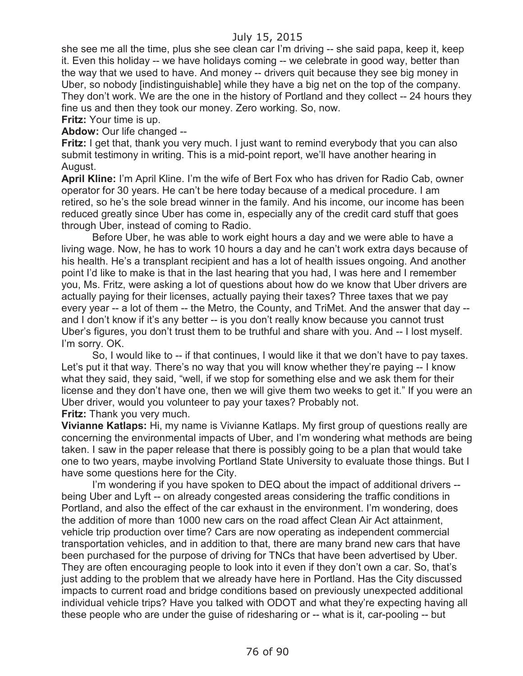she see me all the time, plus she see clean car I'm driving -- she said papa, keep it, keep it. Even this holiday -- we have holidays coming -- we celebrate in good way, better than the way that we used to have. And money -- drivers quit because they see big money in Uber, so nobody [indistinguishable] while they have a big net on the top of the company. They don't work. We are the one in the history of Portland and they collect -- 24 hours they fine us and then they took our money. Zero working. So, now.

**Fritz:** Your time is up.

**Abdow:** Our life changed --

**Fritz:** I get that, thank you very much. I just want to remind everybody that you can also submit testimony in writing. This is a mid-point report, we'll have another hearing in August.

**April Kline:** I'm April Kline. I'm the wife of Bert Fox who has driven for Radio Cab, owner operator for 30 years. He can't be here today because of a medical procedure. I am retired, so he's the sole bread winner in the family. And his income, our income has been reduced greatly since Uber has come in, especially any of the credit card stuff that goes through Uber, instead of coming to Radio.

Before Uber, he was able to work eight hours a day and we were able to have a living wage. Now, he has to work 10 hours a day and he can't work extra days because of his health. He's a transplant recipient and has a lot of health issues ongoing. And another point I'd like to make is that in the last hearing that you had, I was here and I remember you, Ms. Fritz, were asking a lot of questions about how do we know that Uber drivers are actually paying for their licenses, actually paying their taxes? Three taxes that we pay every year -- a lot of them -- the Metro, the County, and TriMet. And the answer that day - and I don't know if it's any better -- is you don't really know because you cannot trust Uber's figures, you don't trust them to be truthful and share with you. And -- I lost myself. I'm sorry. OK.

So, I would like to -- if that continues, I would like it that we don't have to pay taxes. Let's put it that way. There's no way that you will know whether they're paying -- I know what they said, they said, "well, if we stop for something else and we ask them for their license and they don't have one, then we will give them two weeks to get it." If you were an Uber driver, would you volunteer to pay your taxes? Probably not. **Fritz:** Thank you very much.

**Vivianne Katlaps:** Hi, my name is Vivianne Katlaps. My first group of questions really are concerning the environmental impacts of Uber, and I'm wondering what methods are being taken. I saw in the paper release that there is possibly going to be a plan that would take one to two years, maybe involving Portland State University to evaluate those things. But I have some questions here for the City.

I'm wondering if you have spoken to DEQ about the impact of additional drivers - being Uber and Lyft -- on already congested areas considering the traffic conditions in Portland, and also the effect of the car exhaust in the environment. I'm wondering, does the addition of more than 1000 new cars on the road affect Clean Air Act attainment, vehicle trip production over time? Cars are now operating as independent commercial transportation vehicles, and in addition to that, there are many brand new cars that have been purchased for the purpose of driving for TNCs that have been advertised by Uber. They are often encouraging people to look into it even if they don't own a car. So, that's just adding to the problem that we already have here in Portland. Has the City discussed impacts to current road and bridge conditions based on previously unexpected additional individual vehicle trips? Have you talked with ODOT and what they're expecting having all these people who are under the guise of ridesharing or -- what is it, car-pooling -- but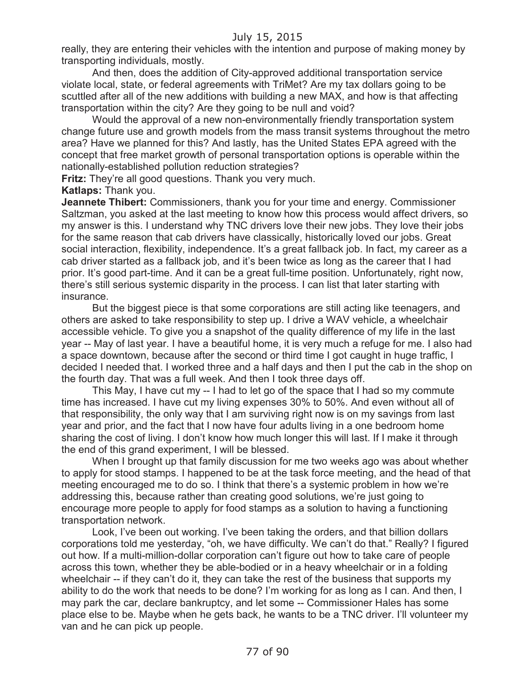really, they are entering their vehicles with the intention and purpose of making money by transporting individuals, mostly.

And then, does the addition of City-approved additional transportation service violate local, state, or federal agreements with TriMet? Are my tax dollars going to be scuttled after all of the new additions with building a new MAX, and how is that affecting transportation within the city? Are they going to be null and void?

Would the approval of a new non-environmentally friendly transportation system change future use and growth models from the mass transit systems throughout the metro area? Have we planned for this? And lastly, has the United States EPA agreed with the concept that free market growth of personal transportation options is operable within the nationally-established pollution reduction strategies?

**Fritz:** They're all good questions. Thank you very much.

**Katlaps:** Thank you.

**Jeannete Thibert:** Commissioners, thank you for your time and energy. Commissioner Saltzman, you asked at the last meeting to know how this process would affect drivers, so my answer is this. I understand why TNC drivers love their new jobs. They love their jobs for the same reason that cab drivers have classically, historically loved our jobs. Great social interaction, flexibility, independence. It's a great fallback job. In fact, my career as a cab driver started as a fallback job, and it's been twice as long as the career that I had prior. It's good part-time. And it can be a great full-time position. Unfortunately, right now, there's still serious systemic disparity in the process. I can list that later starting with insurance.

But the biggest piece is that some corporations are still acting like teenagers, and others are asked to take responsibility to step up. I drive a WAV vehicle, a wheelchair accessible vehicle. To give you a snapshot of the quality difference of my life in the last year -- May of last year. I have a beautiful home, it is very much a refuge for me. I also had a space downtown, because after the second or third time I got caught in huge traffic, I decided I needed that. I worked three and a half days and then I put the cab in the shop on the fourth day. That was a full week. And then I took three days off.

This May, I have cut my -- I had to let go of the space that I had so my commute time has increased. I have cut my living expenses 30% to 50%. And even without all of that responsibility, the only way that I am surviving right now is on my savings from last year and prior, and the fact that I now have four adults living in a one bedroom home sharing the cost of living. I don't know how much longer this will last. If I make it through the end of this grand experiment, I will be blessed.

When I brought up that family discussion for me two weeks ago was about whether to apply for stood stamps. I happened to be at the task force meeting, and the head of that meeting encouraged me to do so. I think that there's a systemic problem in how we're addressing this, because rather than creating good solutions, we're just going to encourage more people to apply for food stamps as a solution to having a functioning transportation network.

Look, I've been out working. I've been taking the orders, and that billion dollars corporations told me yesterday, "oh, we have difficulty. We can't do that." Really? I figured out how. If a multi-million-dollar corporation can't figure out how to take care of people across this town, whether they be able-bodied or in a heavy wheelchair or in a folding wheelchair -- if they can't do it, they can take the rest of the business that supports my ability to do the work that needs to be done? I'm working for as long as I can. And then, I may park the car, declare bankruptcy, and let some -- Commissioner Hales has some place else to be. Maybe when he gets back, he wants to be a TNC driver. I'll volunteer my van and he can pick up people.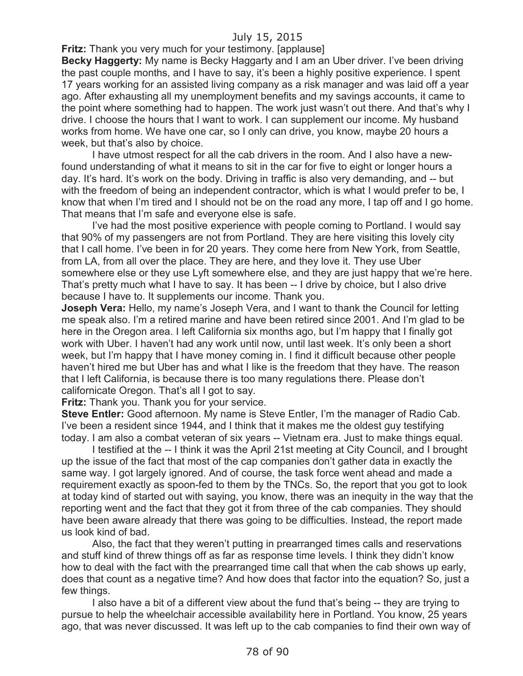**Fritz:** Thank you very much for your testimony. [applause]

**Becky Haggerty:** My name is Becky Haggarty and I am an Uber driver. I've been driving the past couple months, and I have to say, it's been a highly positive experience. I spent 17 years working for an assisted living company as a risk manager and was laid off a year ago. After exhausting all my unemployment benefits and my savings accounts, it came to the point where something had to happen. The work just wasn't out there. And that's why I drive. I choose the hours that I want to work. I can supplement our income. My husband works from home. We have one car, so I only can drive, you know, maybe 20 hours a week, but that's also by choice.

I have utmost respect for all the cab drivers in the room. And I also have a newfound understanding of what it means to sit in the car for five to eight or longer hours a day. It's hard. It's work on the body. Driving in traffic is also very demanding, and -- but with the freedom of being an independent contractor, which is what I would prefer to be, I know that when I'm tired and I should not be on the road any more, I tap off and I go home. That means that I'm safe and everyone else is safe.

I've had the most positive experience with people coming to Portland. I would say that 90% of my passengers are not from Portland. They are here visiting this lovely city that I call home. I've been in for 20 years. They come here from New York, from Seattle, from LA, from all over the place. They are here, and they love it. They use Uber somewhere else or they use Lyft somewhere else, and they are just happy that we're here. That's pretty much what I have to say. It has been -- I drive by choice, but I also drive because I have to. It supplements our income. Thank you.

**Joseph Vera:** Hello, my name's Joseph Vera, and I want to thank the Council for letting me speak also. I'm a retired marine and have been retired since 2001. And I'm glad to be here in the Oregon area. I left California six months ago, but I'm happy that I finally got work with Uber. I haven't had any work until now, until last week. It's only been a short week, but I'm happy that I have money coming in. I find it difficult because other people haven't hired me but Uber has and what I like is the freedom that they have. The reason that I left California, is because there is too many regulations there. Please don't californicate Oregon. That's all I got to say.

**Fritz:** Thank you. Thank you for your service.

**Steve Entler:** Good afternoon. My name is Steve Entler, I'm the manager of Radio Cab. I've been a resident since 1944, and I think that it makes me the oldest guy testifying today. I am also a combat veteran of six years -- Vietnam era. Just to make things equal.

I testified at the -- I think it was the April 21st meeting at City Council, and I brought up the issue of the fact that most of the cap companies don't gather data in exactly the same way. I got largely ignored. And of course, the task force went ahead and made a requirement exactly as spoon-fed to them by the TNCs. So, the report that you got to look at today kind of started out with saying, you know, there was an inequity in the way that the reporting went and the fact that they got it from three of the cab companies. They should have been aware already that there was going to be difficulties. Instead, the report made us look kind of bad.

Also, the fact that they weren't putting in prearranged times calls and reservations and stuff kind of threw things off as far as response time levels. I think they didn't know how to deal with the fact with the prearranged time call that when the cab shows up early, does that count as a negative time? And how does that factor into the equation? So, just a few things.

I also have a bit of a different view about the fund that's being -- they are trying to pursue to help the wheelchair accessible availability here in Portland. You know, 25 years ago, that was never discussed. It was left up to the cab companies to find their own way of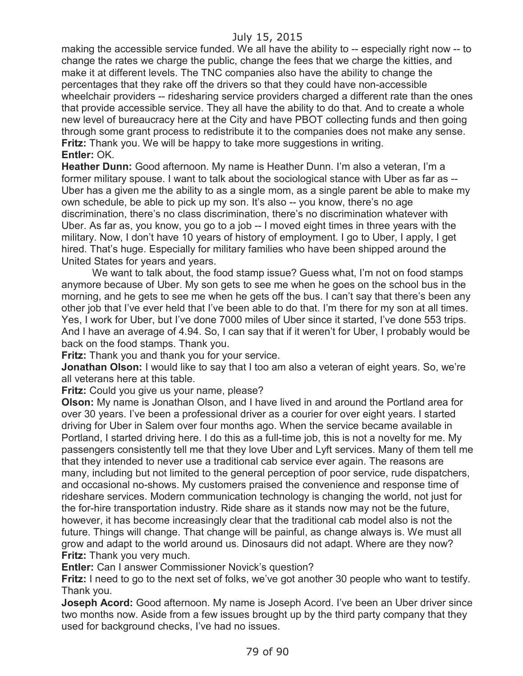making the accessible service funded. We all have the ability to -- especially right now -- to change the rates we charge the public, change the fees that we charge the kitties, and make it at different levels. The TNC companies also have the ability to change the percentages that they rake off the drivers so that they could have non-accessible wheelchair providers -- ridesharing service providers charged a different rate than the ones that provide accessible service. They all have the ability to do that. And to create a whole new level of bureaucracy here at the City and have PBOT collecting funds and then going through some grant process to redistribute it to the companies does not make any sense. **Fritz:** Thank you. We will be happy to take more suggestions in writing. **Entler:** OK.

**Heather Dunn:** Good afternoon. My name is Heather Dunn. I'm also a veteran, I'm a former military spouse. I want to talk about the sociological stance with Uber as far as -- Uber has a given me the ability to as a single mom, as a single parent be able to make my own schedule, be able to pick up my son. It's also -- you know, there's no age discrimination, there's no class discrimination, there's no discrimination whatever with Uber. As far as, you know, you go to a job -- I moved eight times in three years with the military. Now, I don't have 10 years of history of employment. I go to Uber, I apply, I get hired. That's huge. Especially for military families who have been shipped around the United States for years and years.

We want to talk about, the food stamp issue? Guess what, I'm not on food stamps anymore because of Uber. My son gets to see me when he goes on the school bus in the morning, and he gets to see me when he gets off the bus. I can't say that there's been any other job that I've ever held that I've been able to do that. I'm there for my son at all times. Yes, I work for Uber, but I've done 7000 miles of Uber since it started, I've done 553 trips. And I have an average of 4.94. So, I can say that if it weren't for Uber, I probably would be back on the food stamps. Thank you.

**Fritz:** Thank you and thank you for your service.

**Jonathan Olson:** I would like to say that I too am also a veteran of eight years. So, we're all veterans here at this table.

**Fritz:** Could you give us your name, please?

**Olson:** My name is Jonathan Olson, and I have lived in and around the Portland area for over 30 years. I've been a professional driver as a courier for over eight years. I started driving for Uber in Salem over four months ago. When the service became available in Portland, I started driving here. I do this as a full-time job, this is not a novelty for me. My passengers consistently tell me that they love Uber and Lyft services. Many of them tell me that they intended to never use a traditional cab service ever again. The reasons are many, including but not limited to the general perception of poor service, rude dispatchers, and occasional no-shows. My customers praised the convenience and response time of rideshare services. Modern communication technology is changing the world, not just for the for-hire transportation industry. Ride share as it stands now may not be the future, however, it has become increasingly clear that the traditional cab model also is not the future. Things will change. That change will be painful, as change always is. We must all grow and adapt to the world around us. Dinosaurs did not adapt. Where are they now? **Fritz:** Thank you very much.

**Entler:** Can I answer Commissioner Novick's question?

**Fritz:** I need to go to the next set of folks, we've got another 30 people who want to testify. Thank you.

**Joseph Acord:** Good afternoon. My name is Joseph Acord. I've been an Uber driver since two months now. Aside from a few issues brought up by the third party company that they used for background checks, I've had no issues.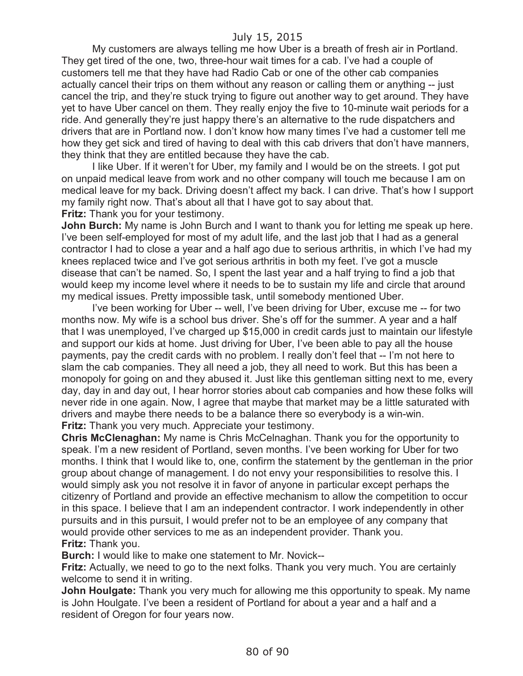My customers are always telling me how Uber is a breath of fresh air in Portland. They get tired of the one, two, three-hour wait times for a cab. I've had a couple of customers tell me that they have had Radio Cab or one of the other cab companies actually cancel their trips on them without any reason or calling them or anything -- just cancel the trip, and they're stuck trying to figure out another way to get around. They have yet to have Uber cancel on them. They really enjoy the five to 10-minute wait periods for a ride. And generally they're just happy there's an alternative to the rude dispatchers and drivers that are in Portland now. I don't know how many times I've had a customer tell me how they get sick and tired of having to deal with this cab drivers that don't have manners, they think that they are entitled because they have the cab.

I like Uber. If it weren't for Uber, my family and I would be on the streets. I got put on unpaid medical leave from work and no other company will touch me because I am on medical leave for my back. Driving doesn't affect my back. I can drive. That's how I support my family right now. That's about all that I have got to say about that. **Fritz:** Thank you for your testimony.

**John Burch:** My name is John Burch and I want to thank you for letting me speak up here. I've been self-employed for most of my adult life, and the last job that I had as a general contractor I had to close a year and a half ago due to serious arthritis, in which I've had my knees replaced twice and I've got serious arthritis in both my feet. I've got a muscle disease that can't be named. So, I spent the last year and a half trying to find a job that would keep my income level where it needs to be to sustain my life and circle that around my medical issues. Pretty impossible task, until somebody mentioned Uber.

I've been working for Uber -- well, I've been driving for Uber, excuse me -- for two months now. My wife is a school bus driver. She's off for the summer. A year and a half that I was unemployed, I've charged up \$15,000 in credit cards just to maintain our lifestyle and support our kids at home. Just driving for Uber, I've been able to pay all the house payments, pay the credit cards with no problem. I really don't feel that -- I'm not here to slam the cab companies. They all need a job, they all need to work. But this has been a monopoly for going on and they abused it. Just like this gentleman sitting next to me, every day, day in and day out, I hear horror stories about cab companies and how these folks will never ride in one again. Now, I agree that maybe that market may be a little saturated with drivers and maybe there needs to be a balance there so everybody is a win-win. **Fritz:** Thank you very much. Appreciate your testimony.

**Chris McClenaghan:** My name is Chris McCelnaghan. Thank you for the opportunity to speak. I'm a new resident of Portland, seven months. I've been working for Uber for two months. I think that I would like to, one, confirm the statement by the gentleman in the prior group about change of management. I do not envy your responsibilities to resolve this. I would simply ask you not resolve it in favor of anyone in particular except perhaps the citizenry of Portland and provide an effective mechanism to allow the competition to occur in this space. I believe that I am an independent contractor. I work independently in other pursuits and in this pursuit, I would prefer not to be an employee of any company that would provide other services to me as an independent provider. Thank you. **Fritz:** Thank you.

**Burch:** I would like to make one statement to Mr. Novick--

**Fritz:** Actually, we need to go to the next folks. Thank you very much. You are certainly welcome to send it in writing.

**John Houlgate:** Thank you very much for allowing me this opportunity to speak. My name is John Houlgate. I've been a resident of Portland for about a year and a half and a resident of Oregon for four years now.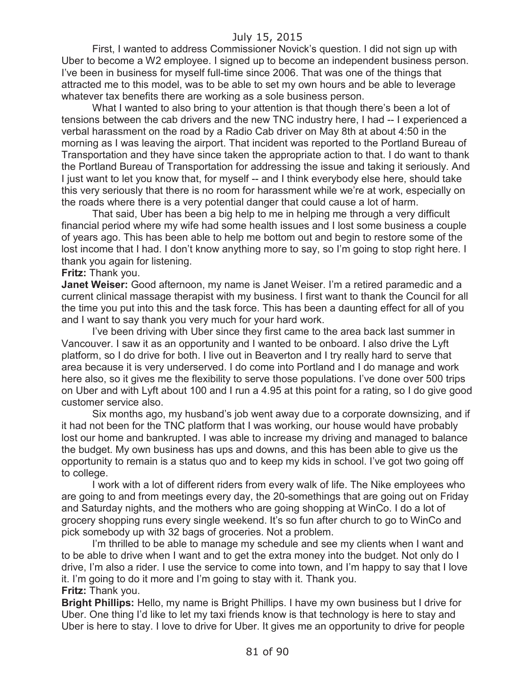First, I wanted to address Commissioner Novick's question. I did not sign up with Uber to become a W2 employee. I signed up to become an independent business person. I've been in business for myself full-time since 2006. That was one of the things that attracted me to this model, was to be able to set my own hours and be able to leverage whatever tax benefits there are working as a sole business person.

What I wanted to also bring to your attention is that though there's been a lot of tensions between the cab drivers and the new TNC industry here, I had -- I experienced a verbal harassment on the road by a Radio Cab driver on May 8th at about 4:50 in the morning as I was leaving the airport. That incident was reported to the Portland Bureau of Transportation and they have since taken the appropriate action to that. I do want to thank the Portland Bureau of Transportation for addressing the issue and taking it seriously. And I just want to let you know that, for myself -- and I think everybody else here, should take this very seriously that there is no room for harassment while we're at work, especially on the roads where there is a very potential danger that could cause a lot of harm.

That said, Uber has been a big help to me in helping me through a very difficult financial period where my wife had some health issues and I lost some business a couple of years ago. This has been able to help me bottom out and begin to restore some of the lost income that I had. I don't know anything more to say, so I'm going to stop right here. I thank you again for listening.

#### **Fritz:** Thank you.

**Janet Weiser:** Good afternoon, my name is Janet Weiser. I'm a retired paramedic and a current clinical massage therapist with my business. I first want to thank the Council for all the time you put into this and the task force. This has been a daunting effect for all of you and I want to say thank you very much for your hard work.

I've been driving with Uber since they first came to the area back last summer in Vancouver. I saw it as an opportunity and I wanted to be onboard. I also drive the Lyft platform, so I do drive for both. I live out in Beaverton and I try really hard to serve that area because it is very underserved. I do come into Portland and I do manage and work here also, so it gives me the flexibility to serve those populations. I've done over 500 trips on Uber and with Lyft about 100 and I run a 4.95 at this point for a rating, so I do give good customer service also.

Six months ago, my husband's job went away due to a corporate downsizing, and if it had not been for the TNC platform that I was working, our house would have probably lost our home and bankrupted. I was able to increase my driving and managed to balance the budget. My own business has ups and downs, and this has been able to give us the opportunity to remain is a status quo and to keep my kids in school. I've got two going off to college.

I work with a lot of different riders from every walk of life. The Nike employees who are going to and from meetings every day, the 20-somethings that are going out on Friday and Saturday nights, and the mothers who are going shopping at WinCo. I do a lot of grocery shopping runs every single weekend. It's so fun after church to go to WinCo and pick somebody up with 32 bags of groceries. Not a problem.

I'm thrilled to be able to manage my schedule and see my clients when I want and to be able to drive when I want and to get the extra money into the budget. Not only do I drive, I'm also a rider. I use the service to come into town, and I'm happy to say that I love it. I'm going to do it more and I'm going to stay with it. Thank you. **Fritz:** Thank you.

**Bright Phillips:** Hello, my name is Bright Phillips. I have my own business but I drive for Uber. One thing I'd like to let my taxi friends know is that technology is here to stay and Uber is here to stay. I love to drive for Uber. It gives me an opportunity to drive for people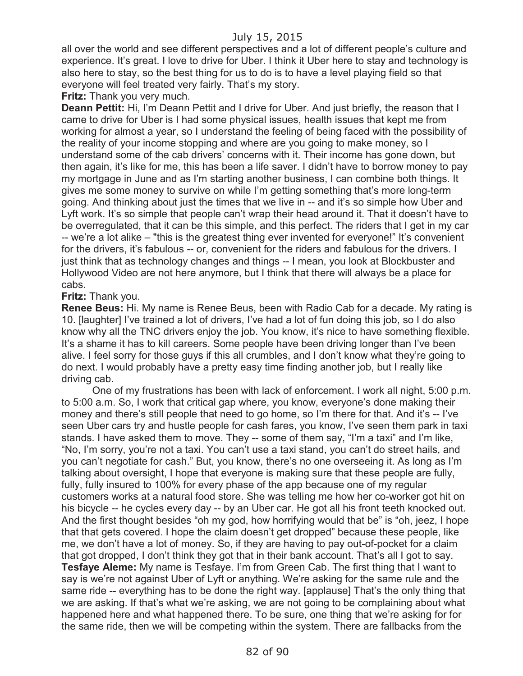all over the world and see different perspectives and a lot of different people's culture and experience. It's great. I love to drive for Uber. I think it Uber here to stay and technology is also here to stay, so the best thing for us to do is to have a level playing field so that everyone will feel treated very fairly. That's my story.

**Fritz:** Thank you very much.

**Deann Pettit:** Hi, I'm Deann Pettit and I drive for Uber. And just briefly, the reason that I came to drive for Uber is I had some physical issues, health issues that kept me from working for almost a year, so I understand the feeling of being faced with the possibility of the reality of your income stopping and where are you going to make money, so I understand some of the cab drivers' concerns with it. Their income has gone down, but then again, it's like for me, this has been a life saver. I didn't have to borrow money to pay my mortgage in June and as I'm starting another business, I can combine both things. It gives me some money to survive on while I'm getting something that's more long-term going. And thinking about just the times that we live in -- and it's so simple how Uber and Lyft work. It's so simple that people can't wrap their head around it. That it doesn't have to be overregulated, that it can be this simple, and this perfect. The riders that I get in my car -- we're a lot alike – "this is the greatest thing ever invented for everyone!" It's convenient for the drivers, it's fabulous -- or, convenient for the riders and fabulous for the drivers. I just think that as technology changes and things -- I mean, you look at Blockbuster and Hollywood Video are not here anymore, but I think that there will always be a place for cabs.

# **Fritz:** Thank you.

**Renee Beus:** Hi. My name is Renee Beus, been with Radio Cab for a decade. My rating is 10. [laughter] I've trained a lot of drivers, I've had a lot of fun doing this job, so I do also know why all the TNC drivers enjoy the job. You know, it's nice to have something flexible. It's a shame it has to kill careers. Some people have been driving longer than I've been alive. I feel sorry for those guys if this all crumbles, and I don't know what they're going to do next. I would probably have a pretty easy time finding another job, but I really like driving cab.

One of my frustrations has been with lack of enforcement. I work all night, 5:00 p.m. to 5:00 a.m. So, I work that critical gap where, you know, everyone's done making their money and there's still people that need to go home, so I'm there for that. And it's -- I've seen Uber cars try and hustle people for cash fares, you know, I've seen them park in taxi stands. I have asked them to move. They -- some of them say, "I'm a taxi" and I'm like, "No, I'm sorry, you're not a taxi. You can't use a taxi stand, you can't do street hails, and you can't negotiate for cash." But, you know, there's no one overseeing it. As long as I'm talking about oversight, I hope that everyone is making sure that these people are fully, fully, fully insured to 100% for every phase of the app because one of my regular customers works at a natural food store. She was telling me how her co-worker got hit on his bicycle -- he cycles every day -- by an Uber car. He got all his front teeth knocked out. And the first thought besides "oh my god, how horrifying would that be" is "oh, jeez, I hope that that gets covered. I hope the claim doesn't get dropped" because these people, like me, we don't have a lot of money. So, if they are having to pay out-of-pocket for a claim that got dropped, I don't think they got that in their bank account. That's all I got to say. **Tesfaye Aleme:** My name is Tesfaye. I'm from Green Cab. The first thing that I want to say is we're not against Uber of Lyft or anything. We're asking for the same rule and the same ride -- everything has to be done the right way. [applause] That's the only thing that we are asking. If that's what we're asking, we are not going to be complaining about what happened here and what happened there. To be sure, one thing that we're asking for for the same ride, then we will be competing within the system. There are fallbacks from the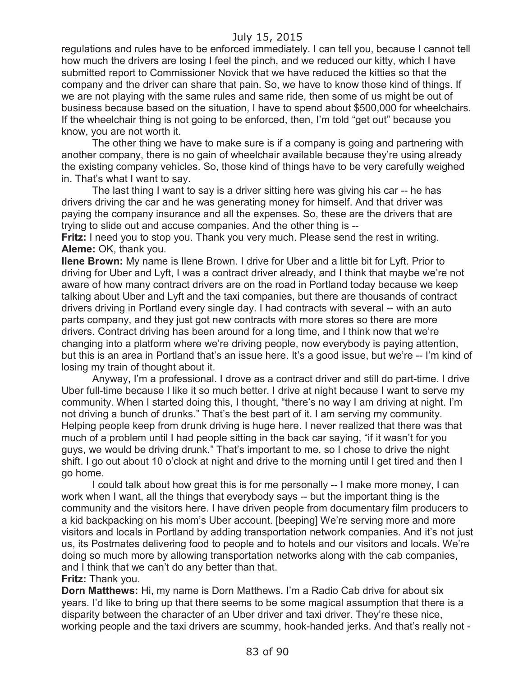regulations and rules have to be enforced immediately. I can tell you, because I cannot tell how much the drivers are losing I feel the pinch, and we reduced our kitty, which I have submitted report to Commissioner Novick that we have reduced the kitties so that the company and the driver can share that pain. So, we have to know those kind of things. If we are not playing with the same rules and same ride, then some of us might be out of business because based on the situation, I have to spend about \$500,000 for wheelchairs. If the wheelchair thing is not going to be enforced, then, I'm told "get out" because you know, you are not worth it.

The other thing we have to make sure is if a company is going and partnering with another company, there is no gain of wheelchair available because they're using already the existing company vehicles. So, those kind of things have to be very carefully weighed in. That's what I want to say.

The last thing I want to say is a driver sitting here was giving his car -- he has drivers driving the car and he was generating money for himself. And that driver was paying the company insurance and all the expenses. So, these are the drivers that are trying to slide out and accuse companies. And the other thing is --

**Fritz:** I need you to stop you. Thank you very much. Please send the rest in writing. **Aleme:** OK, thank you.

**Ilene Brown:** My name is Ilene Brown. I drive for Uber and a little bit for Lyft. Prior to driving for Uber and Lyft, I was a contract driver already, and I think that maybe we're not aware of how many contract drivers are on the road in Portland today because we keep talking about Uber and Lyft and the taxi companies, but there are thousands of contract drivers driving in Portland every single day. I had contracts with several -- with an auto parts company, and they just got new contracts with more stores so there are more drivers. Contract driving has been around for a long time, and I think now that we're changing into a platform where we're driving people, now everybody is paying attention, but this is an area in Portland that's an issue here. It's a good issue, but we're -- I'm kind of losing my train of thought about it.

Anyway, I'm a professional. I drove as a contract driver and still do part-time. I drive Uber full-time because I like it so much better. I drive at night because I want to serve my community. When I started doing this, I thought, "there's no way I am driving at night. I'm not driving a bunch of drunks." That's the best part of it. I am serving my community. Helping people keep from drunk driving is huge here. I never realized that there was that much of a problem until I had people sitting in the back car saying, "if it wasn't for you guys, we would be driving drunk." That's important to me, so I chose to drive the night shift. I go out about 10 o'clock at night and drive to the morning until I get tired and then I go home.

I could talk about how great this is for me personally -- I make more money, I can work when I want, all the things that everybody says -- but the important thing is the community and the visitors here. I have driven people from documentary film producers to a kid backpacking on his mom's Uber account. [beeping] We're serving more and more visitors and locals in Portland by adding transportation network companies. And it's not just us, its Postmates delivering food to people and to hotels and our visitors and locals. We're doing so much more by allowing transportation networks along with the cab companies, and I think that we can't do any better than that.

#### **Fritz:** Thank you.

**Dorn Matthews:** Hi, my name is Dorn Matthews. I'm a Radio Cab drive for about six years. I'd like to bring up that there seems to be some magical assumption that there is a disparity between the character of an Uber driver and taxi driver. They're these nice, working people and the taxi drivers are scummy, hook-handed jerks. And that's really not -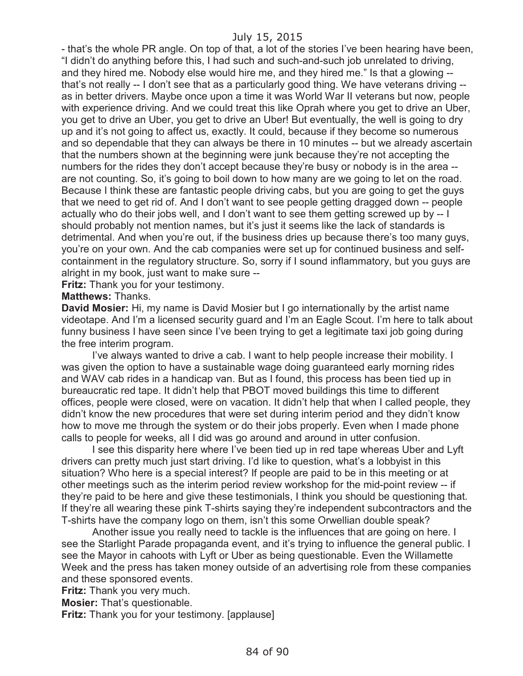- that's the whole PR angle. On top of that, a lot of the stories I've been hearing have been, "I didn't do anything before this, I had such and such-and-such job unrelated to driving, and they hired me. Nobody else would hire me, and they hired me." Is that a glowing - that's not really -- I don't see that as a particularly good thing. We have veterans driving - as in better drivers. Maybe once upon a time it was World War II veterans but now, people with experience driving. And we could treat this like Oprah where you get to drive an Uber, you get to drive an Uber, you get to drive an Uber! But eventually, the well is going to dry up and it's not going to affect us, exactly. It could, because if they become so numerous and so dependable that they can always be there in 10 minutes -- but we already ascertain that the numbers shown at the beginning were junk because they're not accepting the numbers for the rides they don't accept because they're busy or nobody is in the area - are not counting. So, it's going to boil down to how many are we going to let on the road. Because I think these are fantastic people driving cabs, but you are going to get the guys that we need to get rid of. And I don't want to see people getting dragged down -- people actually who do their jobs well, and I don't want to see them getting screwed up by -- I should probably not mention names, but it's just it seems like the lack of standards is detrimental. And when you're out, if the business dries up because there's too many guys, you're on your own. And the cab companies were set up for continued business and selfcontainment in the regulatory structure. So, sorry if I sound inflammatory, but you guys are alright in my book, just want to make sure --

**Fritz:** Thank you for your testimony.

**Matthews:** Thanks.

**David Mosier:** Hi, my name is David Mosier but I go internationally by the artist name videotape. And I'm a licensed security guard and I'm an Eagle Scout. I'm here to talk about funny business I have seen since I've been trying to get a legitimate taxi job going during the free interim program.

I've always wanted to drive a cab. I want to help people increase their mobility. I was given the option to have a sustainable wage doing guaranteed early morning rides and WAV cab rides in a handicap van. But as I found, this process has been tied up in bureaucratic red tape. It didn't help that PBOT moved buildings this time to different offices, people were closed, were on vacation. It didn't help that when I called people, they didn't know the new procedures that were set during interim period and they didn't know how to move me through the system or do their jobs properly. Even when I made phone calls to people for weeks, all I did was go around and around in utter confusion.

I see this disparity here where I've been tied up in red tape whereas Uber and Lyft drivers can pretty much just start driving. I'd like to question, what's a lobbyist in this situation? Who here is a special interest? If people are paid to be in this meeting or at other meetings such as the interim period review workshop for the mid-point review -- if they're paid to be here and give these testimonials, I think you should be questioning that. If they're all wearing these pink T-shirts saying they're independent subcontractors and the T-shirts have the company logo on them, isn't this some Orwellian double speak?

Another issue you really need to tackle is the influences that are going on here. I see the Starlight Parade propaganda event, and it's trying to influence the general public. I see the Mayor in cahoots with Lyft or Uber as being questionable. Even the Willamette Week and the press has taken money outside of an advertising role from these companies and these sponsored events.

**Fritz:** Thank you very much.

**Mosier:** That's questionable.

**Fritz:** Thank you for your testimony. [applause]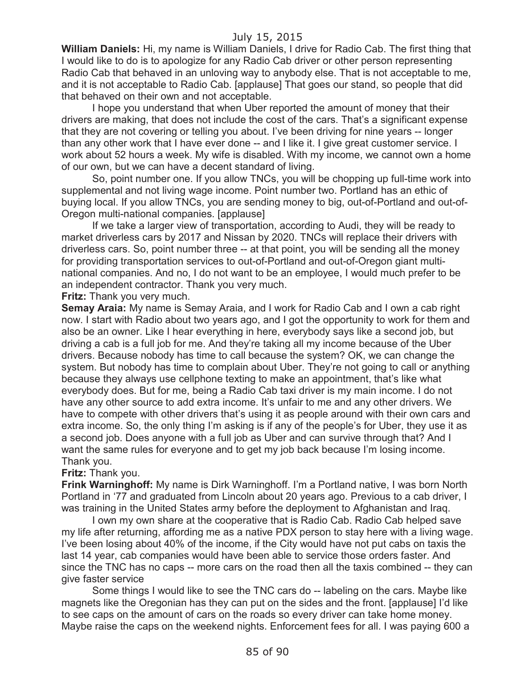**William Daniels:** Hi, my name is William Daniels, I drive for Radio Cab. The first thing that I would like to do is to apologize for any Radio Cab driver or other person representing Radio Cab that behaved in an unloving way to anybody else. That is not acceptable to me, and it is not acceptable to Radio Cab. [applause] That goes our stand, so people that did that behaved on their own and not acceptable.

I hope you understand that when Uber reported the amount of money that their drivers are making, that does not include the cost of the cars. That's a significant expense that they are not covering or telling you about. I've been driving for nine years -- longer than any other work that I have ever done -- and I like it. I give great customer service. I work about 52 hours a week. My wife is disabled. With my income, we cannot own a home of our own, but we can have a decent standard of living.

So, point number one. If you allow TNCs, you will be chopping up full-time work into supplemental and not living wage income. Point number two. Portland has an ethic of buying local. If you allow TNCs, you are sending money to big, out-of-Portland and out-of-Oregon multi-national companies. [applause]

If we take a larger view of transportation, according to Audi, they will be ready to market driverless cars by 2017 and Nissan by 2020. TNCs will replace their drivers with driverless cars. So, point number three -- at that point, you will be sending all the money for providing transportation services to out-of-Portland and out-of-Oregon giant multinational companies. And no, I do not want to be an employee, I would much prefer to be an independent contractor. Thank you very much.

**Fritz:** Thank you very much.

**Semay Araia:** My name is Semay Araia, and I work for Radio Cab and I own a cab right now. I start with Radio about two years ago, and I got the opportunity to work for them and also be an owner. Like I hear everything in here, everybody says like a second job, but driving a cab is a full job for me. And they're taking all my income because of the Uber drivers. Because nobody has time to call because the system? OK, we can change the system. But nobody has time to complain about Uber. They're not going to call or anything because they always use cellphone texting to make an appointment, that's like what everybody does. But for me, being a Radio Cab taxi driver is my main income. I do not have any other source to add extra income. It's unfair to me and any other drivers. We have to compete with other drivers that's using it as people around with their own cars and extra income. So, the only thing I'm asking is if any of the people's for Uber, they use it as a second job. Does anyone with a full job as Uber and can survive through that? And I want the same rules for everyone and to get my job back because I'm losing income. Thank you.

#### **Fritz:** Thank you.

**Frink Warninghoff:** My name is Dirk Warninghoff. I'm a Portland native, I was born North Portland in '77 and graduated from Lincoln about 20 years ago. Previous to a cab driver, I was training in the United States army before the deployment to Afghanistan and Iraq.

I own my own share at the cooperative that is Radio Cab. Radio Cab helped save my life after returning, affording me as a native PDX person to stay here with a living wage. I've been losing about 40% of the income, if the City would have not put cabs on taxis the last 14 year, cab companies would have been able to service those orders faster. And since the TNC has no caps -- more cars on the road then all the taxis combined -- they can give faster service

Some things I would like to see the TNC cars do -- labeling on the cars. Maybe like magnets like the Oregonian has they can put on the sides and the front. [applause] I'd like to see caps on the amount of cars on the roads so every driver can take home money. Maybe raise the caps on the weekend nights. Enforcement fees for all. I was paying 600 a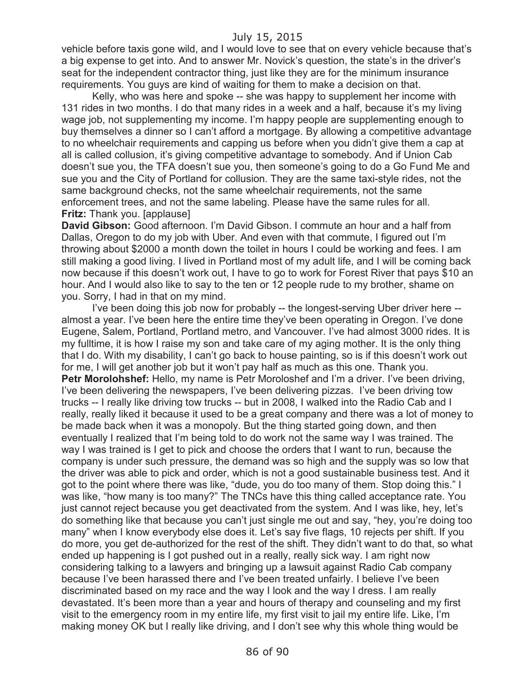vehicle before taxis gone wild, and I would love to see that on every vehicle because that's a big expense to get into. And to answer Mr. Novick's question, the state's in the driver's seat for the independent contractor thing, just like they are for the minimum insurance requirements. You guys are kind of waiting for them to make a decision on that.

Kelly, who was here and spoke -- she was happy to supplement her income with 131 rides in two months. I do that many rides in a week and a half, because it's my living wage job, not supplementing my income. I'm happy people are supplementing enough to buy themselves a dinner so I can't afford a mortgage. By allowing a competitive advantage to no wheelchair requirements and capping us before when you didn't give them a cap at all is called collusion, it's giving competitive advantage to somebody. And if Union Cab doesn't sue you, the TFA doesn't sue you, then someone's going to do a Go Fund Me and sue you and the City of Portland for collusion. They are the same taxi-style rides, not the same background checks, not the same wheelchair requirements, not the same enforcement trees, and not the same labeling. Please have the same rules for all. **Fritz:** Thank you. [applause]

**David Gibson:** Good afternoon. I'm David Gibson. I commute an hour and a half from Dallas, Oregon to do my job with Uber. And even with that commute, I figured out I'm throwing about \$2000 a month down the toilet in hours I could be working and fees. I am still making a good living. I lived in Portland most of my adult life, and I will be coming back now because if this doesn't work out, I have to go to work for Forest River that pays \$10 an hour. And I would also like to say to the ten or 12 people rude to my brother, shame on you. Sorry, I had in that on my mind.

I've been doing this job now for probably -- the longest-serving Uber driver here - almost a year. I've been here the entire time they've been operating in Oregon. I've done Eugene, Salem, Portland, Portland metro, and Vancouver. I've had almost 3000 rides. It is my fulltime, it is how I raise my son and take care of my aging mother. It is the only thing that I do. With my disability, I can't go back to house painting, so is if this doesn't work out for me, I will get another job but it won't pay half as much as this one. Thank you. **Petr Morolohshef:** Hello, my name is Petr Moroloshef and I'm a driver. I've been driving, I've been delivering the newspapers, I've been delivering pizzas. I've been driving tow trucks -- I really like driving tow trucks -- but in 2008, I walked into the Radio Cab and I really, really liked it because it used to be a great company and there was a lot of money to be made back when it was a monopoly. But the thing started going down, and then eventually I realized that I'm being told to do work not the same way I was trained. The way I was trained is I get to pick and choose the orders that I want to run, because the company is under such pressure, the demand was so high and the supply was so low that the driver was able to pick and order, which is not a good sustainable business test. And it got to the point where there was like, "dude, you do too many of them. Stop doing this." I was like, "how many is too many?" The TNCs have this thing called acceptance rate. You just cannot reject because you get deactivated from the system. And I was like, hey, let's do something like that because you can't just single me out and say, "hey, you're doing too many" when I know everybody else does it. Let's say five flags, 10 rejects per shift. If you do more, you get de-authorized for the rest of the shift. They didn't want to do that, so what ended up happening is I got pushed out in a really, really sick way. I am right now considering talking to a lawyers and bringing up a lawsuit against Radio Cab company because I've been harassed there and I've been treated unfairly. I believe I've been discriminated based on my race and the way I look and the way I dress. I am really devastated. It's been more than a year and hours of therapy and counseling and my first visit to the emergency room in my entire life, my first visit to jail my entire life. Like, I'm making money OK but I really like driving, and I don't see why this whole thing would be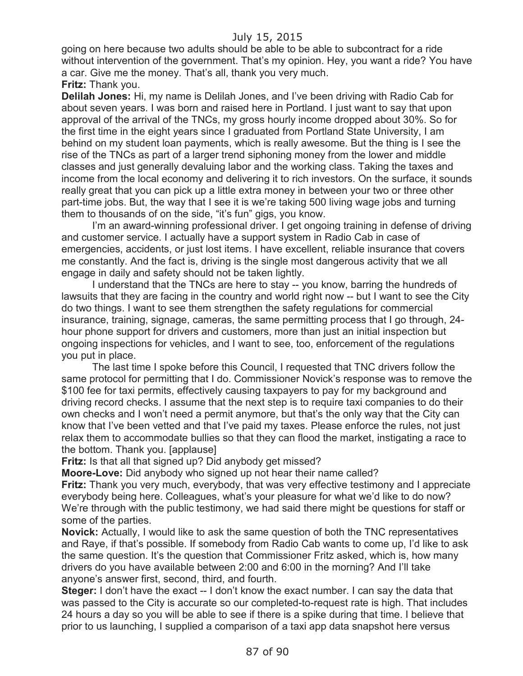going on here because two adults should be able to be able to subcontract for a ride without intervention of the government. That's my opinion. Hey, you want a ride? You have a car. Give me the money. That's all, thank you very much.

#### **Fritz:** Thank you.

**Delilah Jones:** Hi, my name is Delilah Jones, and I've been driving with Radio Cab for about seven years. I was born and raised here in Portland. I just want to say that upon approval of the arrival of the TNCs, my gross hourly income dropped about 30%. So for the first time in the eight years since I graduated from Portland State University, I am behind on my student loan payments, which is really awesome. But the thing is I see the rise of the TNCs as part of a larger trend siphoning money from the lower and middle classes and just generally devaluing labor and the working class. Taking the taxes and income from the local economy and delivering it to rich investors. On the surface, it sounds really great that you can pick up a little extra money in between your two or three other part-time jobs. But, the way that I see it is we're taking 500 living wage jobs and turning them to thousands of on the side, "it's fun" gigs, you know.

I'm an award-winning professional driver. I get ongoing training in defense of driving and customer service. I actually have a support system in Radio Cab in case of emergencies, accidents, or just lost items. I have excellent, reliable insurance that covers me constantly. And the fact is, driving is the single most dangerous activity that we all engage in daily and safety should not be taken lightly.

I understand that the TNCs are here to stay -- you know, barring the hundreds of lawsuits that they are facing in the country and world right now -- but I want to see the City do two things. I want to see them strengthen the safety regulations for commercial insurance, training, signage, cameras, the same permitting process that I go through, 24 hour phone support for drivers and customers, more than just an initial inspection but ongoing inspections for vehicles, and I want to see, too, enforcement of the regulations you put in place.

The last time I spoke before this Council, I requested that TNC drivers follow the same protocol for permitting that I do. Commissioner Novick's response was to remove the \$100 fee for taxi permits, effectively causing taxpayers to pay for my background and driving record checks. I assume that the next step is to require taxi companies to do their own checks and I won't need a permit anymore, but that's the only way that the City can know that I've been vetted and that I've paid my taxes. Please enforce the rules, not just relax them to accommodate bullies so that they can flood the market, instigating a race to the bottom. Thank you. [applause]

**Fritz:** Is that all that signed up? Did anybody get missed?

**Moore-Love:** Did anybody who signed up not hear their name called?

**Fritz:** Thank you very much, everybody, that was very effective testimony and I appreciate everybody being here. Colleagues, what's your pleasure for what we'd like to do now? We're through with the public testimony, we had said there might be questions for staff or some of the parties.

**Novick:** Actually, I would like to ask the same question of both the TNC representatives and Raye, if that's possible. If somebody from Radio Cab wants to come up, I'd like to ask the same question. It's the question that Commissioner Fritz asked, which is, how many drivers do you have available between 2:00 and 6:00 in the morning? And I'll take anyone's answer first, second, third, and fourth.

**Steger:** I don't have the exact -- I don't know the exact number. I can say the data that was passed to the City is accurate so our completed-to-request rate is high. That includes 24 hours a day so you will be able to see if there is a spike during that time. I believe that prior to us launching, I supplied a comparison of a taxi app data snapshot here versus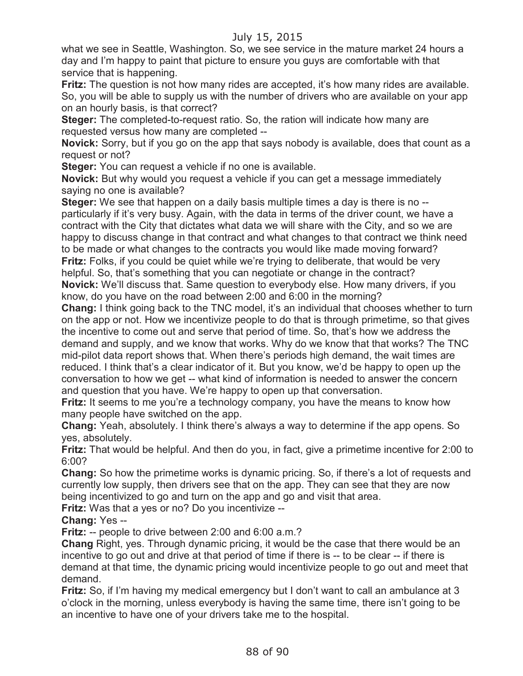what we see in Seattle, Washington. So, we see service in the mature market 24 hours a day and I'm happy to paint that picture to ensure you guys are comfortable with that service that is happening.

**Fritz:** The question is not how many rides are accepted, it's how many rides are available. So, you will be able to supply us with the number of drivers who are available on your app on an hourly basis, is that correct?

**Steger:** The completed-to-request ratio. So, the ration will indicate how many are requested versus how many are completed --

**Novick:** Sorry, but if you go on the app that says nobody is available, does that count as a request or not?

**Steger:** You can request a vehicle if no one is available.

**Novick:** But why would you request a vehicle if you can get a message immediately saying no one is available?

**Steger:** We see that happen on a daily basis multiple times a day is there is no - particularly if it's very busy. Again, with the data in terms of the driver count, we have a contract with the City that dictates what data we will share with the City, and so we are happy to discuss change in that contract and what changes to that contract we think need to be made or what changes to the contracts you would like made moving forward? **Fritz:** Folks, if you could be quiet while we're trying to deliberate, that would be very helpful. So, that's something that you can negotiate or change in the contract? **Novick:** We'll discuss that. Same question to everybody else. How many drivers, if you know, do you have on the road between 2:00 and 6:00 in the morning?

**Chang:** I think going back to the TNC model, it's an individual that chooses whether to turn on the app or not. How we incentivize people to do that is through primetime, so that gives the incentive to come out and serve that period of time. So, that's how we address the demand and supply, and we know that works. Why do we know that that works? The TNC mid-pilot data report shows that. When there's periods high demand, the wait times are reduced. I think that's a clear indicator of it. But you know, we'd be happy to open up the conversation to how we get -- what kind of information is needed to answer the concern and question that you have. We're happy to open up that conversation.

**Fritz:** It seems to me you're a technology company, you have the means to know how many people have switched on the app.

**Chang:** Yeah, absolutely. I think there's always a way to determine if the app opens. So yes, absolutely.

**Fritz:** That would be helpful. And then do you, in fact, give a primetime incentive for 2:00 to 6:00?

**Chang:** So how the primetime works is dynamic pricing. So, if there's a lot of requests and currently low supply, then drivers see that on the app. They can see that they are now being incentivized to go and turn on the app and go and visit that area.

**Fritz:** Was that a yes or no? Do you incentivize --

**Chang:** Yes --

**Fritz:** -- people to drive between 2:00 and 6:00 a.m.?

**Chang** Right, yes. Through dynamic pricing, it would be the case that there would be an incentive to go out and drive at that period of time if there is -- to be clear -- if there is demand at that time, the dynamic pricing would incentivize people to go out and meet that demand.

**Fritz:** So, if I'm having my medical emergency but I don't want to call an ambulance at 3 o'clock in the morning, unless everybody is having the same time, there isn't going to be an incentive to have one of your drivers take me to the hospital.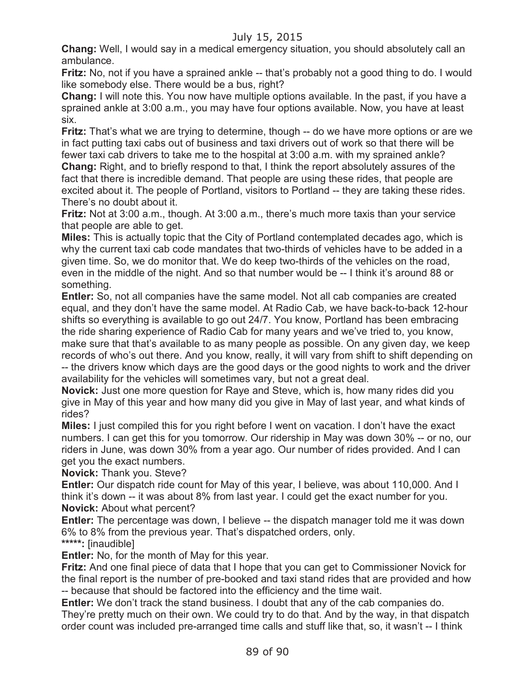**Chang:** Well, I would say in a medical emergency situation, you should absolutely call an ambulance.

**Fritz:** No, not if you have a sprained ankle -- that's probably not a good thing to do. I would like somebody else. There would be a bus, right?

**Chang:** I will note this. You now have multiple options available. In the past, if you have a sprained ankle at 3:00 a.m., you may have four options available. Now, you have at least six.

**Fritz:** That's what we are trying to determine, though -- do we have more options or are we in fact putting taxi cabs out of business and taxi drivers out of work so that there will be fewer taxi cab drivers to take me to the hospital at 3:00 a.m. with my sprained ankle? **Chang:** Right, and to briefly respond to that, I think the report absolutely assures of the fact that there is incredible demand. That people are using these rides, that people are excited about it. The people of Portland, visitors to Portland -- they are taking these rides. There's no doubt about it.

**Fritz:** Not at 3:00 a.m., though. At 3:00 a.m., there's much more taxis than your service that people are able to get.

**Miles:** This is actually topic that the City of Portland contemplated decades ago, which is why the current taxi cab code mandates that two-thirds of vehicles have to be added in a given time. So, we do monitor that. We do keep two-thirds of the vehicles on the road, even in the middle of the night. And so that number would be -- I think it's around 88 or something.

**Entler:** So, not all companies have the same model. Not all cab companies are created equal, and they don't have the same model. At Radio Cab, we have back-to-back 12-hour shifts so everything is available to go out 24/7. You know, Portland has been embracing the ride sharing experience of Radio Cab for many years and we've tried to, you know, make sure that that's available to as many people as possible. On any given day, we keep records of who's out there. And you know, really, it will vary from shift to shift depending on -- the drivers know which days are the good days or the good nights to work and the driver availability for the vehicles will sometimes vary, but not a great deal.

**Novick:** Just one more question for Raye and Steve, which is, how many rides did you give in May of this year and how many did you give in May of last year, and what kinds of rides?

**Miles:** I just compiled this for you right before I went on vacation. I don't have the exact numbers. I can get this for you tomorrow. Our ridership in May was down 30% -- or no, our riders in June, was down 30% from a year ago. Our number of rides provided. And I can get you the exact numbers.

**Novick:** Thank you. Steve?

**Entler:** Our dispatch ride count for May of this year, I believe, was about 110,000. And I think it's down -- it was about 8% from last year. I could get the exact number for you. **Novick:** About what percent?

**Entler:** The percentage was down, I believe -- the dispatch manager told me it was down 6% to 8% from the previous year. That's dispatched orders, only.

**\*\*\*\*\*:** [inaudible]

**Entler:** No, for the month of May for this year.

**Fritz:** And one final piece of data that I hope that you can get to Commissioner Novick for the final report is the number of pre-booked and taxi stand rides that are provided and how -- because that should be factored into the efficiency and the time wait.

**Entler:** We don't track the stand business. I doubt that any of the cab companies do. They're pretty much on their own. We could try to do that. And by the way, in that dispatch order count was included pre-arranged time calls and stuff like that, so, it wasn't -- I think